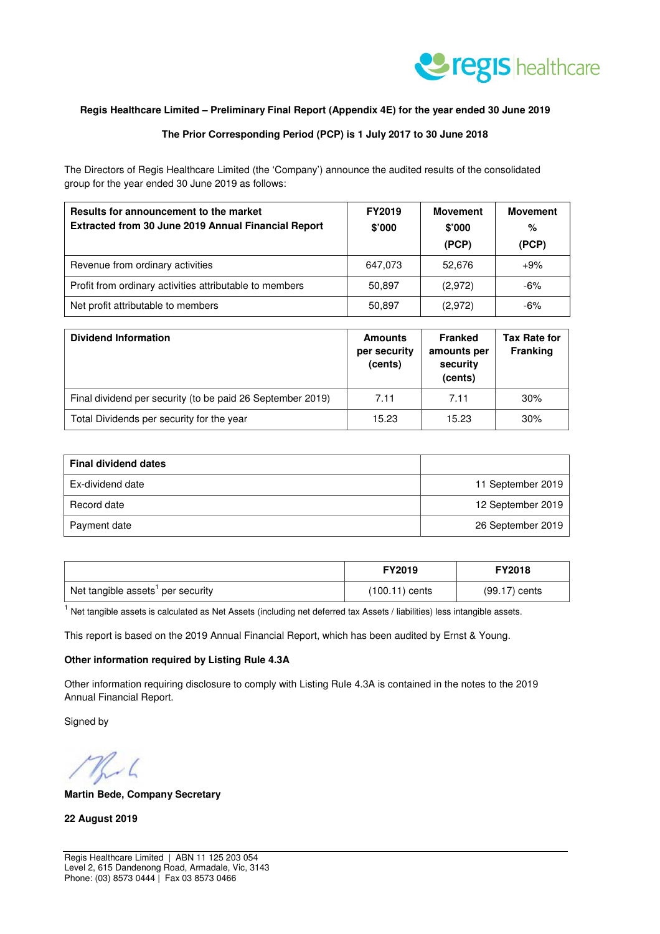

# **Regis Healthcare Limited – Preliminary Final Report (Appendix 4E) for the year ended 30 June 2019**

# **The Prior Corresponding Period (PCP) is 1 July 2017 to 30 June 2018**

The Directors of Regis Healthcare Limited (the 'Company') announce the audited results of the consolidated group for the year ended 30 June 2019 as follows:

| Results for announcement to the market<br>Extracted from 30 June 2019 Annual Financial Report | FY2019<br>\$'000 | <b>Movement</b><br>\$'000<br>(PCP) | <b>Movement</b><br>%<br>(PCP) |
|-----------------------------------------------------------------------------------------------|------------------|------------------------------------|-------------------------------|
| Revenue from ordinary activities                                                              | 647,073          | 52,676                             | $+9%$                         |
| Profit from ordinary activities attributable to members                                       | 50.897           | (2,972)                            | $-6%$                         |
| Net profit attributable to members                                                            | 50.897           | (2,972)                            | $-6%$                         |

| <b>Dividend Information</b>                                | <b>Amounts</b><br>per security<br>(cents) | Franked<br>amounts per<br>security<br>(cents) | <b>Tax Rate for</b><br><b>Franking</b> |
|------------------------------------------------------------|-------------------------------------------|-----------------------------------------------|----------------------------------------|
| Final dividend per security (to be paid 26 September 2019) | 7.11                                      | 7.11                                          | 30%                                    |
| Total Dividends per security for the year                  | 15.23                                     | 15.23                                         | 30%                                    |

| <b>Final dividend dates</b> |                   |
|-----------------------------|-------------------|
| Ex-dividend date            | 11 September 2019 |
| Record date                 | 12 September 2019 |
| Payment date                | 26 September 2019 |

|                                               | <b>FY2019</b>    | FY2018        |
|-----------------------------------------------|------------------|---------------|
| Net tangible assets <sup>1</sup> per security | $(100.11)$ cents | (99.17) cents |

<sup>1</sup> Net tangible assets is calculated as Net Assets (including net deferred tax Assets / liabilities) less intangible assets.

This report is based on the 2019 Annual Financial Report, which has been audited by Ernst & Young.

# **Other information required by Listing Rule 4.3A**

Other information requiring disclosure to comply with Listing Rule 4.3A is contained in the notes to the 2019 Annual Financial Report.

Signed by

 $\sim$  6

**Martin Bede, Company Secretary** 

**22 August 2019**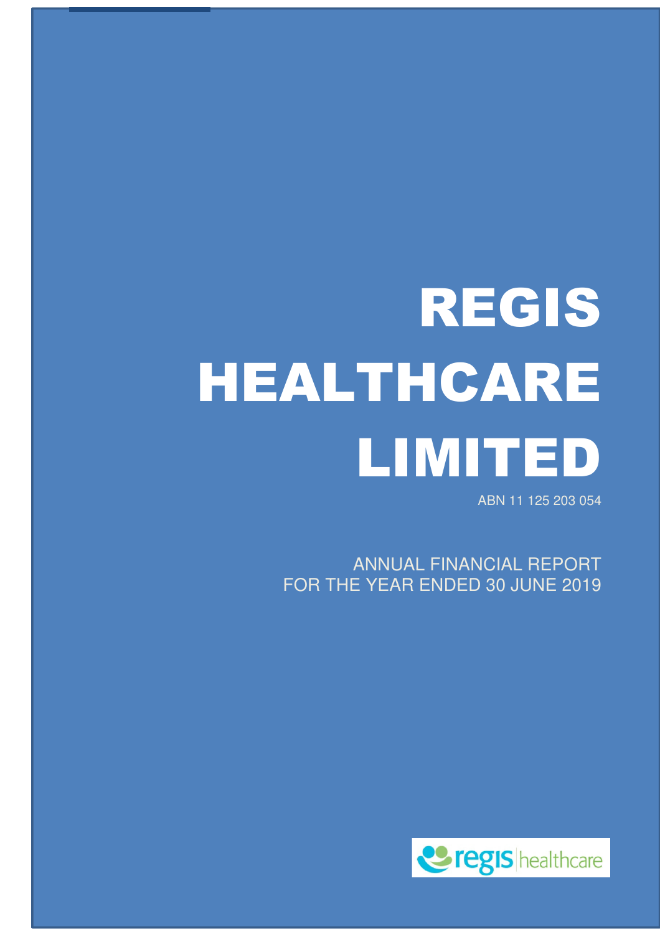# REGIS HEALTHCARE LIMITED

ABN 11 125 203 054

ANNUAL FINANCIAL REPORT FOR THE YEAR ENDED 30 JUNE 2019

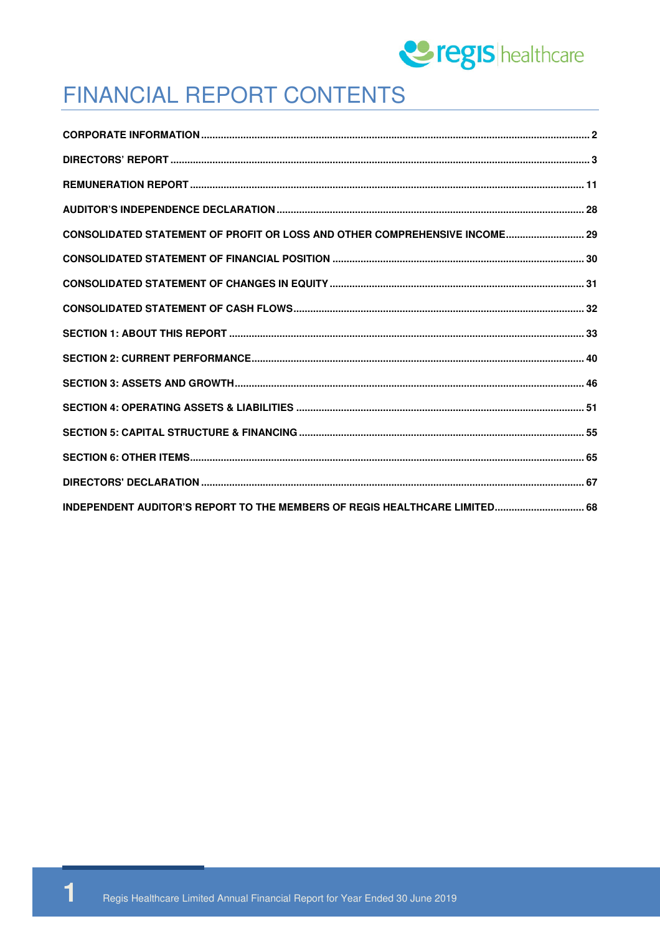

# FINANCIAL REPORT CONTENTS

| CONSOLIDATED STATEMENT OF PROFIT OR LOSS AND OTHER COMPREHENSIVE INCOME 29 |  |
|----------------------------------------------------------------------------|--|
|                                                                            |  |
|                                                                            |  |
|                                                                            |  |
|                                                                            |  |
|                                                                            |  |
|                                                                            |  |
|                                                                            |  |
|                                                                            |  |
|                                                                            |  |
|                                                                            |  |
| INDEPENDENT AUDITOR'S REPORT TO THE MEMBERS OF REGIS HEALTHCARE LIMITED 68 |  |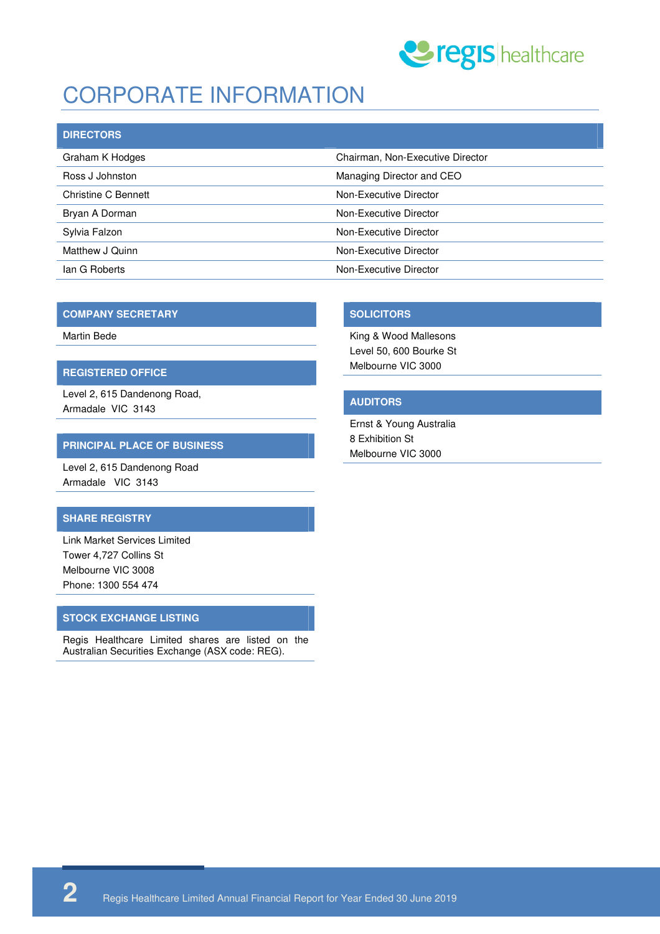

# CORPORATE INFORMATION

| <b>DIRECTORS</b>    |                                  |
|---------------------|----------------------------------|
| Graham K Hodges     | Chairman, Non-Executive Director |
| Ross J Johnston     | Managing Director and CEO        |
| Christine C Bennett | Non-Executive Director           |
| Bryan A Dorman      | Non-Executive Director           |
| Sylvia Falzon       | Non-Executive Director           |
| Matthew J Quinn     | Non-Executive Director           |
| lan G Roberts       | Non-Executive Director           |

# **COMPANY SECRETARY**

Martin Bede

# **REGISTERED OFFICE**

Level 2, 615 Dandenong Road, Armadale VIC 3143

# **PRINCIPAL PLACE OF BUSINESS**

Level 2, 615 Dandenong Road Armadale VIC 3143

# **SHARE REGISTRY**

Link Market Services Limited Tower 4,727 Collins St Melbourne VIC 3008 Phone: 1300 554 474

# **STOCK EXCHANGE LISTING**

Regis Healthcare Limited shares are listed on the Australian Securities Exchange (ASX code: REG).

# **SOLICITORS**

King & Wood Mallesons Level 50, 600 Bourke St Melbourne VIC 3000

# **AUDITORS**

Ernst & Young Australia 8 Exhibition St Melbourne VIC 3000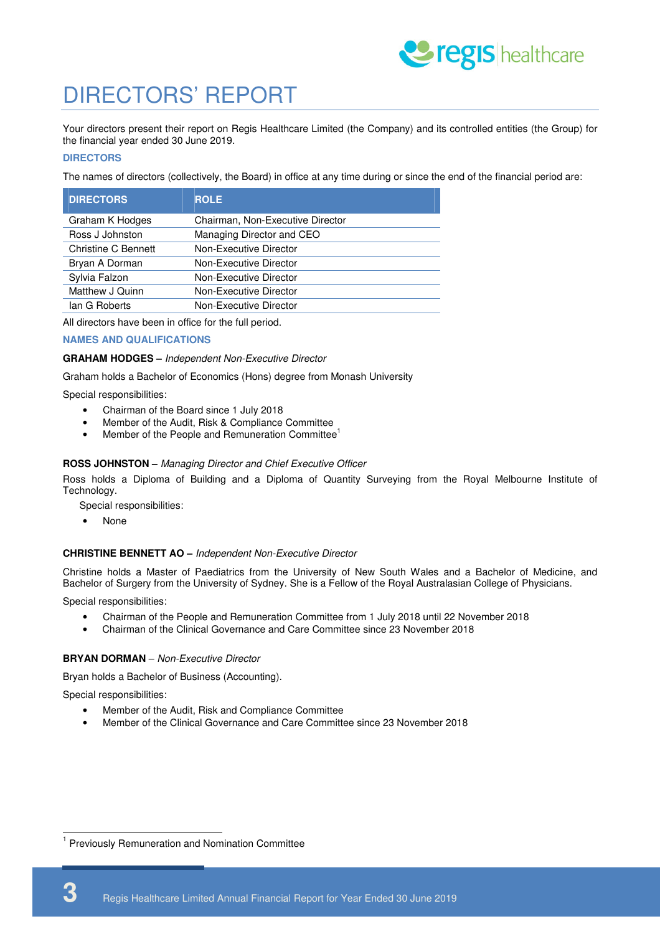

# DIRECTORS' REPORT

Your directors present their report on Regis Healthcare Limited (the Company) and its controlled entities (the Group) for the financial year ended 30 June 2019.

# **DIRECTORS**

The names of directors (collectively, the Board) in office at any time during or since the end of the financial period are:

| <b>ROLE</b>                      |
|----------------------------------|
| Chairman, Non-Executive Director |
| Managing Director and CEO        |
| Non-Executive Director           |
| Non-Executive Director           |
| Non-Executive Director           |
| Non-Executive Director           |
| Non-Executive Director           |
|                                  |

All directors have been in office for the full period.

#### **NAMES AND QUALIFICATIONS**

### **GRAHAM HODGES –** *Independent Non-Executive Director*

Graham holds a Bachelor of Economics (Hons) degree from Monash University

Special responsibilities:

- Chairman of the Board since 1 July 2018
- Member of the Audit, Risk & Compliance Committee
- Member of the People and Remuneration Committee<sup>1</sup>

# **ROSS JOHNSTON –** *Managing Director and Chief Executive Officer*

Ross holds a Diploma of Building and a Diploma of Quantity Surveying from the Royal Melbourne Institute of Technology.

Special responsibilities:

• None

#### **CHRISTINE BENNETT AO –** *Independent Non-Executive Director*

Christine holds a Master of Paediatrics from the University of New South Wales and a Bachelor of Medicine, and Bachelor of Surgery from the University of Sydney. She is a Fellow of the Royal Australasian College of Physicians.

Special responsibilities:

- Chairman of the People and Remuneration Committee from 1 July 2018 until 22 November 2018
- Chairman of the Clinical Governance and Care Committee since 23 November 2018

# **BRYAN DORMAN** – *Non-Executive Director*

Bryan holds a Bachelor of Business (Accounting).

Special responsibilities:

- Member of the Audit, Risk and Compliance Committee
- Member of the Clinical Governance and Care Committee since 23 November 2018

 1 Previously Remuneration and Nomination Committee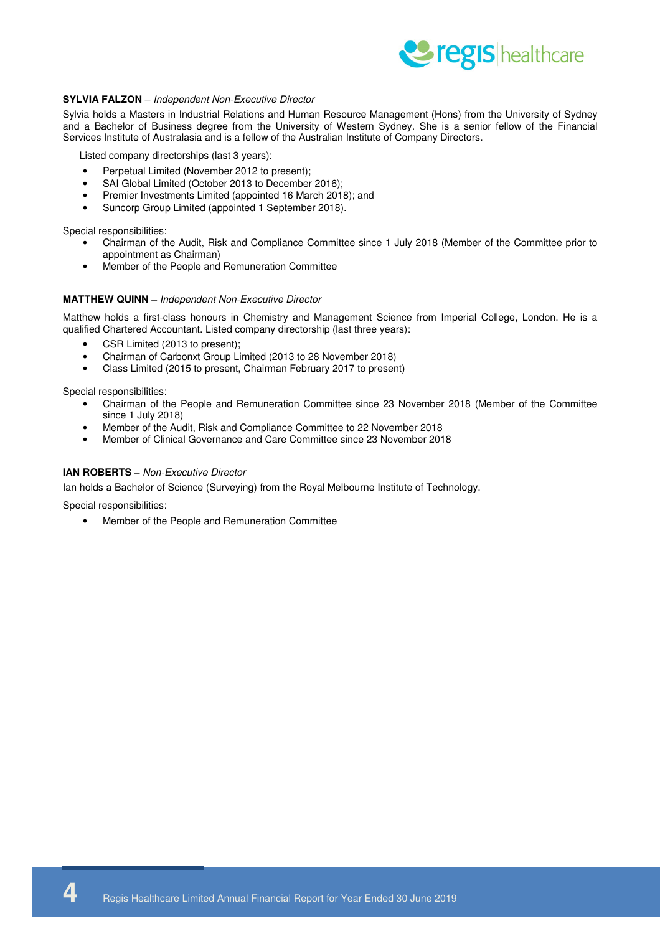

# **SYLVIA FALZON** – *Independent Non-Executive Director*

Sylvia holds a Masters in Industrial Relations and Human Resource Management (Hons) from the University of Sydney and a Bachelor of Business degree from the University of Western Sydney. She is a senior fellow of the Financial Services Institute of Australasia and is a fellow of the Australian Institute of Company Directors.

Listed company directorships (last 3 years):

- Perpetual Limited (November 2012 to present);
- SAI Global Limited (October 2013 to December 2016);
- Premier Investments Limited (appointed 16 March 2018); and
- Suncorp Group Limited (appointed 1 September 2018).

Special responsibilities:

- Chairman of the Audit, Risk and Compliance Committee since 1 July 2018 (Member of the Committee prior to appointment as Chairman)
- Member of the People and Remuneration Committee

#### **MATTHEW QUINN –** *Independent Non-Executive Director*

Matthew holds a first-class honours in Chemistry and Management Science from Imperial College, London. He is a qualified Chartered Accountant. Listed company directorship (last three years):

- CSR Limited (2013 to present);
- Chairman of Carbonxt Group Limited (2013 to 28 November 2018)
- Class Limited (2015 to present, Chairman February 2017 to present)

Special responsibilities:

- Chairman of the People and Remuneration Committee since 23 November 2018 (Member of the Committee since 1 July 2018)
- Member of the Audit, Risk and Compliance Committee to 22 November 2018
- Member of Clinical Governance and Care Committee since 23 November 2018

#### **IAN ROBERTS –** *Non-Executive Director*

Ian holds a Bachelor of Science (Surveying) from the Royal Melbourne Institute of Technology.

Special responsibilities:

Member of the People and Remuneration Committee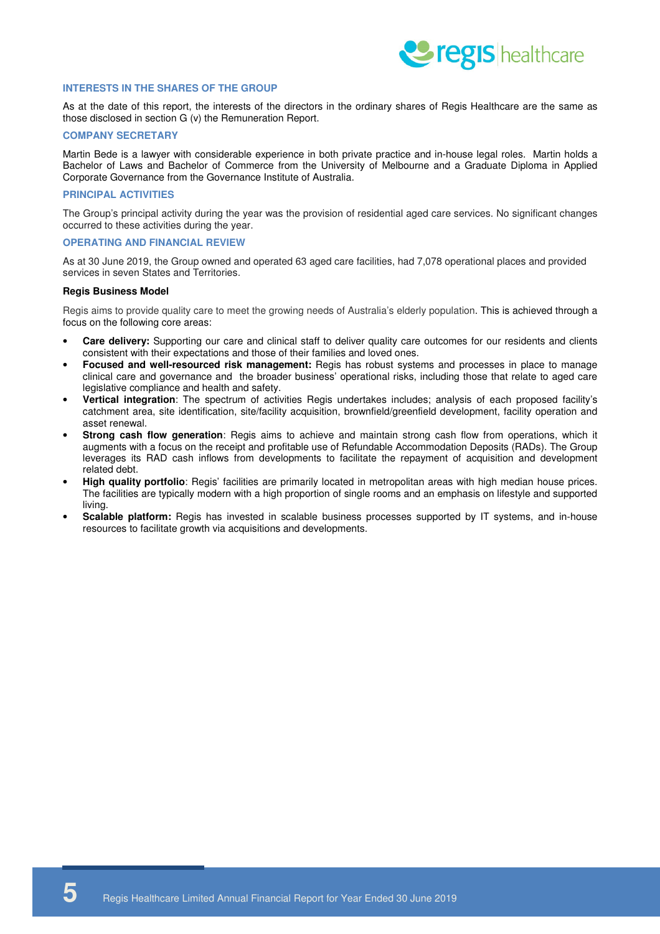

#### **INTERESTS IN THE SHARES OF THE GROUP**

As at the date of this report, the interests of the directors in the ordinary shares of Regis Healthcare are the same as those disclosed in section G (v) the Remuneration Report.

#### **COMPANY SECRETARY**

Martin Bede is a lawyer with considerable experience in both private practice and in-house legal roles. Martin holds a Bachelor of Laws and Bachelor of Commerce from the University of Melbourne and a Graduate Diploma in Applied Corporate Governance from the Governance Institute of Australia.

#### **PRINCIPAL ACTIVITIES**

The Group's principal activity during the year was the provision of residential aged care services. No significant changes occurred to these activities during the year.

#### **OPERATING AND FINANCIAL REVIEW**

As at 30 June 2019, the Group owned and operated 63 aged care facilities, had 7,078 operational places and provided services in seven States and Territories.

#### **Regis Business Model**

Regis aims to provide quality care to meet the growing needs of Australia's elderly population. This is achieved through a focus on the following core areas:

- **Care delivery:** Supporting our care and clinical staff to deliver quality care outcomes for our residents and clients consistent with their expectations and those of their families and loved ones.
- **Focused and well-resourced risk management:** Regis has robust systems and processes in place to manage clinical care and governance and the broader business' operational risks, including those that relate to aged care legislative compliance and health and safety.
- **Vertical integration**: The spectrum of activities Regis undertakes includes; analysis of each proposed facility's catchment area, site identification, site/facility acquisition, brownfield/greenfield development, facility operation and asset renewal.
- **Strong cash flow generation**: Regis aims to achieve and maintain strong cash flow from operations, which it augments with a focus on the receipt and profitable use of Refundable Accommodation Deposits (RADs). The Group leverages its RAD cash inflows from developments to facilitate the repayment of acquisition and development related debt.
- **High quality portfolio**: Regis' facilities are primarily located in metropolitan areas with high median house prices. The facilities are typically modern with a high proportion of single rooms and an emphasis on lifestyle and supported living.
- **Scalable platform:** Regis has invested in scalable business processes supported by IT systems, and in-house resources to facilitate growth via acquisitions and developments.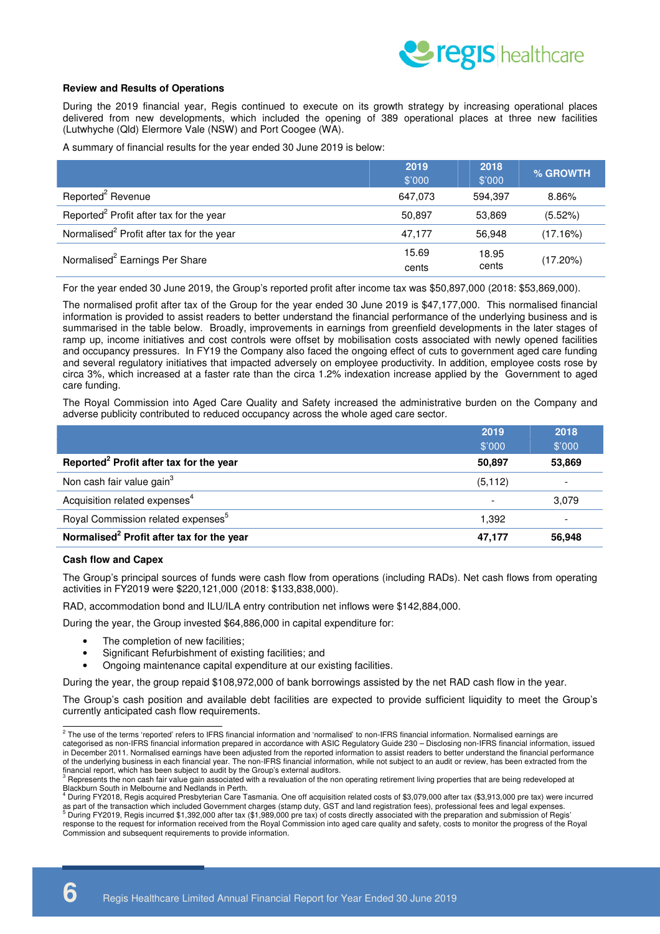

#### **Review and Results of Operations**

During the 2019 financial year, Regis continued to execute on its growth strategy by increasing operational places delivered from new developments, which included the opening of 389 operational places at three new facilities (Lutwhyche (Qld) Elermore Vale (NSW) and Port Coogee (WA).

A summary of financial results for the year ended 30 June 2019 is below:

|                                                       | 2019<br>\$'000 | 2018<br>\$'000 | % GROWTH    |
|-------------------------------------------------------|----------------|----------------|-------------|
| Reported <sup>2</sup> Revenue                         | 647.073        | 594,397        | 8.86%       |
| Reported <sup>2</sup> Profit after tax for the year   | 50,897         | 53.869         | (5.52%)     |
| Normalised <sup>2</sup> Profit after tax for the year | 47.177         | 56.948         | (17.16%)    |
| Normalised <sup>2</sup> Earnings Per Share            | 15.69<br>cents | 18.95<br>cents | $(17.20\%)$ |

For the year ended 30 June 2019, the Group's reported profit after income tax was \$50,897,000 (2018: \$53,869,000).

The normalised profit after tax of the Group for the year ended 30 June 2019 is \$47,177,000. This normalised financial information is provided to assist readers to better understand the financial performance of the underlying business and is summarised in the table below. Broadly, improvements in earnings from greenfield developments in the later stages of ramp up, income initiatives and cost controls were offset by mobilisation costs associated with newly opened facilities and occupancy pressures. In FY19 the Company also faced the ongoing effect of cuts to government aged care funding and several regulatory initiatives that impacted adversely on employee productivity. In addition, employee costs rose by circa 3%, which increased at a faster rate than the circa 1.2% indexation increase applied by the Government to aged care funding.

The Royal Commission into Aged Care Quality and Safety increased the administrative burden on the Company and adverse publicity contributed to reduced occupancy across the whole aged care sector.

|                                                       | 2019     | 2018                     |
|-------------------------------------------------------|----------|--------------------------|
|                                                       | \$'000   | \$'000                   |
| Reported <sup>2</sup> Profit after tax for the year   | 50,897   | 53,869                   |
| Non cash fair value gain <sup>3</sup>                 | (5, 112) | $\overline{\phantom{0}}$ |
| Acquisition related expenses <sup>4</sup>             |          | 3,079                    |
| Royal Commission related expenses <sup>5</sup>        | 1,392    |                          |
| Normalised <sup>2</sup> Profit after tax for the year | 47,177   | 56,948                   |

#### **Cash flow and Capex**

The Group's principal sources of funds were cash flow from operations (including RADs). Net cash flows from operating activities in FY2019 were \$220,121,000 (2018: \$133,838,000).

RAD, accommodation bond and ILU/ILA entry contribution net inflows were \$142,884,000.

During the year, the Group invested \$64,886,000 in capital expenditure for:

- The completion of new facilities;
- Significant Refurbishment of existing facilities; and
- Ongoing maintenance capital expenditure at our existing facilities.

During the year, the group repaid \$108,972,000 of bank borrowings assisted by the net RAD cash flow in the year.

The Group's cash position and available debt facilities are expected to provide sufficient liquidity to meet the Group's currently anticipated cash flow requirements.

 $^2$  The use of the terms 'reported' refers to IFRS financial information and 'normalised' to non-IFRS financial information. Normalised earnings are categorised as non-IFRS financial information prepared in accordance with ASIC Regulatory Guide 230 – Disclosing non-IFRS financial information, issued in December 2011. Normalised earnings have been adjusted from the reported information to assist readers to better understand the financial performance of the underlying business in each financial year. The non-IFRS financial information, while not subject to an audit or review, has been extracted from the

financial report, which has been subject to audit by the Group's external auditors.<br><sup>3</sup> Represents the non cash fair value gain associated with a revaluation of the non operating retirement living properties that are being Blackburn South in Melbourne and Nedlands in Perth.<br><sup>4</sup> During FY2018, Regis acquired Presbyterian Care Tasmania. One off acquisition related costs of \$3,079,000 after tax (\$3,913,000 pre tax) were incurred

as part of the transaction which included Government charges (stamp duty, GST and land registration fees), professional fees and legal expenses.<br><sup>5</sup> During FY2019, Regis incurred \$1,392,000 after tax (\$1,989,000 pre tax) o response to the request for information received from the Royal Commission into aged care quality and safety, costs to monitor the progress of the Royal Commission and subsequent requirements to provide information.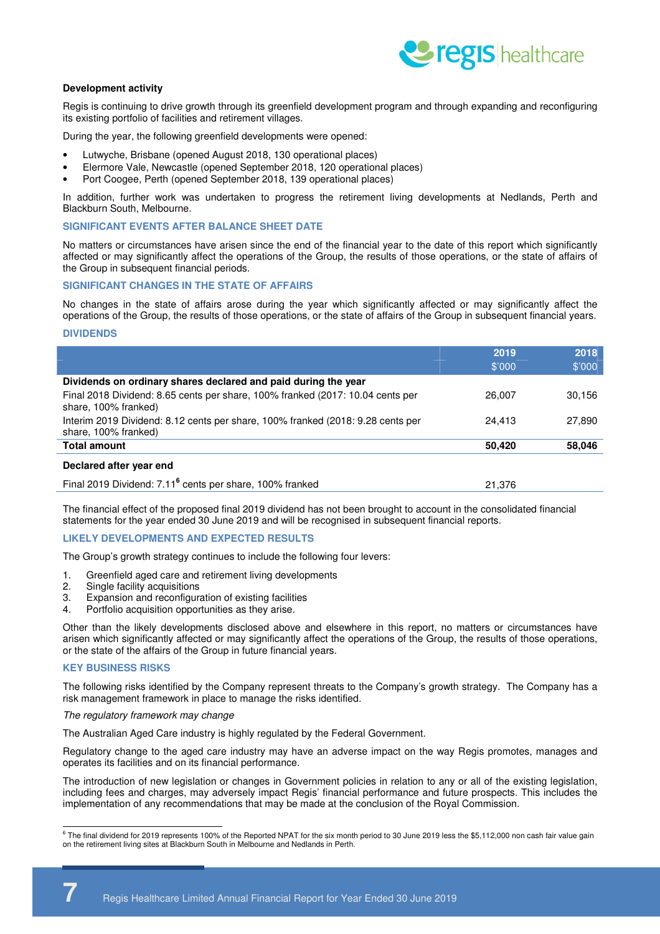

#### **Development activity**

Regis is continuing to drive growth through its greenfield development program and through expanding and reconfiguring its existing portfolio of facilities and retirement villages.

During the year, the following greenfield developments were opened:

- Lutwyche, Brisbane (opened August 2018, 130 operational places)
- Elermore Vale, Newcastle (opened September 2018, 120 operational places)
- Port Coogee, Perth (opened September 2018, 139 operational places)

In addition, further work was undertaken to progress the retirement living developments at Nedlands, Perth and Blackburn South, Melbourne.

#### **SIGNIFICANT EVENTS AFTER BALANCE SHEET DATE**

No matters or circumstances have arisen since the end of the financial year to the date of this report which significantly affected or may significantly affect the operations of the Group, the results of those operations, or the state of affairs of the Group in subsequent financial periods.

#### **SIGNIFICANT CHANGES IN THE STATE OF AFFAIRS**

No changes in the state of affairs arose during the year which significantly affected or may significantly affect the operations of the Group, the results of those operations, or the state of affairs of the Group in subsequent financial years.

#### **DIVIDENDS**

|                                                                                                         | 2019   | 2018   |
|---------------------------------------------------------------------------------------------------------|--------|--------|
|                                                                                                         | \$'000 | \$'000 |
| Dividends on ordinary shares declared and paid during the year                                          |        |        |
| Final 2018 Dividend: 8.65 cents per share, 100% franked (2017: 10.04 cents per<br>share, 100% franked)  | 26,007 | 30,156 |
| Interim 2019 Dividend: 8.12 cents per share, 100% franked (2018: 9.28 cents per<br>share, 100% franked) | 24,413 | 27,890 |
| <b>Total amount</b>                                                                                     | 50,420 | 58,046 |
| Declared after year end                                                                                 |        |        |
| Final 2019 Dividend: 7.11 <sup>6</sup> cents per share, 100% franked                                    | 21.376 |        |

The financial effect of the proposed final 2019 dividend has not been brought to account in the consolidated financial statements for the year ended 30 June 2019 and will be recognised in subsequent financial reports.

# **LIKELY DEVELOPMENTS AND EXPECTED RESULTS**

The Group's growth strategy continues to include the following four levers:

- 1. Greenfield aged care and retirement living developments
- 2. Single facility acquisitions
- 3. Expansion and reconfiguration of existing facilities
- 4. Portfolio acquisition opportunities as they arise.

Other than the likely developments disclosed above and elsewhere in this report, no matters or circumstances have arisen which significantly affected or may significantly affect the operations of the Group, the results of those operations, or the state of the affairs of the Group in future financial years.

#### **KEY BUSINESS RISKS**

The following risks identified by the Company represent threats to the Company's growth strategy. The Company has a risk management framework in place to manage the risks identified.

*The regulatory framework may change* 

The Australian Aged Care industry is highly regulated by the Federal Government.

Regulatory change to the aged care industry may have an adverse impact on the way Regis promotes, manages and operates its facilities and on its financial performance.

The introduction of new legislation or changes in Government policies in relation to any or all of the existing legislation, including fees and charges, may adversely impact Regis' financial performance and future prospects. This includes the implementation of any recommendations that may be made at the conclusion of the Royal Commission.

 6 The final dividend for 2019 represents 100% of the Reported NPAT for the six month period to 30 June 2019 less the \$5,112,000 non cash fair value gain on the retirement living sites at Blackburn South in Melbourne and Nedlands in Perth.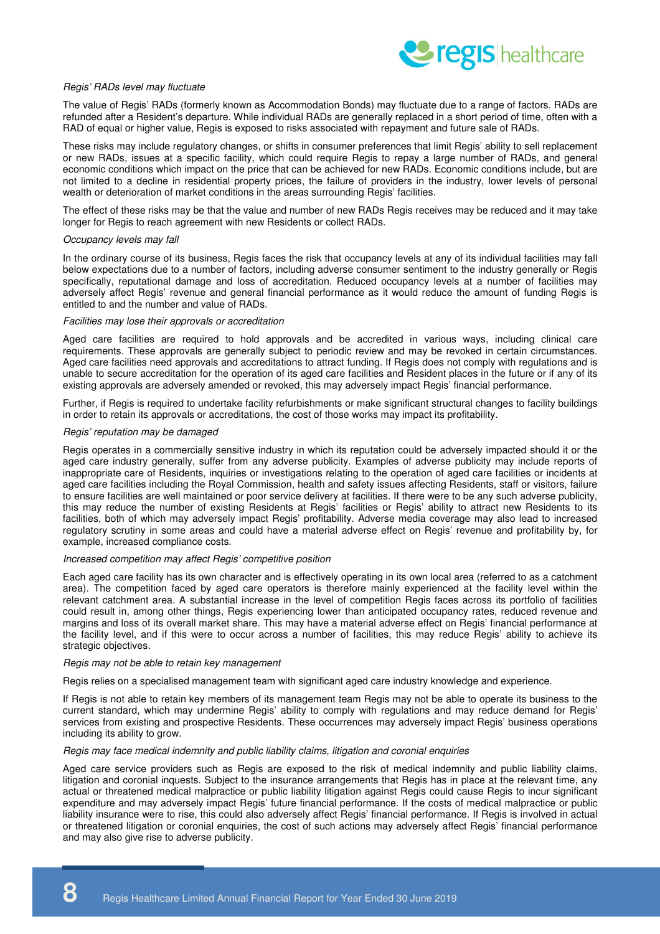

#### *Regis' RADs level may fluctuate*

The value of Regis' RADs (formerly known as Accommodation Bonds) may fluctuate due to a range of factors. RADs are refunded after a Resident's departure. While individual RADs are generally replaced in a short period of time, often with a RAD of equal or higher value, Regis is exposed to risks associated with repayment and future sale of RADs.

These risks may include regulatory changes, or shifts in consumer preferences that limit Regis' ability to sell replacement or new RADs, issues at a specific facility, which could require Regis to repay a large number of RADs, and general economic conditions which impact on the price that can be achieved for new RADs. Economic conditions include, but are not limited to a decline in residential property prices, the failure of providers in the industry, lower levels of personal wealth or deterioration of market conditions in the areas surrounding Regis' facilities.

The effect of these risks may be that the value and number of new RADs Regis receives may be reduced and it may take longer for Regis to reach agreement with new Residents or collect RADs.

#### *Occupancy levels may fall*

In the ordinary course of its business, Regis faces the risk that occupancy levels at any of its individual facilities may fall below expectations due to a number of factors, including adverse consumer sentiment to the industry generally or Regis specifically, reputational damage and loss of accreditation. Reduced occupancy levels at a number of facilities may adversely affect Regis' revenue and general financial performance as it would reduce the amount of funding Regis is entitled to and the number and value of RADs.

#### *Facilities may lose their approvals or accreditation*

Aged care facilities are required to hold approvals and be accredited in various ways, including clinical care requirements. These approvals are generally subject to periodic review and may be revoked in certain circumstances. Aged care facilities need approvals and accreditations to attract funding. If Regis does not comply with regulations and is unable to secure accreditation for the operation of its aged care facilities and Resident places in the future or if any of its existing approvals are adversely amended or revoked, this may adversely impact Regis' financial performance.

Further, if Regis is required to undertake facility refurbishments or make significant structural changes to facility buildings in order to retain its approvals or accreditations, the cost of those works may impact its profitability.

#### *Regis' reputation may be damaged*

Regis operates in a commercially sensitive industry in which its reputation could be adversely impacted should it or the aged care industry generally, suffer from any adverse publicity. Examples of adverse publicity may include reports of inappropriate care of Residents, inquiries or investigations relating to the operation of aged care facilities or incidents at aged care facilities including the Royal Commission, health and safety issues affecting Residents, staff or visitors, failure to ensure facilities are well maintained or poor service delivery at facilities. If there were to be any such adverse publicity, this may reduce the number of existing Residents at Regis' facilities or Regis' ability to attract new Residents to its facilities, both of which may adversely impact Regis' profitability. Adverse media coverage may also lead to increased regulatory scrutiny in some areas and could have a material adverse effect on Regis' revenue and profitability by, for example, increased compliance costs.

#### *Increased competition may affect Regis' competitive position*

Each aged care facility has its own character and is effectively operating in its own local area (referred to as a catchment area). The competition faced by aged care operators is therefore mainly experienced at the facility level within the relevant catchment area. A substantial increase in the level of competition Regis faces across its portfolio of facilities could result in, among other things, Regis experiencing lower than anticipated occupancy rates, reduced revenue and margins and loss of its overall market share. This may have a material adverse effect on Regis' financial performance at the facility level, and if this were to occur across a number of facilities, this may reduce Regis' ability to achieve its strategic objectives.

#### *Regis may not be able to retain key management*

Regis relies on a specialised management team with significant aged care industry knowledge and experience.

If Regis is not able to retain key members of its management team Regis may not be able to operate its business to the current standard, which may undermine Regis' ability to comply with regulations and may reduce demand for Regis' services from existing and prospective Residents. These occurrences may adversely impact Regis' business operations including its ability to grow.

#### *Regis may face medical indemnity and public liability claims, litigation and coronial enquiries*

Aged care service providers such as Regis are exposed to the risk of medical indemnity and public liability claims, litigation and coronial inquests. Subject to the insurance arrangements that Regis has in place at the relevant time, any actual or threatened medical malpractice or public liability litigation against Regis could cause Regis to incur significant expenditure and may adversely impact Regis' future financial performance. If the costs of medical malpractice or public liability insurance were to rise, this could also adversely affect Regis' financial performance. If Regis is involved in actual or threatened litigation or coronial enquiries, the cost of such actions may adversely affect Regis' financial performance and may also give rise to adverse publicity.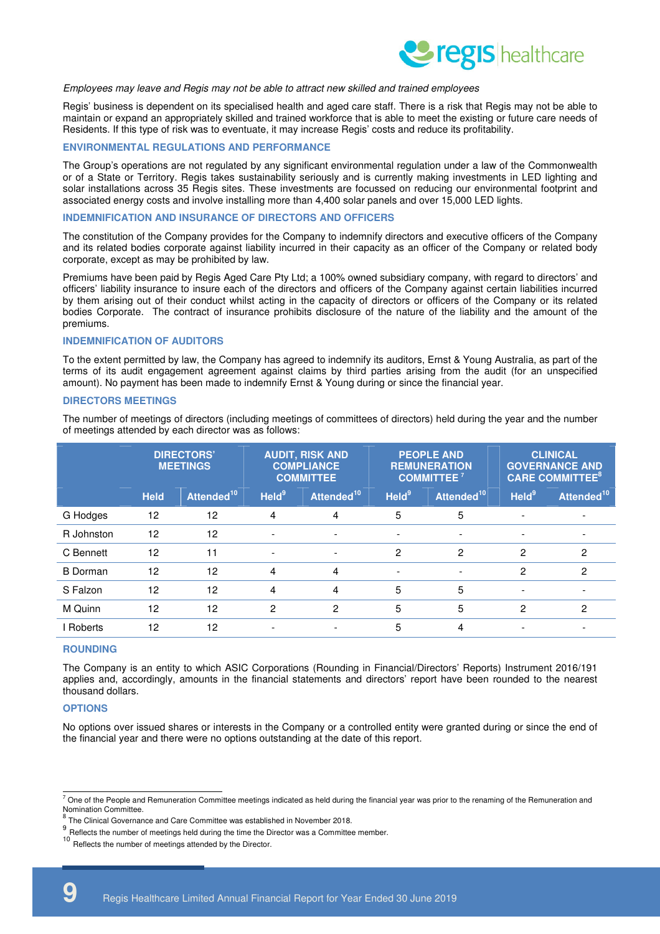

#### *Employees may leave and Regis may not be able to attract new skilled and trained employees*

Regis' business is dependent on its specialised health and aged care staff. There is a risk that Regis may not be able to maintain or expand an appropriately skilled and trained workforce that is able to meet the existing or future care needs of Residents. If this type of risk was to eventuate, it may increase Regis' costs and reduce its profitability.

### **ENVIRONMENTAL REGULATIONS AND PERFORMANCE**

The Group's operations are not regulated by any significant environmental regulation under a law of the Commonwealth or of a State or Territory. Regis takes sustainability seriously and is currently making investments in LED lighting and solar installations across 35 Regis sites. These investments are focussed on reducing our environmental footprint and associated energy costs and involve installing more than 4,400 solar panels and over 15,000 LED lights.

#### **INDEMNIFICATION AND INSURANCE OF DIRECTORS AND OFFICERS**

The constitution of the Company provides for the Company to indemnify directors and executive officers of the Company and its related bodies corporate against liability incurred in their capacity as an officer of the Company or related body corporate, except as may be prohibited by law.

Premiums have been paid by Regis Aged Care Pty Ltd; a 100% owned subsidiary company, with regard to directors' and officers' liability insurance to insure each of the directors and officers of the Company against certain liabilities incurred by them arising out of their conduct whilst acting in the capacity of directors or officers of the Company or its related bodies Corporate. The contract of insurance prohibits disclosure of the nature of the liability and the amount of the premiums.

#### **INDEMNIFICATION OF AUDITORS**

To the extent permitted by law, the Company has agreed to indemnify its auditors, Ernst & Young Australia, as part of the terms of its audit engagement agreement against claims by third parties arising from the audit (for an unspecified amount). No payment has been made to indemnify Ernst & Young during or since the financial year.

#### **DIRECTORS MEETINGS**

The number of meetings of directors (including meetings of committees of directors) held during the year and the number of meetings attended by each director was as follows:

|                 |             | <b>DIRECTORS'</b><br><b>MEETINGS</b> | <b>AUDIT, RISK AND</b><br><b>PEOPLE AND</b><br><b>COMPLIANCE</b><br><b>REMUNERATION</b><br><b>COMMITTEE</b> <sup>7</sup><br><b>COMMITTEE</b> |                          |                          | <b>CLINICAL</b><br><b>GOVERNANCE AND</b><br><b>CARE COMMITTEE<sup>8</sup></b> |                          |                        |
|-----------------|-------------|--------------------------------------|----------------------------------------------------------------------------------------------------------------------------------------------|--------------------------|--------------------------|-------------------------------------------------------------------------------|--------------------------|------------------------|
|                 | <b>Held</b> | Attended <sup>10</sup>               | Held <sup>9</sup>                                                                                                                            | Attended <sup>10</sup>   | Held <sup>9</sup>        | Attended <sup>101</sup>                                                       | Held <sup>9</sup>        | Attended <sup>10</sup> |
| G Hodges        | 12          | 12                                   | 4                                                                                                                                            | 4                        | 5                        | 5                                                                             | $\overline{\phantom{a}}$ |                        |
| R Johnston      | 12          | 12                                   |                                                                                                                                              | ۰                        |                          |                                                                               | $\overline{\phantom{0}}$ |                        |
| C Bennett       | 12          | 11                                   | -                                                                                                                                            | $\overline{\phantom{a}}$ | $\overline{2}$           | $\overline{2}$                                                                | 2                        | 2                      |
| <b>B</b> Dorman | 12          | 12                                   | 4                                                                                                                                            | 4                        | $\overline{\phantom{a}}$ |                                                                               | 2                        | $\overline{c}$         |
| S Falzon        | 12          | 12                                   | 4                                                                                                                                            | 4                        | 5                        | 5                                                                             | $\overline{\phantom{0}}$ |                        |
| M Quinn         | 12          | 12                                   | $\mathcal{P}$                                                                                                                                | 2                        | 5                        | 5                                                                             | 2                        | 2                      |
| I Roberts       | 12          | 12                                   |                                                                                                                                              | $\overline{\phantom{a}}$ | 5                        | 4                                                                             | $\overline{\phantom{a}}$ | ۰                      |

# **ROUNDING**

The Company is an entity to which ASIC Corporations (Rounding in Financial/Directors' Reports) Instrument 2016/191 applies and, accordingly, amounts in the financial statements and directors' report have been rounded to the nearest thousand dollars.

#### **OPTIONS**

No options over issued shares or interests in the Company or a controlled entity were granted during or since the end of the financial year and there were no options outstanding at the date of this report.

 7 One of the People and Remuneration Committee meetings indicated as held during the financial year was prior to the renaming of the Remuneration and Nomination Committee.

<sup>&</sup>lt;sup>8</sup> The Clinical Governance and Care Committee was established in November 2018.

<sup>&</sup>lt;sup>9</sup> Reflects the number of meetings held during the time the Director was a Committee member.

<sup>10</sup> Reflects the number of meetings attended by the Director.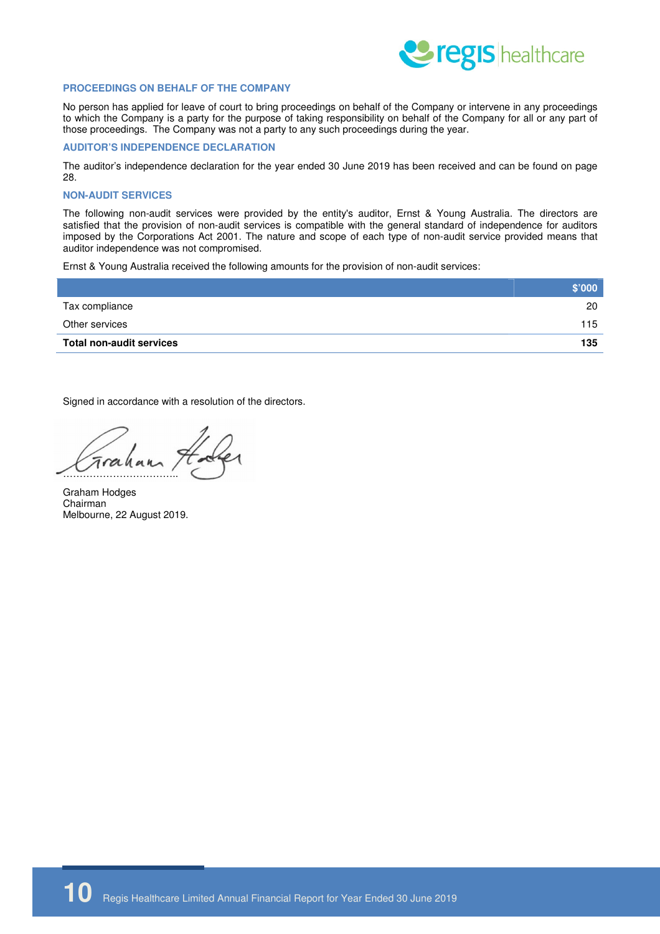

#### **PROCEEDINGS ON BEHALF OF THE COMPANY**

No person has applied for leave of court to bring proceedings on behalf of the Company or intervene in any proceedings to which the Company is a party for the purpose of taking responsibility on behalf of the Company for all or any part of those proceedings. The Company was not a party to any such proceedings during the year.

#### **AUDITOR'S INDEPENDENCE DECLARATION**

The auditor's independence declaration for the year ended 30 June 2019 has been received and can be found on page 28.

#### **NON-AUDIT SERVICES**

The following non-audit services were provided by the entity's auditor, Ernst & Young Australia. The directors are satisfied that the provision of non-audit services is compatible with the general standard of independence for auditors imposed by the Corporations Act 2001. The nature and scope of each type of non-audit service provided means that auditor independence was not compromised.

Ernst & Young Australia received the following amounts for the provision of non-audit services:

|                          | \$'000 |
|--------------------------|--------|
| Tax compliance           | 20     |
| Other services           | 115    |
| Total non-audit services | 135    |

Signed in accordance with a resolution of the directors.

Fraha ……………………………..

Graham Hodges Chairman Melbourne, 22 August 2019.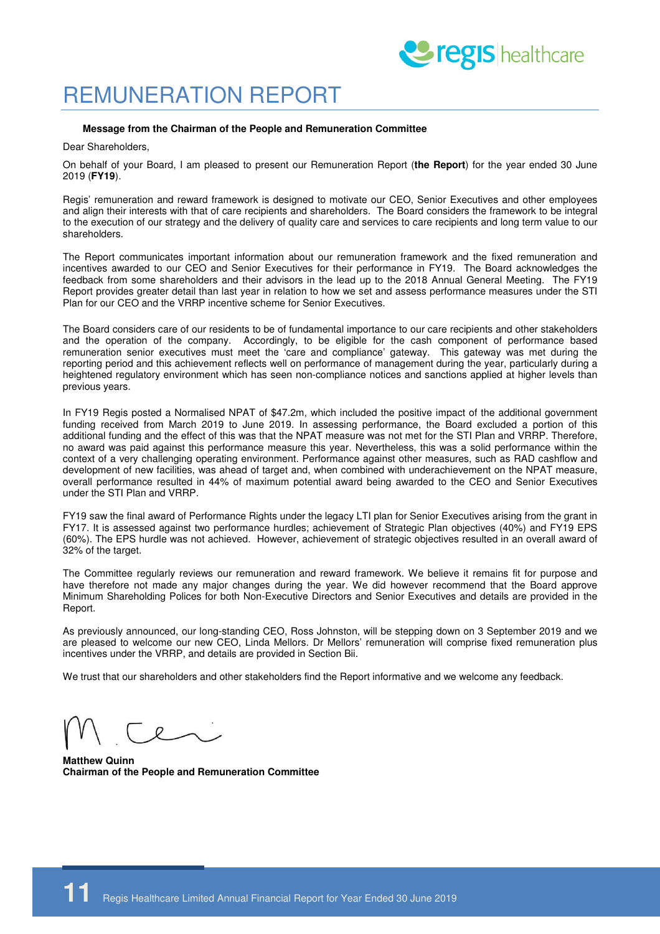

# REMUNERATION REPORT

#### **Message from the Chairman of the People and Remuneration Committee**

Dear Shareholders,

On behalf of your Board, I am pleased to present our Remuneration Report (**the Report**) for the year ended 30 June 2019 (**FY19**).

Regis' remuneration and reward framework is designed to motivate our CEO, Senior Executives and other employees and align their interests with that of care recipients and shareholders. The Board considers the framework to be integral to the execution of our strategy and the delivery of quality care and services to care recipients and long term value to our shareholders.

The Report communicates important information about our remuneration framework and the fixed remuneration and incentives awarded to our CEO and Senior Executives for their performance in FY19. The Board acknowledges the feedback from some shareholders and their advisors in the lead up to the 2018 Annual General Meeting. The FY19 Report provides greater detail than last year in relation to how we set and assess performance measures under the STI Plan for our CEO and the VRRP incentive scheme for Senior Executives.

The Board considers care of our residents to be of fundamental importance to our care recipients and other stakeholders and the operation of the company. Accordingly, to be eligible for the cash component of performance based remuneration senior executives must meet the 'care and compliance' gateway. This gateway was met during the reporting period and this achievement reflects well on performance of management during the year, particularly during a heightened regulatory environment which has seen non-compliance notices and sanctions applied at higher levels than previous years.

In FY19 Regis posted a Normalised NPAT of \$47.2m, which included the positive impact of the additional government funding received from March 2019 to June 2019. In assessing performance, the Board excluded a portion of this additional funding and the effect of this was that the NPAT measure was not met for the STI Plan and VRRP. Therefore, no award was paid against this performance measure this year. Nevertheless, this was a solid performance within the context of a very challenging operating environment. Performance against other measures, such as RAD cashflow and development of new facilities, was ahead of target and, when combined with underachievement on the NPAT measure, overall performance resulted in 44% of maximum potential award being awarded to the CEO and Senior Executives under the STI Plan and VRRP.

FY19 saw the final award of Performance Rights under the legacy LTI plan for Senior Executives arising from the grant in FY17. It is assessed against two performance hurdles; achievement of Strategic Plan objectives (40%) and FY19 EPS (60%). The EPS hurdle was not achieved. However, achievement of strategic objectives resulted in an overall award of 32% of the target.

The Committee regularly reviews our remuneration and reward framework. We believe it remains fit for purpose and have therefore not made any major changes during the year. We did however recommend that the Board approve Minimum Shareholding Polices for both Non-Executive Directors and Senior Executives and details are provided in the Report.

As previously announced, our long-standing CEO, Ross Johnston, will be stepping down on 3 September 2019 and we are pleased to welcome our new CEO, Linda Mellors. Dr Mellors' remuneration will comprise fixed remuneration plus incentives under the VRRP, and details are provided in Section Bii.

We trust that our shareholders and other stakeholders find the Report informative and we welcome any feedback.

**Matthew Quinn Chairman of the People and Remuneration Committee**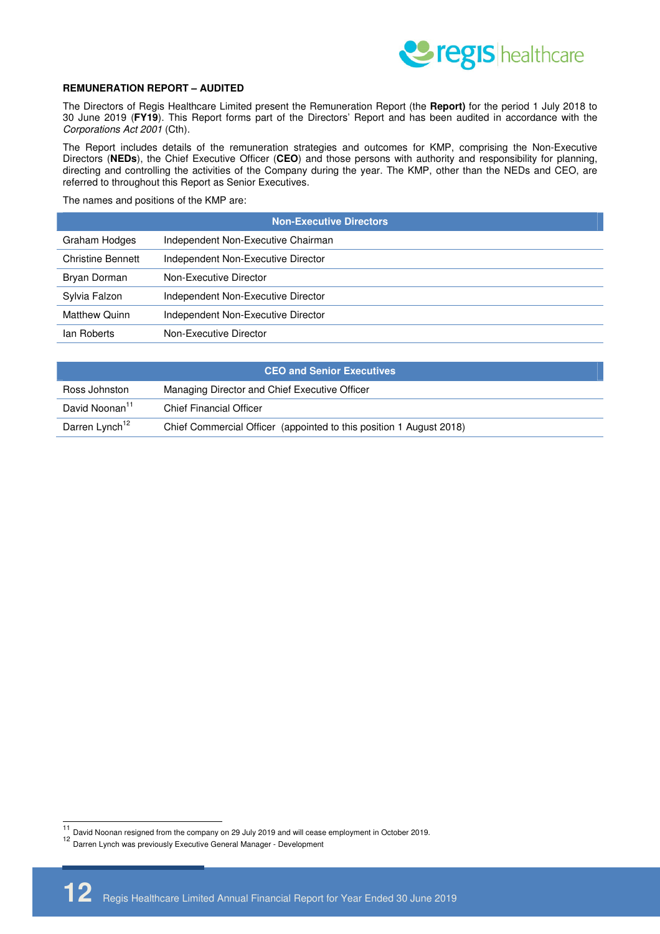

#### **REMUNERATION REPORT – AUDITED**

The Directors of Regis Healthcare Limited present the Remuneration Report (the **Report)** for the period 1 July 2018 to 30 June 2019 (**FY19**). This Report forms part of the Directors' Report and has been audited in accordance with the *Corporations Act 2001* (Cth).

The Report includes details of the remuneration strategies and outcomes for KMP, comprising the Non-Executive Directors (**NEDs**), the Chief Executive Officer (**CEO**) and those persons with authority and responsibility for planning, directing and controlling the activities of the Company during the year. The KMP, other than the NEDs and CEO, are referred to throughout this Report as Senior Executives.

The names and positions of the KMP are:

| <b>Non-Executive Directors</b> |                                    |  |  |  |
|--------------------------------|------------------------------------|--|--|--|
| Graham Hodges                  | Independent Non-Executive Chairman |  |  |  |
| <b>Christine Bennett</b>       | Independent Non-Executive Director |  |  |  |
| Bryan Dorman                   | Non-Executive Director             |  |  |  |
| Sylvia Falzon                  | Independent Non-Executive Director |  |  |  |
| <b>Matthew Quinn</b>           | Independent Non-Executive Director |  |  |  |
| lan Roberts                    | Non-Executive Director             |  |  |  |
|                                |                                    |  |  |  |

| <b>CEO and Senior Executives</b> |                                                                     |  |  |  |  |
|----------------------------------|---------------------------------------------------------------------|--|--|--|--|
| Ross Johnston                    | Managing Director and Chief Executive Officer                       |  |  |  |  |
| David Noonan <sup>11</sup>       | Chief Financial Officer                                             |  |  |  |  |
| Darren Lynch <sup>12</sup>       | Chief Commercial Officer (appointed to this position 1 August 2018) |  |  |  |  |

 $\overline{a}$ 

<sup>&</sup>lt;sup>11</sup> David Noonan resigned from the company on 29 July 2019 and will cease employment in October 2019.

<sup>12</sup> Darren Lynch was previously Executive General Manager - Development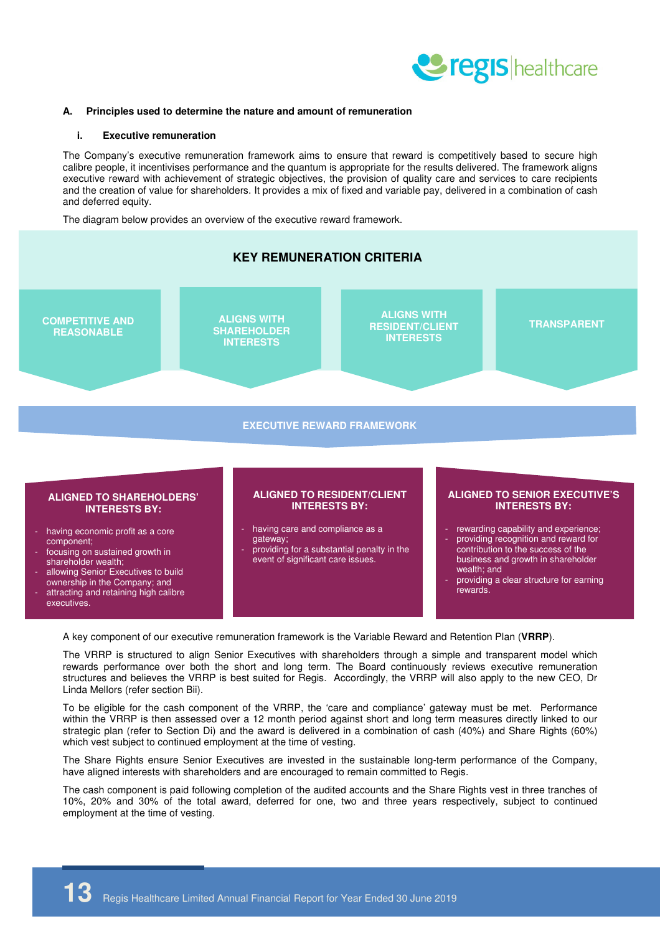

#### **A. Principles used to determine the nature and amount of remuneration**

#### **i. Executive remuneration**

The Company's executive remuneration framework aims to ensure that reward is competitively based to secure high calibre people, it incentivises performance and the quantum is appropriate for the results delivered. The framework aligns executive reward with achievement of strategic objectives, the provision of quality care and services to care recipients and the creation of value for shareholders. It provides a mix of fixed and variable pay, delivered in a combination of cash and deferred equity.

The diagram below provides an overview of the executive reward framework.



Linda Mellors (refer section Bii). To be eligible for the cash component of the VRRP, the 'care and compliance' gateway must be met. Performance within the VRRP is then assessed over a 12 month period against short and long term measures directly linked to our strategic plan (refer to Section Di) and the award is delivered in a combination of cash (40%) and Share Rights (60%) which vest subject to continued employment at the time of vesting.

The Share Rights ensure Senior Executives are invested in the sustainable long-term performance of the Company, have aligned interests with shareholders and are encouraged to remain committed to Regis.

The cash component is paid following completion of the audited accounts and the Share Rights vest in three tranches of 10%, 20% and 30% of the total award, deferred for one, two and three years respectively, subject to continued employment at the time of vesting.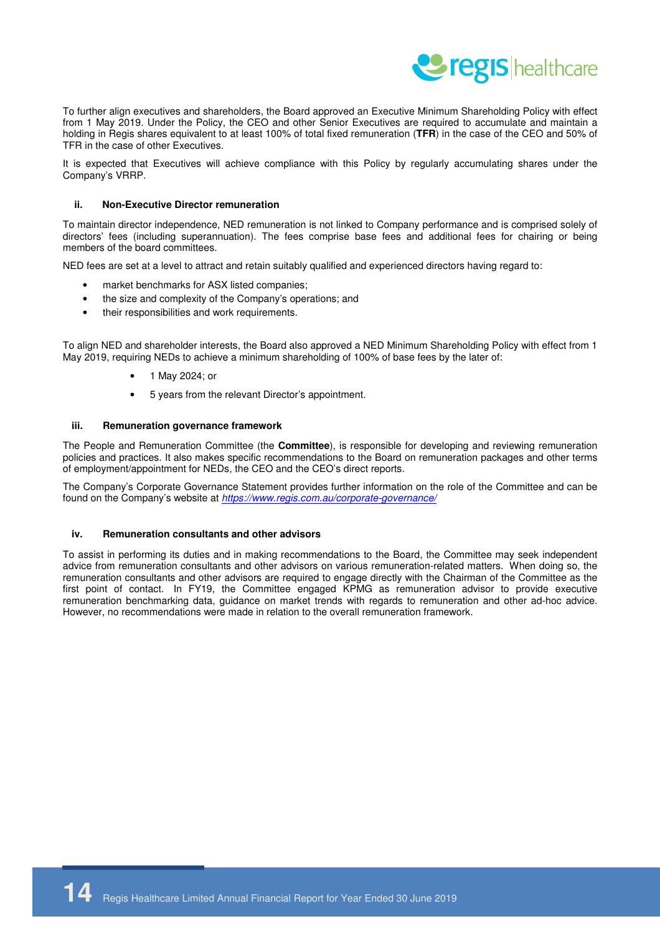

To further align executives and shareholders, the Board approved an Executive Minimum Shareholding Policy with effect from 1 May 2019. Under the Policy, the CEO and other Senior Executives are required to accumulate and maintain a holding in Regis shares equivalent to at least 100% of total fixed remuneration (**TFR**) in the case of the CEO and 50% of TFR in the case of other Executives.

It is expected that Executives will achieve compliance with this Policy by regularly accumulating shares under the Company's VRRP.

#### **ii. Non-Executive Director remuneration**

To maintain director independence, NED remuneration is not linked to Company performance and is comprised solely of directors' fees (including superannuation). The fees comprise base fees and additional fees for chairing or being members of the board committees.

NED fees are set at a level to attract and retain suitably qualified and experienced directors having regard to:

- market benchmarks for ASX listed companies;
- the size and complexity of the Company's operations; and
- their responsibilities and work requirements.

To align NED and shareholder interests, the Board also approved a NED Minimum Shareholding Policy with effect from 1 May 2019, requiring NEDs to achieve a minimum shareholding of 100% of base fees by the later of:

- 1 May 2024; or
- 5 years from the relevant Director's appointment.

#### **iii. Remuneration governance framework**

The People and Remuneration Committee (the **Committee**), is responsible for developing and reviewing remuneration policies and practices. It also makes specific recommendations to the Board on remuneration packages and other terms of employment/appointment for NEDs, the CEO and the CEO's direct reports.

The Company's Corporate Governance Statement provides further information on the role of the Committee and can be found on the Company's website at *https://www.regis.com.au/corporate-governance/* 

#### **iv. Remuneration consultants and other advisors**

To assist in performing its duties and in making recommendations to the Board, the Committee may seek independent advice from remuneration consultants and other advisors on various remuneration-related matters. When doing so, the remuneration consultants and other advisors are required to engage directly with the Chairman of the Committee as the first point of contact. In FY19, the Committee engaged KPMG as remuneration advisor to provide executive remuneration benchmarking data, guidance on market trends with regards to remuneration and other ad-hoc advice. However, no recommendations were made in relation to the overall remuneration framework.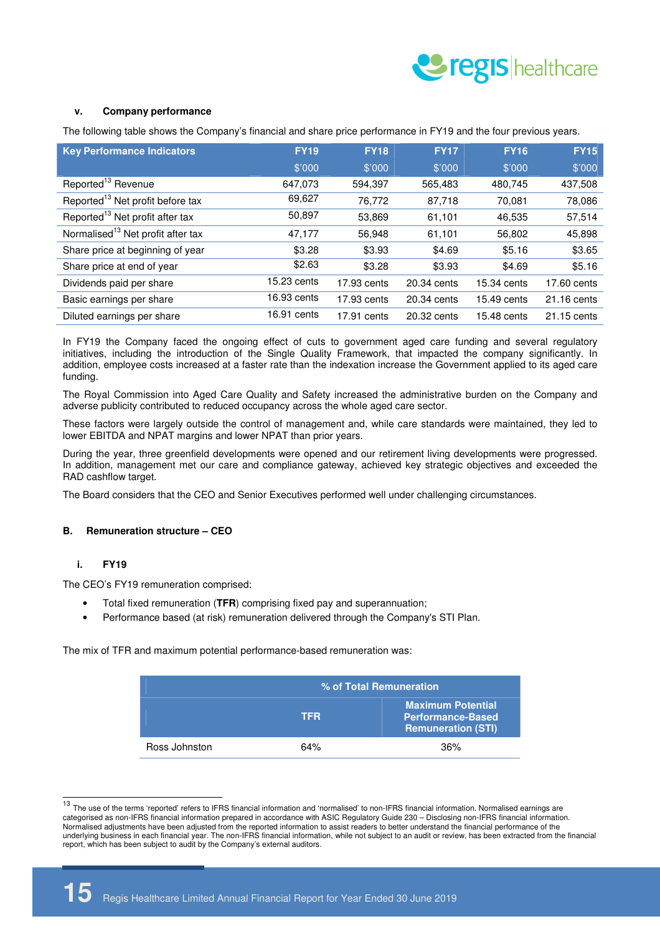

# **v. Company performance**

The following table shows the Company's financial and share price performance in FY19 and the four previous years.

| <b>Key Performance Indicators</b>             | <b>FY19</b>   | <b>FY18</b>   | <b>FY17</b> | <b>FY16</b> | <b>FY15</b> |
|-----------------------------------------------|---------------|---------------|-------------|-------------|-------------|
|                                               | \$'000        | \$'000        | \$'000      | \$'000      | \$'000      |
| Reported <sup>13</sup> Revenue                | 647.073       | 594,397       | 565,483     | 480,745     | 437,508     |
| Reported <sup>13</sup> Net profit before tax  | 69,627        | 76,772        | 87,718      | 70,081      | 78,086      |
| Reported <sup>13</sup> Net profit after tax   | 50,897        | 53,869        | 61,101      | 46,535      | 57,514      |
| Normalised <sup>13</sup> Net profit after tax | 47,177        | 56,948        | 61,101      | 56,802      | 45,898      |
| Share price at beginning of year              | \$3.28        | \$3.93        | \$4.69      | \$5.16      | \$3.65      |
| Share price at end of year                    | \$2.63        | \$3.28        | \$3.93      | \$4.69      | \$5.16      |
| Dividends paid per share                      | 15.23 cents   | 17.93 cents   | 20.34 cents | 15.34 cents | 17.60 cents |
| Basic earnings per share                      | 16.93 cents   | 17.93 cents   | 20.34 cents | 15.49 cents | 21.16 cents |
| Diluted earnings per share                    | $16.91$ cents | $17.91$ cents | 20.32 cents | 15.48 cents | 21.15 cents |

In FY19 the Company faced the ongoing effect of cuts to government aged care funding and several regulatory initiatives, including the introduction of the Single Quality Framework, that impacted the company significantly. In addition, employee costs increased at a faster rate than the indexation increase the Government applied to its aged care funding.

The Royal Commission into Aged Care Quality and Safety increased the administrative burden on the Company and adverse publicity contributed to reduced occupancy across the whole aged care sector.

These factors were largely outside the control of management and, while care standards were maintained, they led to lower EBITDA and NPAT margins and lower NPAT than prior years.

During the year, three greenfield developments were opened and our retirement living developments were progressed. In addition, management met our care and compliance gateway, achieved key strategic objectives and exceeded the RAD cashflow target.

The Board considers that the CEO and Senior Executives performed well under challenging circumstances.

# **B. Remuneration structure – CEO**

# **i. FY19**

 $\overline{a}$ 

The CEO's FY19 remuneration comprised:

- Total fixed remuneration (**TFR**) comprising fixed pay and superannuation;
- Performance based (at risk) remuneration delivered through the Company's STI Plan.

The mix of TFR and maximum potential performance-based remuneration was:

|               | % of Total Remuneration |                                                                                   |  |  |  |
|---------------|-------------------------|-----------------------------------------------------------------------------------|--|--|--|
|               | <b>TFR</b>              | <b>Maximum Potential</b><br><b>Performance-Based</b><br><b>Remuneration (STI)</b> |  |  |  |
| Ross Johnston | 64%                     | 36%                                                                               |  |  |  |

<sup>&</sup>lt;sup>13</sup> The use of the terms 'reported' refers to IFRS financial information and 'normalised' to non-IFRS financial information. Normalised earnings are categorised as non-IFRS financial information prepared in accordance with ASIC Regulatory Guide 230 – Disclosing non-IFRS financial information. Normalised adjustments have been adjusted from the reported information to assist readers to better understand the financial performance of the underlying business in each financial year. The non-IFRS financial information, while not subject to an audit or review, has been extracted from the financial report, which has been subject to audit by the Company's external auditors.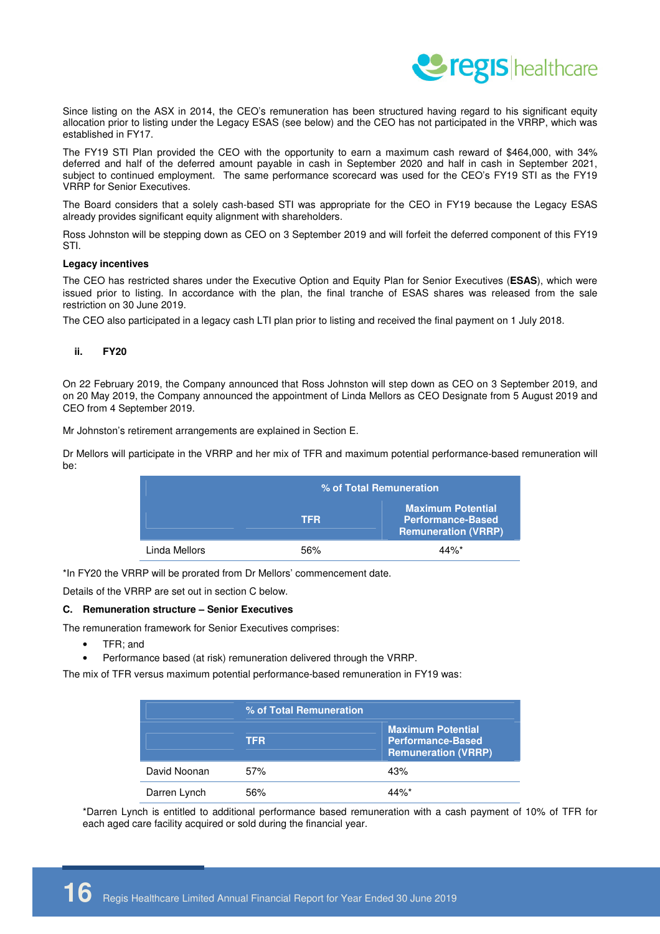

Since listing on the ASX in 2014, the CEO's remuneration has been structured having regard to his significant equity allocation prior to listing under the Legacy ESAS (see below) and the CEO has not participated in the VRRP, which was established in FY17.

The FY19 STI Plan provided the CEO with the opportunity to earn a maximum cash reward of \$464,000, with 34% deferred and half of the deferred amount payable in cash in September 2020 and half in cash in September 2021, subject to continued employment. The same performance scorecard was used for the CEO's FY19 STI as the FY19 VRRP for Senior Executives.

The Board considers that a solely cash-based STI was appropriate for the CEO in FY19 because the Legacy ESAS already provides significant equity alignment with shareholders.

Ross Johnston will be stepping down as CEO on 3 September 2019 and will forfeit the deferred component of this FY19 STI.

#### **Legacy incentives**

The CEO has restricted shares under the Executive Option and Equity Plan for Senior Executives (**ESAS**), which were issued prior to listing. In accordance with the plan, the final tranche of ESAS shares was released from the sale restriction on 30 June 2019.

The CEO also participated in a legacy cash LTI plan prior to listing and received the final payment on 1 July 2018.

# **ii. FY20**

On 22 February 2019, the Company announced that Ross Johnston will step down as CEO on 3 September 2019, and on 20 May 2019, the Company announced the appointment of Linda Mellors as CEO Designate from 5 August 2019 and CEO from 4 September 2019.

Mr Johnston's retirement arrangements are explained in Section E.

Dr Mellors will participate in the VRRP and her mix of TFR and maximum potential performance-based remuneration will be:

|               | % of Total Remuneration |                                                                                    |  |  |  |
|---------------|-------------------------|------------------------------------------------------------------------------------|--|--|--|
|               | <b>TFR</b>              | <b>Maximum Potential</b><br><b>Performance-Based</b><br><b>Remuneration (VRRP)</b> |  |  |  |
| Linda Mellors | 56%                     | $44\%$ *                                                                           |  |  |  |

\*In FY20 the VRRP will be prorated from Dr Mellors' commencement date.

Details of the VRRP are set out in section C below.

#### **C. Remuneration structure – Senior Executives**

The remuneration framework for Senior Executives comprises:

- TFR; and
- Performance based (at risk) remuneration delivered through the VRRP.

The mix of TFR versus maximum potential performance-based remuneration in FY19 was:

|              | % of Total Remuneration |                                                                                    |
|--------------|-------------------------|------------------------------------------------------------------------------------|
|              | <b>TFR</b>              | <b>Maximum Potential</b><br><b>Performance-Based</b><br><b>Remuneration (VRRP)</b> |
| David Noonan | 57%                     | 43%                                                                                |
| Darren Lynch | .56%                    | 44%*                                                                               |

\*Darren Lynch is entitled to additional performance based remuneration with a cash payment of 10% of TFR for each aged care facility acquired or sold during the financial year.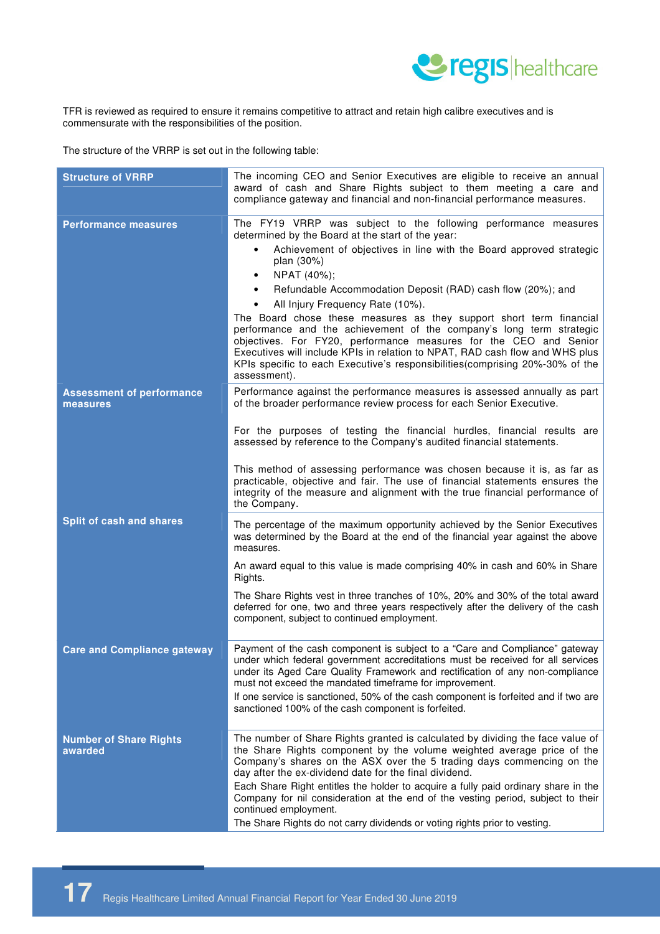

TFR is reviewed as required to ensure it remains competitive to attract and retain high calibre executives and is commensurate with the responsibilities of the position.

The structure of the VRRP is set out in the following table:

| <b>Structure of VRRP</b>                     | The incoming CEO and Senior Executives are eligible to receive an annual<br>award of cash and Share Rights subject to them meeting a care and<br>compliance gateway and financial and non-financial performance measures.                                                                                                                                                                         |  |  |  |  |
|----------------------------------------------|---------------------------------------------------------------------------------------------------------------------------------------------------------------------------------------------------------------------------------------------------------------------------------------------------------------------------------------------------------------------------------------------------|--|--|--|--|
| <b>Performance measures</b>                  | The FY19 VRRP was subject to the following performance measures<br>determined by the Board at the start of the year:<br>Achievement of objectives in line with the Board approved strategic<br>$\bullet$<br>plan (30%)                                                                                                                                                                            |  |  |  |  |
|                                              | NPAT (40%);<br>$\bullet$                                                                                                                                                                                                                                                                                                                                                                          |  |  |  |  |
|                                              | Refundable Accommodation Deposit (RAD) cash flow (20%); and<br>$\bullet$                                                                                                                                                                                                                                                                                                                          |  |  |  |  |
|                                              | All Injury Frequency Rate (10%).<br>$\bullet$                                                                                                                                                                                                                                                                                                                                                     |  |  |  |  |
|                                              | The Board chose these measures as they support short term financial<br>performance and the achievement of the company's long term strategic<br>objectives. For FY20, performance measures for the CEO and Senior<br>Executives will include KPIs in relation to NPAT, RAD cash flow and WHS plus<br>KPIs specific to each Executive's responsibilities (comprising 20%-30% of the<br>assessment). |  |  |  |  |
| <b>Assessment of performance</b><br>measures | Performance against the performance measures is assessed annually as part<br>of the broader performance review process for each Senior Executive.                                                                                                                                                                                                                                                 |  |  |  |  |
|                                              | For the purposes of testing the financial hurdles, financial results are<br>assessed by reference to the Company's audited financial statements.                                                                                                                                                                                                                                                  |  |  |  |  |
|                                              | This method of assessing performance was chosen because it is, as far as<br>practicable, objective and fair. The use of financial statements ensures the<br>integrity of the measure and alignment with the true financial performance of<br>the Company.                                                                                                                                         |  |  |  |  |
| Split of cash and shares                     | The percentage of the maximum opportunity achieved by the Senior Executives<br>was determined by the Board at the end of the financial year against the above<br>measures.                                                                                                                                                                                                                        |  |  |  |  |
|                                              | An award equal to this value is made comprising 40% in cash and 60% in Share<br>Rights.                                                                                                                                                                                                                                                                                                           |  |  |  |  |
|                                              | The Share Rights vest in three tranches of 10%, 20% and 30% of the total award<br>deferred for one, two and three years respectively after the delivery of the cash<br>component, subject to continued employment.                                                                                                                                                                                |  |  |  |  |
| <b>Care and Compliance gateway</b>           | Payment of the cash component is subject to a "Care and Compliance" gateway<br>under which federal government accreditations must be received for all services<br>under its Aged Care Quality Framework and rectification of any non-compliance<br>must not exceed the mandated timeframe for improvement.                                                                                        |  |  |  |  |
|                                              | If one service is sanctioned, 50% of the cash component is forfeited and if two are<br>sanctioned 100% of the cash component is forfeited.                                                                                                                                                                                                                                                        |  |  |  |  |
| <b>Number of Share Rights</b><br>awarded     | The number of Share Rights granted is calculated by dividing the face value of<br>the Share Rights component by the volume weighted average price of the<br>Company's shares on the ASX over the 5 trading days commencing on the<br>day after the ex-dividend date for the final dividend.                                                                                                       |  |  |  |  |
|                                              | Each Share Right entitles the holder to acquire a fully paid ordinary share in the<br>Company for nil consideration at the end of the vesting period, subject to their<br>continued employment.                                                                                                                                                                                                   |  |  |  |  |
|                                              | The Share Rights do not carry dividends or voting rights prior to vesting.                                                                                                                                                                                                                                                                                                                        |  |  |  |  |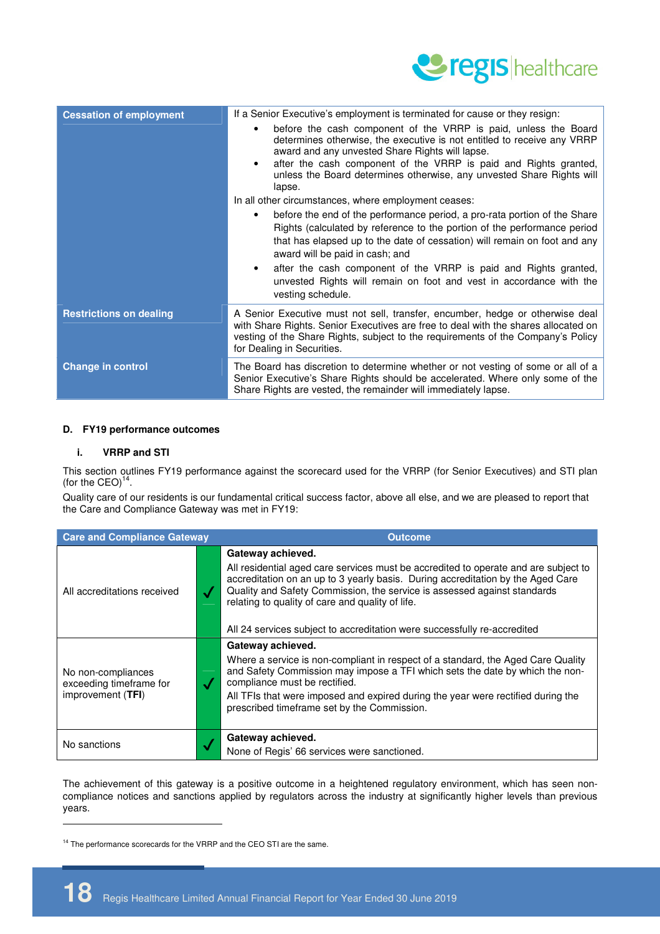

| <b>Cessation of employment</b> | If a Senior Executive's employment is terminated for cause or they resign:                                                                                                                                                                                                                                                                                                                                                                                                                                                                                                                                                                                                                                                                                                                                                                            |  |  |
|--------------------------------|-------------------------------------------------------------------------------------------------------------------------------------------------------------------------------------------------------------------------------------------------------------------------------------------------------------------------------------------------------------------------------------------------------------------------------------------------------------------------------------------------------------------------------------------------------------------------------------------------------------------------------------------------------------------------------------------------------------------------------------------------------------------------------------------------------------------------------------------------------|--|--|
|                                | before the cash component of the VRRP is paid, unless the Board<br>determines otherwise, the executive is not entitled to receive any VRRP<br>award and any unvested Share Rights will lapse.<br>after the cash component of the VRRP is paid and Rights granted,<br>unless the Board determines otherwise, any unvested Share Rights will<br>lapse.<br>In all other circumstances, where employment ceases:<br>before the end of the performance period, a pro-rata portion of the Share<br>Rights (calculated by reference to the portion of the performance period<br>that has elapsed up to the date of cessation) will remain on foot and any<br>award will be paid in cash; and<br>after the cash component of the VRRP is paid and Rights granted,<br>unvested Rights will remain on foot and vest in accordance with the<br>vesting schedule. |  |  |
| <b>Restrictions on dealing</b> | A Senior Executive must not sell, transfer, encumber, hedge or otherwise deal                                                                                                                                                                                                                                                                                                                                                                                                                                                                                                                                                                                                                                                                                                                                                                         |  |  |
|                                | with Share Rights. Senior Executives are free to deal with the shares allocated on<br>vesting of the Share Rights, subject to the requirements of the Company's Policy<br>for Dealing in Securities.                                                                                                                                                                                                                                                                                                                                                                                                                                                                                                                                                                                                                                                  |  |  |
| <b>Change in control</b>       | The Board has discretion to determine whether or not vesting of some or all of a<br>Senior Executive's Share Rights should be accelerated. Where only some of the<br>Share Rights are vested, the remainder will immediately lapse.                                                                                                                                                                                                                                                                                                                                                                                                                                                                                                                                                                                                                   |  |  |

# **D. FY19 performance outcomes**

#### **i. VRRP and STI**

 $\overline{a}$ 

This section outlines FY19 performance against the scorecard used for the VRRP (for Senior Executives) and STI plan (for the CEO) $^{14}$ .

Quality care of our residents is our fundamental critical success factor, above all else, and we are pleased to report that the Care and Compliance Gateway was met in FY19:

| <b>Care and Compliance Gateway</b>                                 |  | <b>Outcome</b>                                                                                                                                                                                                                                                                                                                                                                                          |  |  |  |
|--------------------------------------------------------------------|--|---------------------------------------------------------------------------------------------------------------------------------------------------------------------------------------------------------------------------------------------------------------------------------------------------------------------------------------------------------------------------------------------------------|--|--|--|
| All accreditations received                                        |  | Gateway achieved.<br>All residential aged care services must be accredited to operate and are subject to<br>accreditation on an up to 3 yearly basis. During accreditation by the Aged Care<br>Quality and Safety Commission, the service is assessed against standards<br>relating to quality of care and quality of life.<br>All 24 services subject to accreditation were successfully re-accredited |  |  |  |
| No non-compliances<br>exceeding timeframe for<br>improvement (TFI) |  | Gateway achieved.<br>Where a service is non-compliant in respect of a standard, the Aged Care Quality<br>and Safety Commission may impose a TFI which sets the date by which the non-<br>compliance must be rectified.<br>All TFIs that were imposed and expired during the year were rectified during the<br>prescribed timeframe set by the Commission.                                               |  |  |  |
| No sanctions                                                       |  | Gateway achieved.<br>None of Regis' 66 services were sanctioned.                                                                                                                                                                                                                                                                                                                                        |  |  |  |

The achievement of this gateway is a positive outcome in a heightened regulatory environment, which has seen noncompliance notices and sanctions applied by regulators across the industry at significantly higher levels than previous years.

<sup>&</sup>lt;sup>14</sup> The performance scorecards for the VRRP and the CEO STI are the same.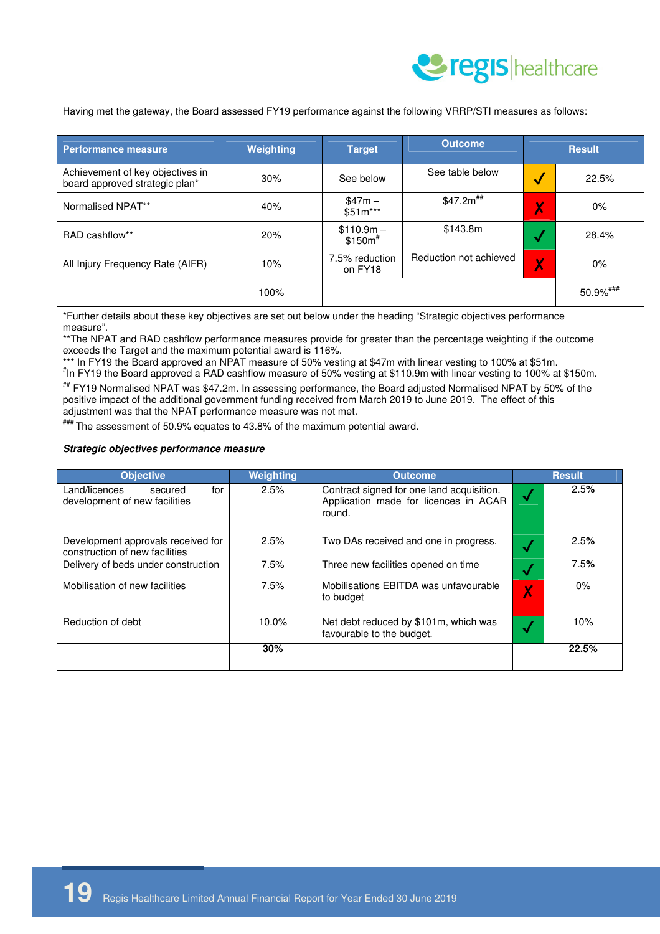

Having met the gateway, the Board assessed FY19 performance against the following VRRP/STI measures as follows:

| <b>Performance measure</b>                                         | Weighting | <b>Target</b>             | <b>Outcome</b>         |                      | <b>Result</b> |
|--------------------------------------------------------------------|-----------|---------------------------|------------------------|----------------------|---------------|
| Achievement of key objectives in<br>board approved strategic plan* | 30%       | See below                 | See table below        | $\blacktriangledown$ | 22.5%         |
| Normalised NPAT**                                                  | 40%       | $$47m -$<br>$$51m***$     | $$47.2m^{***}$         | X                    | $0\%$         |
| RAD cashflow**                                                     | 20%       | $$110.9m -$<br>$$150m^*$  | \$143.8m               | √                    | 28.4%         |
| All Injury Frequency Rate (AIFR)                                   | 10%       | 7.5% reduction<br>on FY18 | Reduction not achieved | X                    | $0\%$         |
|                                                                    | 100%      |                           |                        |                      | $50.9\%$ ###  |

\*Further details about these key objectives are set out below under the heading "Strategic objectives performance measure".

\*\*The NPAT and RAD cashflow performance measures provide for greater than the percentage weighting if the outcome exceeds the Target and the maximum potential award is 116%.

\*\*\* In FY19 the Board approved an NPAT measure of 50% vesting at \$47m with linear vesting to 100% at \$51m. # In FY19 the Board approved a RAD cashflow measure of 50% vesting at \$110.9m with linear vesting to 100% at \$150m.

## FY19 Normalised NPAT was \$47.2m. In assessing performance, the Board adjusted Normalised NPAT by 50% of the positive impact of the additional government funding received from March 2019 to June 2019. The effect of this adjustment was that the NPAT performance measure was not met.

### The assessment of 50.9% equates to 43.8% of the maximum potential award.

# **Strategic objectives performance measure**

| <b>Objective</b>                                                     | Weighting | <b>Outcome</b>                                                                               |                      | <b>Result</b> |
|----------------------------------------------------------------------|-----------|----------------------------------------------------------------------------------------------|----------------------|---------------|
| for<br>Land/licences<br>secured<br>development of new facilities     | 2.5%      | Contract signed for one land acquisition.<br>Application made for licences in ACAR<br>round. | $\blacktriangledown$ | 2.5%          |
| Development approvals received for<br>construction of new facilities | 2.5%      | Two DAs received and one in progress.                                                        | $\blacktriangledown$ | 2.5%          |
| Delivery of beds under construction                                  | 7.5%      | Three new facilities opened on time                                                          | $\blacktriangledown$ | 7.5%          |
| Mobilisation of new facilities                                       | 7.5%      | Mobilisations EBITDA was unfavourable<br>to budget                                           | X                    | $0\%$         |
| Reduction of debt                                                    | 10.0%     | Net debt reduced by \$101m, which was<br>favourable to the budget.                           | $\blacktriangledown$ | 10%           |
|                                                                      | 30%       |                                                                                              |                      | 22.5%         |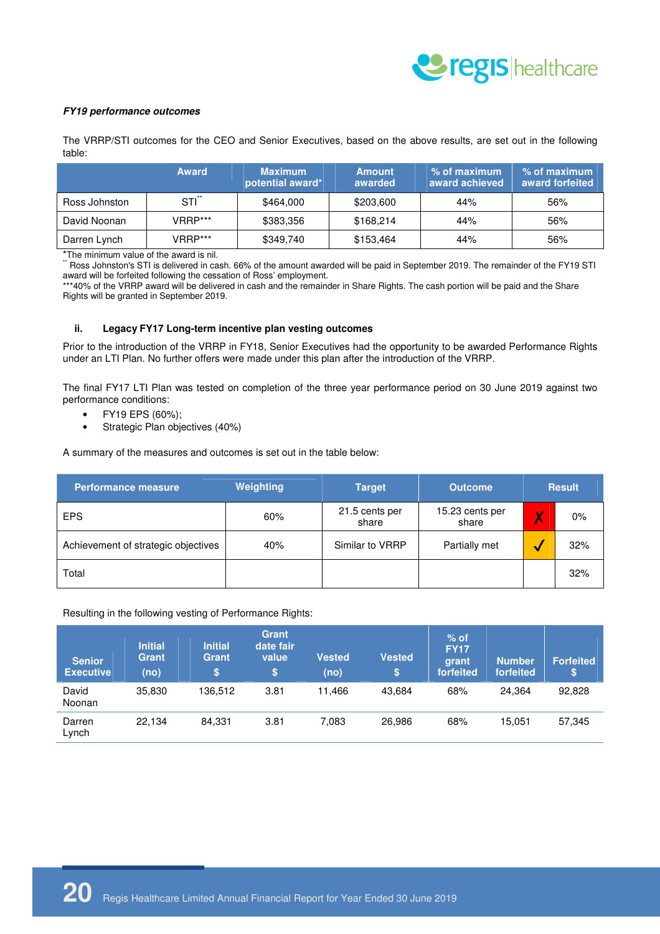

# **FY19 performance outcomes**

The VRRP/STI outcomes for the CEO and Senior Executives, based on the above results, are set out in the following table:

|               | <b>Award</b>  | <b>Maximum</b><br>potential award* | <b>Amount</b><br>awarded | $%$ of maximum<br>award achieved | $%$ of maximum<br>award forfeited |
|---------------|---------------|------------------------------------|--------------------------|----------------------------------|-----------------------------------|
| Ross Johnston | $STI^{\star}$ | \$464,000                          | \$203,600                | 44%                              | 56%                               |
| David Noonan  | VRRP***       | \$383,356                          | \$168,214                | 44%                              | 56%                               |
| Darren Lynch  | VRRP***       | \$349,740                          | \$153,464                | 44%                              | 56%                               |

\*The minimum value of the award is nil.

\*\* Ross Johnston's STI is delivered in cash. 66% of the amount awarded will be paid in September 2019. The remainder of the FY19 STI award will be forfeited following the cessation of Ross' employment.

\*\*\*40% of the VRRP award will be delivered in cash and the remainder in Share Rights. The cash portion will be paid and the Share Rights will be granted in September 2019.

# **ii. Legacy FY17 Long-term incentive plan vesting outcomes**

Prior to the introduction of the VRRP in FY18, Senior Executives had the opportunity to be awarded Performance Rights under an LTI Plan. No further offers were made under this plan after the introduction of the VRRP.

The final FY17 LTI Plan was tested on completion of the three year performance period on 30 June 2019 against two performance conditions:

- FY19 EPS (60%);
- Strategic Plan objectives (40%)

A summary of the measures and outcomes is set out in the table below:

| <b>Performance measure</b>          | Weighting | <b>Target</b>           | <b>Outcome</b>           | <b>Result</b>        |       |  |
|-------------------------------------|-----------|-------------------------|--------------------------|----------------------|-------|--|
| <b>EPS</b>                          | 60%       | 21.5 cents per<br>share | 15.23 cents per<br>share | Х                    | $0\%$ |  |
| Achievement of strategic objectives | 40%       | Similar to VRRP         | Partially met            | $\blacktriangledown$ | 32%   |  |
| Total                               |           |                         |                          |                      | 32%   |  |

Resulting in the following vesting of Performance Rights:

| <b>Senior</b><br><b>Executive</b> | <b>Initial</b><br><b>Grant</b><br>(no) | <b>Initial</b><br><b>Grant</b><br>\$. | Grant<br>date fair<br>value<br>\$ | <b>Vested</b><br>(no) | <b>Vested</b><br>IS, | $%$ of<br><b>FY17</b><br>grant<br>forfeited | <b>Number</b><br>forfeited | <b>Forfeited</b><br>'S |
|-----------------------------------|----------------------------------------|---------------------------------------|-----------------------------------|-----------------------|----------------------|---------------------------------------------|----------------------------|------------------------|
| David<br>Noonan                   | 35,830                                 | 136.512                               | 3.81                              | 11.466                | 43.684               | 68%                                         | 24.364                     | 92,828                 |
| Darren<br>Lynch                   | 22.134                                 | 84,331                                | 3.81                              | 7,083                 | 26,986               | 68%                                         | 15.051                     | 57,345                 |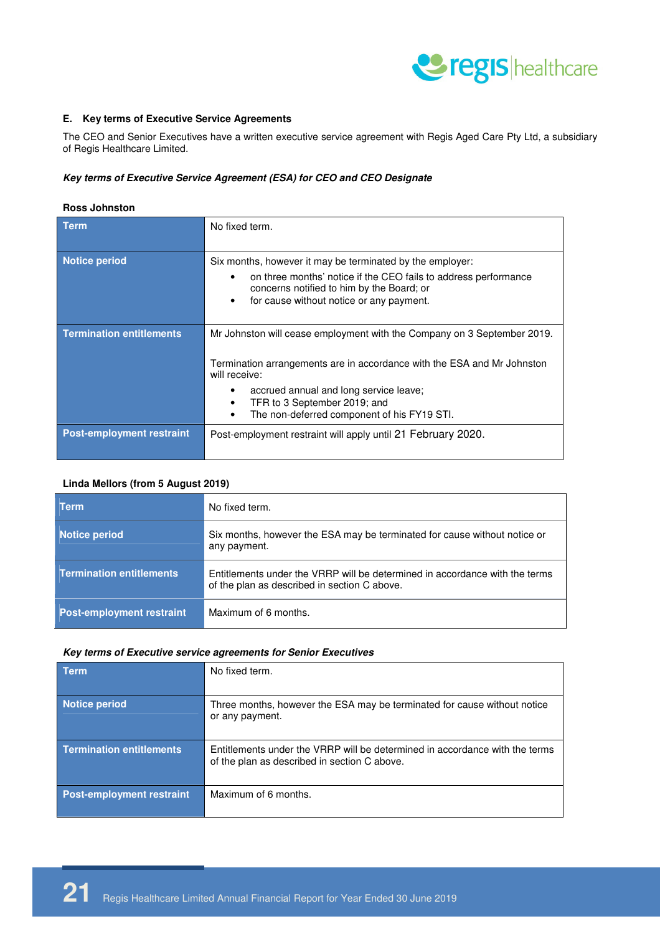

# **E. Key terms of Executive Service Agreements**

The CEO and Senior Executives have a written executive service agreement with Regis Aged Care Pty Ltd, a subsidiary of Regis Healthcare Limited.

# **Key terms of Executive Service Agreement (ESA) for CEO and CEO Designate**

# **Ross Johnston**

| Term                             | No fixed term.                                                                                                                                                                                                                                                                               |
|----------------------------------|----------------------------------------------------------------------------------------------------------------------------------------------------------------------------------------------------------------------------------------------------------------------------------------------|
| <b>Notice period</b>             | Six months, however it may be terminated by the employer:<br>on three months' notice if the CEO fails to address performance<br>$\bullet$<br>concerns notified to him by the Board; or<br>for cause without notice or any payment.<br>$\bullet$                                              |
| <b>Termination entitlements</b>  | Mr Johnston will cease employment with the Company on 3 September 2019.<br>Termination arrangements are in accordance with the ESA and Mr Johnston<br>will receive:<br>accrued annual and long service leave;<br>TFR to 3 September 2019; and<br>The non-deferred component of his FY19 STI. |
| <b>Post-employment restraint</b> | Post-employment restraint will apply until 21 February 2020.                                                                                                                                                                                                                                 |

# **Linda Mellors (from 5 August 2019)**

| Term                             | No fixed term.                                                                                                              |
|----------------------------------|-----------------------------------------------------------------------------------------------------------------------------|
| <b>Notice period</b>             | Six months, however the ESA may be terminated for cause without notice or<br>any payment.                                   |
| Termination entitlements         | Entitlements under the VRRP will be determined in accordance with the terms<br>of the plan as described in section C above. |
| <b>Post-employment restraint</b> | Maximum of 6 months.                                                                                                        |

# **Key terms of Executive service agreements for Senior Executives**

| Term                             | No fixed term.                                                                                                              |
|----------------------------------|-----------------------------------------------------------------------------------------------------------------------------|
| <b>Notice period</b>             | Three months, however the ESA may be terminated for cause without notice<br>or any payment.                                 |
| <b>Termination entitlements</b>  | Entitlements under the VRRP will be determined in accordance with the terms<br>of the plan as described in section C above. |
| <b>Post-employment restraint</b> | Maximum of 6 months.                                                                                                        |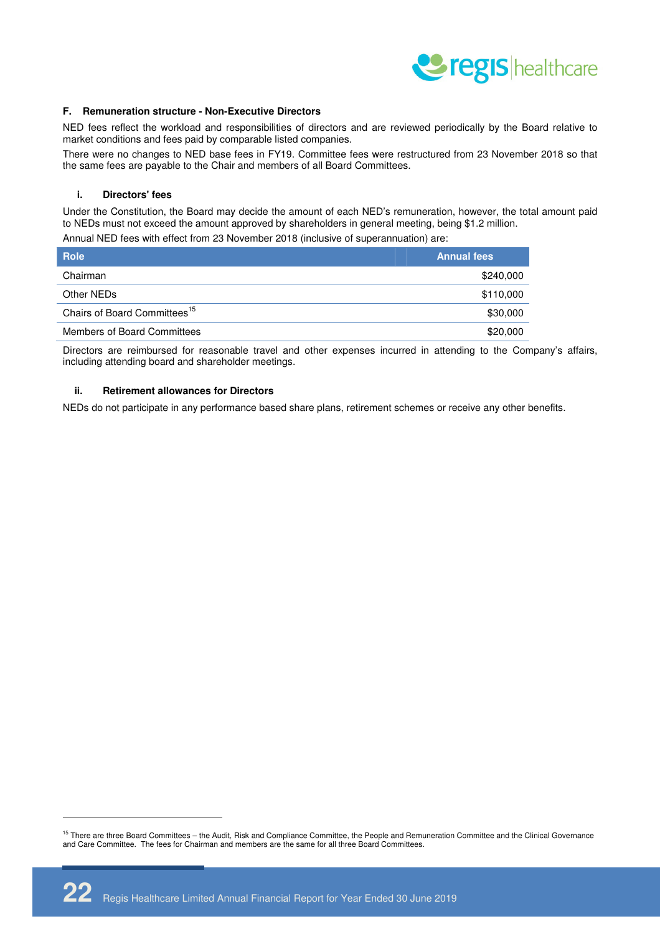

#### **F. Remuneration structure - Non-Executive Directors**

NED fees reflect the workload and responsibilities of directors and are reviewed periodically by the Board relative to market conditions and fees paid by comparable listed companies.

There were no changes to NED base fees in FY19. Committee fees were restructured from 23 November 2018 so that the same fees are payable to the Chair and members of all Board Committees.

#### **i. Directors' fees**

j

Under the Constitution, the Board may decide the amount of each NED's remuneration, however, the total amount paid to NEDs must not exceed the amount approved by shareholders in general meeting, being \$1.2 million.

Annual NED fees with effect from 23 November 2018 (inclusive of superannuation) are:

| <b>Role</b>                              | <b>Annual fees</b> |
|------------------------------------------|--------------------|
| Chairman                                 | \$240,000          |
| Other NEDs                               | \$110,000          |
| Chairs of Board Committees <sup>15</sup> | \$30,000           |
| Members of Board Committees              | \$20,000           |

Directors are reimbursed for reasonable travel and other expenses incurred in attending to the Company's affairs, including attending board and shareholder meetings.

#### **ii. Retirement allowances for Directors**

NEDs do not participate in any performance based share plans, retirement schemes or receive any other benefits.

<sup>&</sup>lt;sup>15</sup> There are three Board Committees - the Audit, Risk and Compliance Committee, the People and Remuneration Committee and the Clinical Governance and Care Committee. The fees for Chairman and members are the same for all three Board Committees.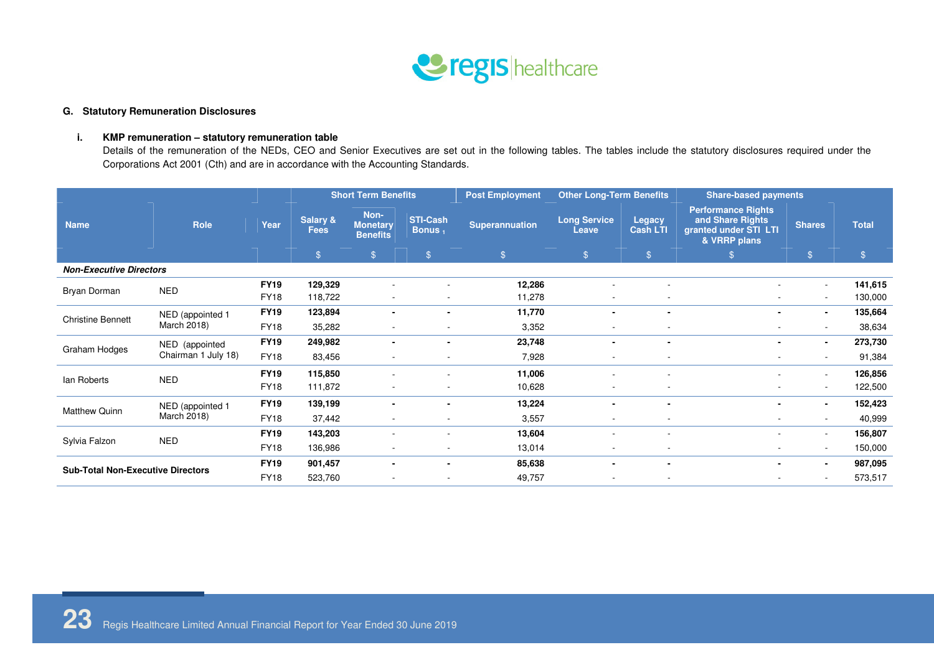

# **G. Statutory Remuneration Disclosures**

### **i. KMP remuneration – statutory remuneration table**

Details of the remuneration of the NEDs, CEO and Senior Executives are set out in the following tables. The tables include the statutory disclosures required under the Corporations Act 2001 (Cth) and are in accordance with the Accounting Standards.

|                                          |                                       |             | <b>Short Term Benefits</b> |                                            |                               | <b>Post Employment</b> | <b>Other Long-Term Benefits</b> |                           | <b>Share-based payments</b>                                                            |                          |              |  |
|------------------------------------------|---------------------------------------|-------------|----------------------------|--------------------------------------------|-------------------------------|------------------------|---------------------------------|---------------------------|----------------------------------------------------------------------------------------|--------------------------|--------------|--|
| <b>Name</b>                              | Role                                  | Year        | Salary &<br><b>Fees</b>    | Non-<br><b>Monetary</b><br><b>Benefits</b> | <b>STI-Cash</b><br>Bonus $_1$ | <b>Superannuation</b>  | <b>Long Service</b><br>Leave    | Legacy<br><b>Cash LTI</b> | <b>Performance Rights</b><br>and Share Rights<br>granted under STI LTI<br>& VRRP plans | <b>Shares</b>            | <b>Total</b> |  |
|                                          |                                       |             | $\mathbb{S}$               | $\mathcal{S}$                              | $$^{\circ}$                   | \$                     | $\mathcal{L}$                   | $$^{\circ}$               | $\mathbf{\$}$                                                                          | \$                       | \$           |  |
| <b>Non-Executive Directors</b>           |                                       |             |                            |                                            |                               |                        |                                 |                           |                                                                                        |                          |              |  |
| Bryan Dorman                             | <b>NED</b>                            | <b>FY19</b> | 129,329                    | ٠                                          |                               | 12,286                 |                                 |                           | $\sim$                                                                                 | $\sim$                   | 141,615      |  |
|                                          |                                       | <b>FY18</b> | 118,722                    | $\overline{\phantom{a}}$                   |                               | 11,278                 | ٠.                              | $\overline{\phantom{a}}$  |                                                                                        | $\sim$                   | 130,000      |  |
| <b>Christine Bennett</b>                 | NED (appointed 1<br>March 2018)       | <b>FY19</b> | 123,894                    | $\blacksquare$                             | $\blacksquare$                | 11,770                 | $\blacksquare$                  | $\blacksquare$            |                                                                                        | $\blacksquare$           | 135,664      |  |
|                                          |                                       | <b>FY18</b> | 35,282                     | $\overline{\phantom{a}}$                   | $\overline{\phantom{a}}$      | 3,352                  | ۰                               | ٠                         | $\sim$                                                                                 | $\overline{\phantom{a}}$ | 38,634       |  |
| Graham Hodges                            | NED (appointed<br>Chairman 1 July 18) | <b>FY19</b> | 249,982                    | $\blacksquare$                             |                               | 23,748                 |                                 | $\blacksquare$            |                                                                                        | $\blacksquare$           | 273,730      |  |
|                                          |                                       | <b>FY18</b> | 83,456                     | $\overline{\phantom{a}}$                   | $\overline{\phantom{a}}$      | 7,928                  | ۰                               | ٠                         |                                                                                        | $\sim$                   | 91,384       |  |
|                                          |                                       | <b>FY19</b> | 115,850                    |                                            |                               | 11,006                 |                                 |                           |                                                                                        | $\sim$                   | 126,856      |  |
| lan Roberts                              | <b>NED</b>                            | <b>FY18</b> | 111,872                    |                                            |                               | 10,628                 |                                 |                           |                                                                                        | $\overline{\phantom{a}}$ | 122,500      |  |
|                                          | NED (appointed 1                      | <b>FY19</b> | 139,199                    |                                            | $\blacksquare$                | 13,224                 |                                 | $\blacksquare$            | $\blacksquare$                                                                         | $\blacksquare$           | 152,423      |  |
| <b>Matthew Quinn</b>                     | March 2018)                           | <b>FY18</b> | 37,442                     | $\overline{\phantom{a}}$                   |                               | 3,557                  | ۰                               | ٠                         |                                                                                        | $\sim$                   | 40,999       |  |
|                                          |                                       | <b>FY19</b> | 143,203                    |                                            |                               | 13,604                 |                                 | ٠                         |                                                                                        | $\sim$                   | 156,807      |  |
| Sylvia Falzon                            | <b>NED</b>                            | <b>FY18</b> | 136,986                    |                                            |                               | 13,014                 | ٠                               | $\overline{\phantom{a}}$  |                                                                                        | $\sim$                   | 150,000      |  |
|                                          |                                       | <b>FY19</b> | 901,457                    | $\blacksquare$                             |                               | 85,638                 |                                 | -                         |                                                                                        |                          | 987,095      |  |
| <b>Sub-Total Non-Executive Directors</b> |                                       | <b>FY18</b> | 523,760                    |                                            |                               | 49,757                 |                                 |                           |                                                                                        |                          | 573,517      |  |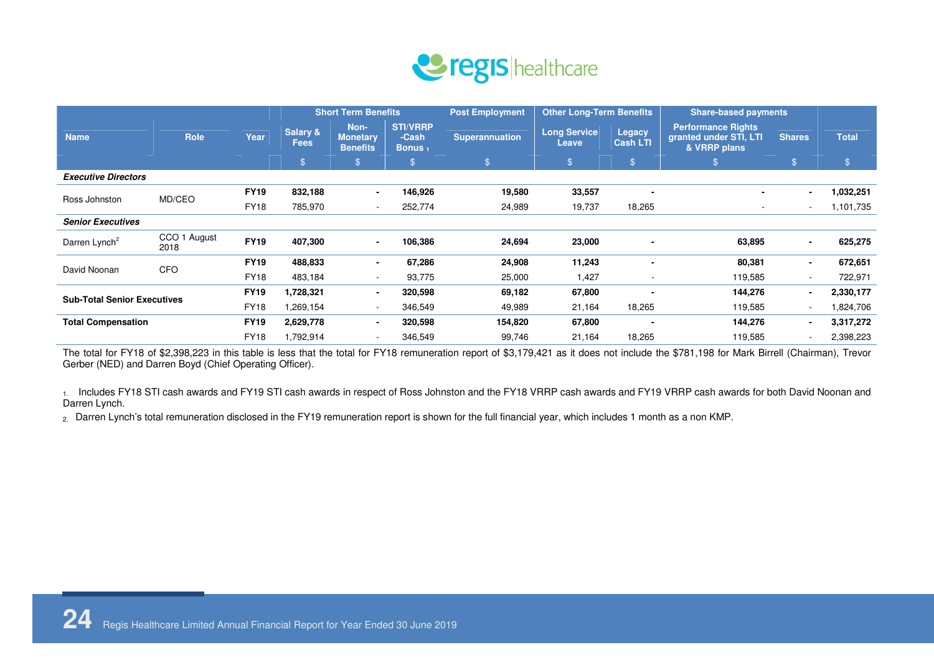

|                                    |                      |             | <b>Short Term Benefits</b>         |                                            | <b>Post Employment</b>                         | <b>Other Long-Term Benefits</b> |                              | <b>Share-based payments</b> |                                                                     |                          |              |
|------------------------------------|----------------------|-------------|------------------------------------|--------------------------------------------|------------------------------------------------|---------------------------------|------------------------------|-----------------------------|---------------------------------------------------------------------|--------------------------|--------------|
| <b>Name</b>                        | Role                 | Year        | <b>Salary &amp;</b><br><b>Fees</b> | Non-<br><b>Monetary</b><br><b>Benefits</b> | <b>STI/VRRP</b><br>-Cash<br>Bonus <sub>1</sub> | <b>Superannuation</b>           | <b>Long Service</b><br>Leave | Legacy<br><b>Cash LTI</b>   | <b>Performance Rights</b><br>granted under STI, LTI<br>& VRRP plans | <b>Shares</b>            | <b>Total</b> |
|                                    |                      |             | $\mathfrak{S}$                     | $\mathfrak{L}$                             | $\mathfrak{F}$                                 | $\mathcal{S}$                   | $\mathbf{\$}$                | $\frac{1}{2}$               | \$                                                                  | $\mathbb{S}$             | \$           |
| <b>Executive Directors</b>         |                      |             |                                    |                                            |                                                |                                 |                              |                             |                                                                     |                          |              |
| Ross Johnston                      | MD/CEO               | <b>FY19</b> | 832,188                            | $\blacksquare$                             | 146,926                                        | 19,580                          | 33,557                       |                             | $\blacksquare$                                                      | $\blacksquare$           | 1,032,251    |
|                                    |                      | <b>FY18</b> | 785,970                            | $\sim$                                     | 252,774                                        | 24,989                          | 19,737                       | 18,265                      | $\sim$                                                              | $\overline{\phantom{a}}$ | 1,101,735    |
| <b>Senior Executives</b>           |                      |             |                                    |                                            |                                                |                                 |                              |                             |                                                                     |                          |              |
| Darren Lynch <sup>2</sup>          | CCO 1 August<br>2018 | <b>FY19</b> | 407,300                            | $\blacksquare$                             | 106,386                                        | 24,694                          | 23,000                       |                             | 63,895                                                              | $\blacksquare$           | 625,275      |
| David Noonan                       | CFO                  | <b>FY19</b> | 488,833                            | $\blacksquare$                             | 67,286                                         | 24,908                          | 11,243                       | $\blacksquare$              | 80,381                                                              | $\blacksquare$           | 672,651      |
|                                    |                      | <b>FY18</b> | 483,184                            | $\sim$                                     | 93,775                                         | 25,000                          | 1,427                        | $\overline{\phantom{a}}$    | 119,585                                                             | $\sim$                   | 722,971      |
|                                    |                      | <b>FY19</b> | 1,728,321                          | $\blacksquare$                             | 320,598                                        | 69,182                          | 67,800                       |                             | 144,276                                                             | $\blacksquare$           | 2,330,177    |
| <b>Sub-Total Senior Executives</b> |                      | <b>FY18</b> | .269,154                           | $\sim$                                     | 346,549                                        | 49,989                          | 21,164                       | 18,265                      | 119,585                                                             | $\sim$                   | 1,824,706    |
| <b>Total Compensation</b>          |                      | <b>FY19</b> | 2,629,778                          | $\sim$                                     | 320,598                                        | 154,820                         | 67,800                       |                             | 144,276                                                             | $\blacksquare$           | 3,317,272    |
|                                    |                      | <b>FY18</b> | 1,792,914                          | $\overline{\phantom{a}}$                   | 346,549                                        | 99,746                          | 21,164                       | 18,265                      | 119,585                                                             |                          | 2,398,223    |

The total for FY18 of \$2,398,223 in this table is less that the total for FY18 remuneration report of \$3,179,421 as it does not include the \$781,198 for Mark Birrell (Chairman), Trevor Gerber (NED) and Darren Boyd (Chief Operating Officer).

1. Includes FY18 STI cash awards and FY19 STI cash awards in respect of Ross Johnston and the FY18 VRRP cash awards and FY19 VRRP cash awards for both David Noonan and Darren Lynch.

2. Darren Lynch's total remuneration disclosed in the FY19 remuneration report is shown for the full financial year, which includes 1 month as a non KMP.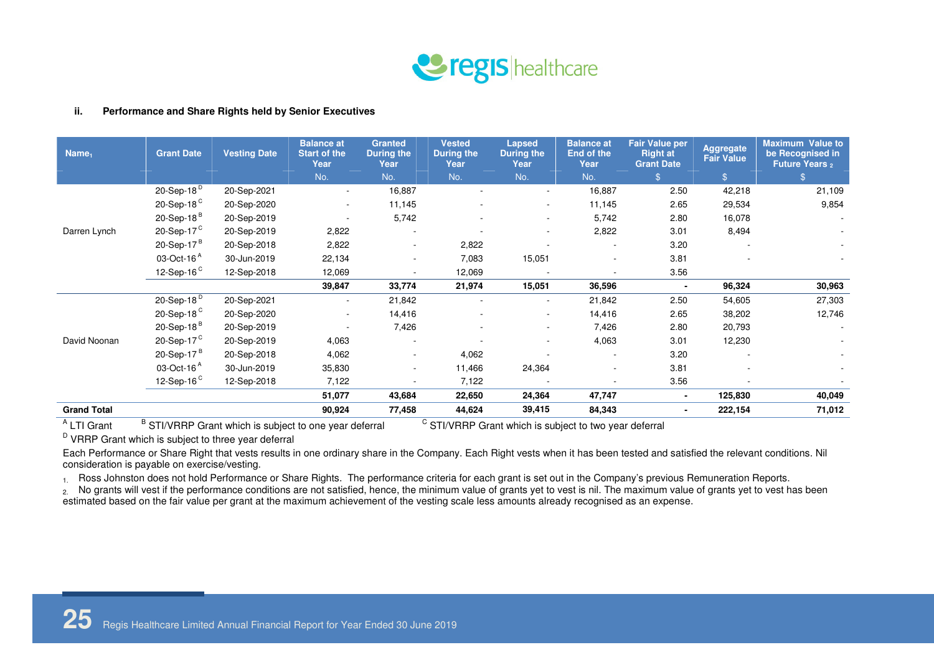

#### **ii. Performance and Share Rights held by Senior Executives**

| Name <sub>1</sub>  | <b>Grant Date</b>      | <b>Vesting Date</b> | <b>Balance at</b><br><b>Start of the</b><br>Year | <b>Granted</b><br><b>During the</b><br>Year | <b>Vested</b><br>During the<br>Year | <b>Lapsed</b><br>During the<br>Year | <b>Balance at</b><br>End of the<br>Year | <b>Fair Value per</b><br><b>Right at</b><br><b>Grant Date</b> | Aggregate<br><b>Fair Value</b> | Maximum Value to<br>be Recognised in<br><b>Future Years</b> <sub>2</sub> |
|--------------------|------------------------|---------------------|--------------------------------------------------|---------------------------------------------|-------------------------------------|-------------------------------------|-----------------------------------------|---------------------------------------------------------------|--------------------------------|--------------------------------------------------------------------------|
|                    |                        |                     | No.                                              | No.                                         | No.                                 | No.                                 | No.                                     | \$                                                            | $\mathbb{S}$                   |                                                                          |
|                    | 20-Sep-18 <sup>D</sup> | 20-Sep-2021         | $\overline{\phantom{a}}$                         | 16,887                                      |                                     |                                     | 16,887                                  | 2.50                                                          | 42,218                         | 21,109                                                                   |
|                    | 20-Sep-18 $C$          | 20-Sep-2020         | ٠                                                | 11,145                                      |                                     | $\overline{\phantom{a}}$            | 11,145                                  | 2.65                                                          | 29,534                         | 9,854                                                                    |
|                    | 20-Sep-18 $B$          | 20-Sep-2019         |                                                  | 5,742                                       |                                     |                                     | 5,742                                   | 2.80                                                          | 16,078                         |                                                                          |
| Darren Lynch       | 20-Sep-17 <sup>C</sup> | 20-Sep-2019         | 2,822                                            |                                             |                                     | $\sim$                              | 2,822                                   | 3.01                                                          | 8,494                          |                                                                          |
|                    | 20-Sep-17 $B$          | 20-Sep-2018         | 2,822                                            | $\overline{\phantom{a}}$                    | 2,822                               |                                     | $\overline{\phantom{a}}$                | 3.20                                                          |                                |                                                                          |
|                    | 03-Oct-16 <sup>A</sup> | 30-Jun-2019         | 22,134                                           | $\overline{\phantom{a}}$                    | 7,083                               | 15,051                              | ٠                                       | 3.81                                                          |                                |                                                                          |
|                    | 12-Sep-16 $C$          | 12-Sep-2018         | 12,069                                           |                                             | 12,069                              |                                     |                                         | 3.56                                                          |                                |                                                                          |
|                    |                        |                     | 39,847                                           | 33,774                                      | 21,974                              | 15,051                              | 36,596                                  | $\blacksquare$                                                | 96,324                         | 30,963                                                                   |
|                    | 20-Sep-18 <sup>D</sup> | 20-Sep-2021         | $\overline{\phantom{a}}$                         | 21,842                                      |                                     | $\overline{\phantom{a}}$            | 21,842                                  | 2.50                                                          | 54,605                         | 27,303                                                                   |
|                    | 20-Sep-18 <sup>C</sup> | 20-Sep-2020         | $\overline{\phantom{a}}$                         | 14,416                                      |                                     | ٠                                   | 14,416                                  | 2.65                                                          | 38,202                         | 12,746                                                                   |
|                    | 20-Sep-18 $B$          | 20-Sep-2019         |                                                  | 7,426                                       |                                     | ۰                                   | 7,426                                   | 2.80                                                          | 20,793                         |                                                                          |
| David Noonan       | 20-Sep-17 <sup>C</sup> | 20-Sep-2019         | 4,063                                            |                                             |                                     | ۰                                   | 4,063                                   | 3.01                                                          | 12,230                         |                                                                          |
|                    | 20-Sep-17 $B$          | 20-Sep-2018         | 4,062                                            |                                             | 4,062                               |                                     | $\overline{\phantom{a}}$                | 3.20                                                          |                                |                                                                          |
|                    | 03-Oct-16 <sup>A</sup> | 30-Jun-2019         | 35,830                                           | ۰                                           | 11,466                              | 24,364                              |                                         | 3.81                                                          |                                |                                                                          |
|                    | 12-Sep-16 $^{\circ}$   | 12-Sep-2018         | 7,122                                            |                                             | 7,122                               |                                     | $\overline{\phantom{a}}$                | 3.56                                                          |                                |                                                                          |
|                    |                        |                     | 51,077                                           | 43,684                                      | 22,650                              | 24,364                              | 47,747                                  |                                                               | 125,830                        | 40,049                                                                   |
| <b>Grand Total</b> |                        |                     | 90,924                                           | 77,458                                      | 44,624                              | 39,415                              | 84,343                                  |                                                               | 222,154                        | 71,012                                                                   |

 $A$  LTI Grant  $B$  STI/VRRP Grant which is subject to one year deferral  $C$  STI/VRRP Grant which is subject to two year deferral

 $D$  VRRP Grant which is subject to three year deferral

 Each Performance or Share Right that vests results in one ordinary share in the Company. Each Right vests when it has been tested and satisfied the relevant conditions. Nil consideration is payable on exercise/vesting.

1. Ross Johnston does not hold Performance or Share Rights. The performance criteria for each grant is set out in the Company's previous Remuneration Reports.

2. No grants will vest if the performance conditions are not satisfied, hence, the minimum value of grants yet to west is nil. The maximum value of grants yet to vest has been estimated based on the fair value per grant at the maximum achievement of the vesting scale less amounts already recognised as an expense.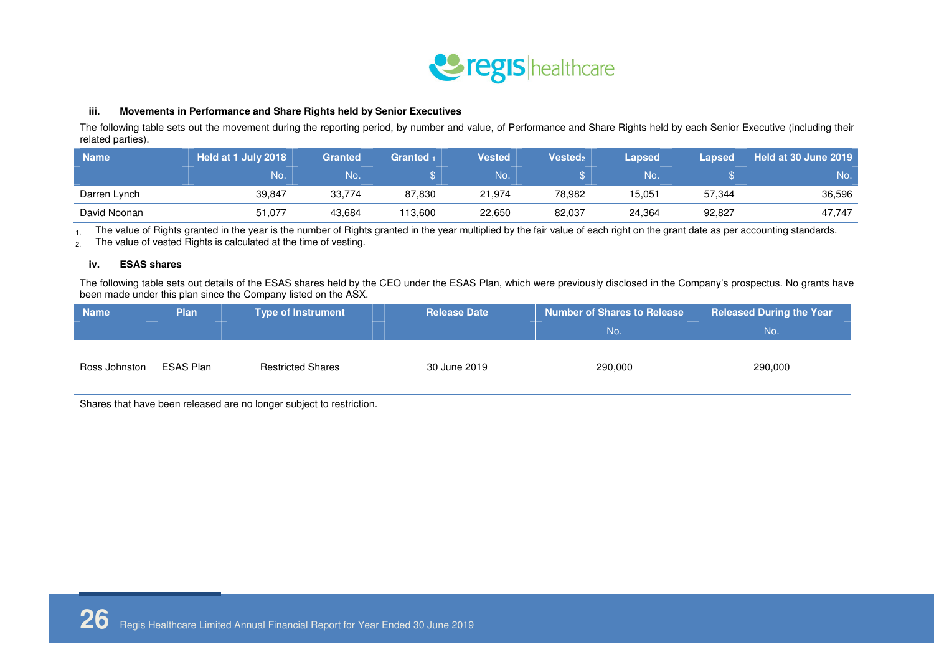

#### **iii. Movements in Performance and Share Rights held by Senior Executives**

The following table sets out the movement during the reporting period, by number and value, of Performance and Share Rights held by each Senior Executive (including their related parties).

| <b>Name</b>  | Held at 1 July 2018 | <b>Granted</b> | Granted 1 | Vested | Vested <sub>2</sub> | Lapsed | Lapsed | Held at 30 June 2019 |
|--------------|---------------------|----------------|-----------|--------|---------------------|--------|--------|----------------------|
|              | No.                 | No.            |           | No.    |                     | No.    |        | No.                  |
| Darren Lynch | 39.847              | 33.774         | 87.830    | 21.974 | 78.982              | 15.051 | 57.344 | 36.596               |
| David Noonan | 51,077              | 43,684         | 13,600    | 22,650 | 82,037              | 24,364 | 92,827 | 47,747               |

<sub>1.</sub> The value of Rights granted in the year is the number of Rights granted in the year multiplied by the fair value of each right on the grant date as per accounting standards.

<sup>2</sup>. The value of vested Rights is calculated at the time of vesting.

# **iv. ESAS shares**

The following table sets out details of the ESAS shares held by the CEO under the ESAS Plan, which were previously disclosed in the Company's prospectus. No grants have been made under this plan since the Company listed on the ASX.

| <b>Name</b>   | <b>Plan</b>      | <b>Type of Instrument</b> | <b>Release Date</b> | <b>Number of Shares to Release</b> | <b>Released During the Year</b> |
|---------------|------------------|---------------------------|---------------------|------------------------------------|---------------------------------|
|               |                  |                           |                     | No.                                | No.                             |
| Ross Johnston | <b>ESAS Plan</b> | <b>Restricted Shares</b>  | 30 June 2019        | 290,000                            | 290,000                         |

Shares that have been released are no longer subject to restriction.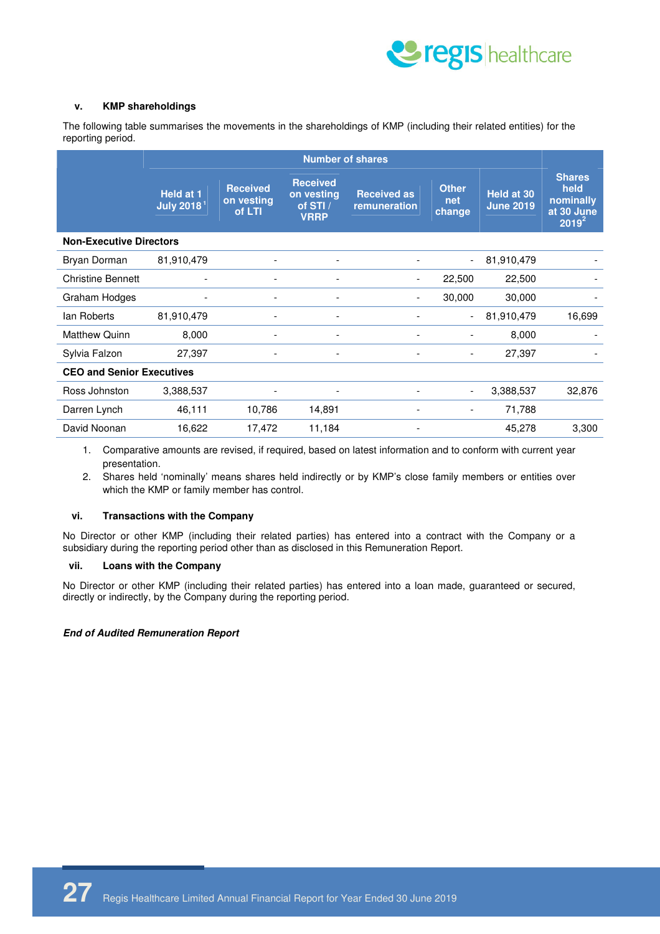

# **v. KMP shareholdings**

The following table summarises the movements in the shareholdings of KMP (including their related entities) for the reporting period.

|                                  | <b>Number of shares</b>                    |                                         |                                                            |                                    |                               |                                |                                                              |  |  |  |
|----------------------------------|--------------------------------------------|-----------------------------------------|------------------------------------------------------------|------------------------------------|-------------------------------|--------------------------------|--------------------------------------------------------------|--|--|--|
|                                  | Held at 1<br><b>July 2018</b> <sup>1</sup> | <b>Received</b><br>on vesting<br>of LTI | <b>Received</b><br>on vesting<br>of STI $/$<br><b>VRRP</b> | <b>Received as</b><br>remuneration | <b>Other</b><br>net<br>change | Held at 30<br><b>June 2019</b> | <b>Shares</b><br>held<br>nominally<br>at 30 June<br>$2019^2$ |  |  |  |
| <b>Non-Executive Directors</b>   |                                            |                                         |                                                            |                                    |                               |                                |                                                              |  |  |  |
| Bryan Dorman                     | 81,910,479                                 |                                         |                                                            |                                    | $\overline{\phantom{a}}$      | 81,910,479                     |                                                              |  |  |  |
| <b>Christine Bennett</b>         |                                            |                                         |                                                            | $\overline{\phantom{a}}$           | 22,500                        | 22,500                         |                                                              |  |  |  |
| Graham Hodges                    |                                            | $\overline{\phantom{a}}$                | $\overline{\phantom{a}}$                                   | $\overline{\phantom{a}}$           | 30,000                        | 30,000                         |                                                              |  |  |  |
| lan Roberts                      | 81,910,479                                 |                                         | $\overline{\phantom{a}}$                                   |                                    | $\overline{\phantom{0}}$      | 81,910,479                     | 16,699                                                       |  |  |  |
| <b>Matthew Quinn</b>             | 8,000                                      |                                         | $\overline{\phantom{a}}$                                   |                                    |                               | 8,000                          |                                                              |  |  |  |
| Sylvia Falzon                    | 27,397                                     |                                         |                                                            |                                    |                               | 27,397                         |                                                              |  |  |  |
| <b>CEO and Senior Executives</b> |                                            |                                         |                                                            |                                    |                               |                                |                                                              |  |  |  |
| Ross Johnston                    | 3,388,537                                  |                                         | $\overline{\phantom{a}}$                                   |                                    | $\overline{\phantom{a}}$      | 3,388,537                      | 32,876                                                       |  |  |  |
| Darren Lynch                     | 46,111                                     | 10,786                                  | 14,891                                                     |                                    |                               | 71,788                         |                                                              |  |  |  |
| David Noonan                     | 16,622                                     | 17,472                                  | 11,184                                                     | $\overline{\phantom{a}}$           |                               | 45,278                         | 3,300                                                        |  |  |  |

1. Comparative amounts are revised, if required, based on latest information and to conform with current year presentation.

2. Shares held 'nominally' means shares held indirectly or by KMP's close family members or entities over which the KMP or family member has control.

# **vi. Transactions with the Company**

No Director or other KMP (including their related parties) has entered into a contract with the Company or a subsidiary during the reporting period other than as disclosed in this Remuneration Report.

### **vii. Loans with the Company**

No Director or other KMP (including their related parties) has entered into a loan made, guaranteed or secured, directly or indirectly, by the Company during the reporting period.

#### **End of Audited Remuneration Report**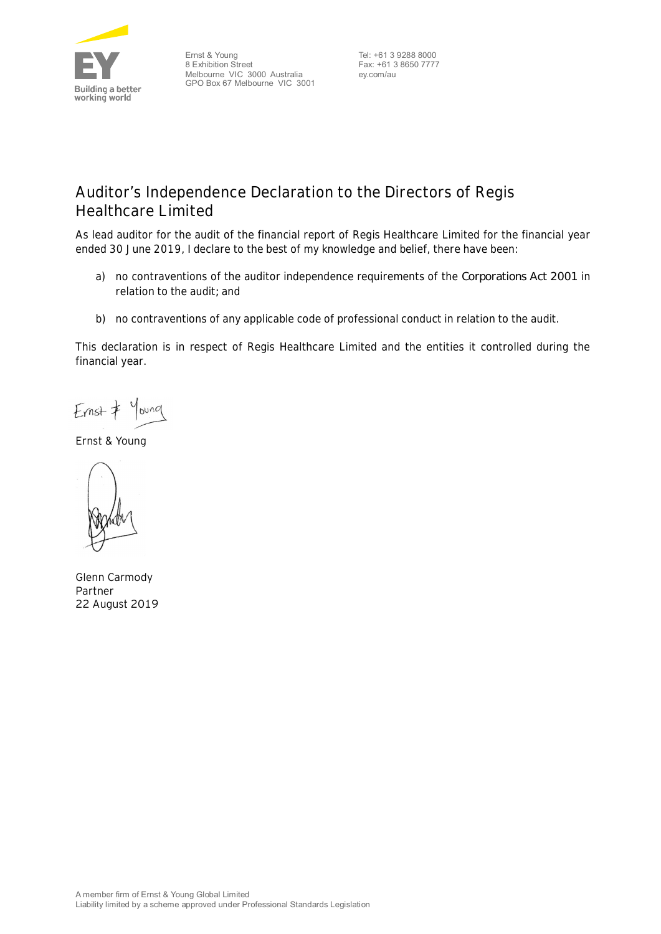

Ernst & Young 8 Exhibition Street Melbourne VIC 3000 Australia GPO Box 67 Melbourne VIC 3001

Tel: +61 3 9288 8000 Fax: +61 3 8650 7777 ey.com/au

# **Auditor's Independence Declaration to the Directors of Regis Healthcare Limited**

As lead auditor for the audit of the financial report of Regis Healthcare Limited for the financial year ended 30 June 2019, I declare to the best of my knowledge and belief, there have been:

- a) no contraventions of the auditor independence requirements of the *Corporations Act 2001* in relation to the audit*;* and
- b) no contraventions of any applicable code of professional conduct in relation to the audit.

This declaration is in respect of Regis Healthcare Limited and the entities it controlled during the financial year.

Ernst & Young

Ernst & Young

Glenn Carmody Partner 22 August 2019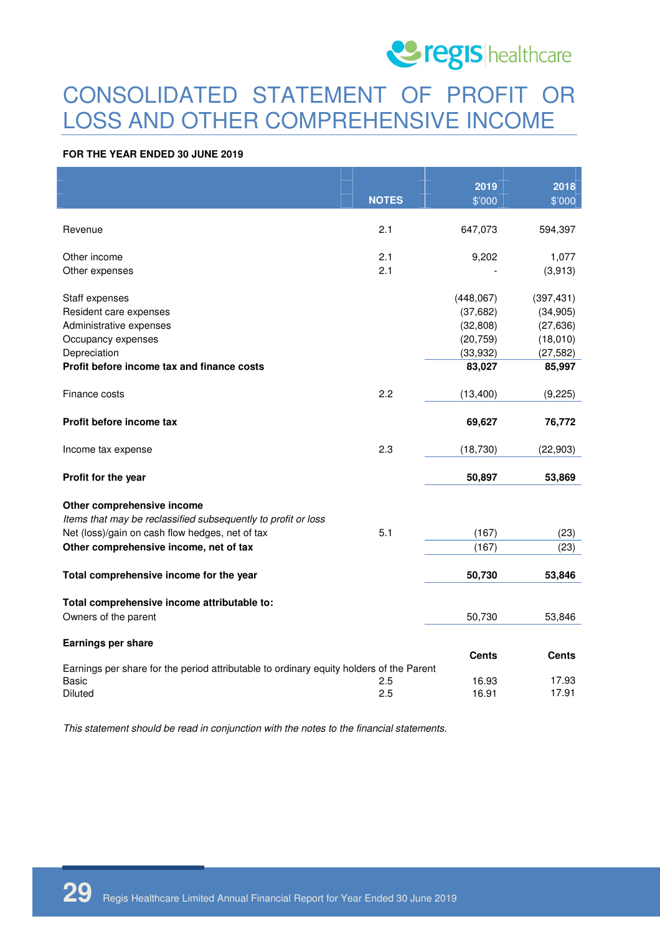

# CONSOLIDATED STATEMENT OF PROFIT OR LOSS AND OTHER COMPREHENSIVE INCOME

# **FOR THE YEAR ENDED 30 JUNE 2019**

|                                                                                         |              | 2019         | 2018         |
|-----------------------------------------------------------------------------------------|--------------|--------------|--------------|
|                                                                                         | <b>NOTES</b> | \$'000       | \$'000       |
| Revenue                                                                                 | 2.1          | 647,073      | 594,397      |
|                                                                                         |              |              |              |
| Other income                                                                            | 2.1          | 9,202        | 1,077        |
| Other expenses                                                                          | 2.1          |              | (3,913)      |
| Staff expenses                                                                          |              | (448,067)    | (397, 431)   |
| Resident care expenses                                                                  |              | (37,682)     | (34, 905)    |
| Administrative expenses                                                                 |              | (32, 808)    | (27, 636)    |
| Occupancy expenses                                                                      |              | (20, 759)    | (18,010)     |
| Depreciation                                                                            |              | (33, 932)    | (27, 582)    |
| Profit before income tax and finance costs                                              |              | 83,027       | 85,997       |
|                                                                                         |              |              |              |
| Finance costs                                                                           | 2.2          | (13,400)     | (9,225)      |
| Profit before income tax                                                                |              | 69,627       | 76,772       |
| Income tax expense                                                                      | 2.3          | (18,730)     | (22, 903)    |
| Profit for the year                                                                     |              | 50,897       | 53,869       |
|                                                                                         |              |              |              |
| Other comprehensive income                                                              |              |              |              |
| Items that may be reclassified subsequently to profit or loss                           |              |              |              |
| Net (loss)/gain on cash flow hedges, net of tax                                         | 5.1          | (167)        | (23)         |
| Other comprehensive income, net of tax                                                  |              | (167)        | (23)         |
| Total comprehensive income for the year                                                 |              | 50,730       | 53,846       |
|                                                                                         |              |              |              |
| Total comprehensive income attributable to:                                             |              |              |              |
| Owners of the parent                                                                    |              | 50,730       | 53,846       |
| <b>Earnings per share</b>                                                               |              |              |              |
|                                                                                         |              | <b>Cents</b> | <b>Cents</b> |
| Earnings per share for the period attributable to ordinary equity holders of the Parent |              |              |              |
| Basic                                                                                   | 2.5          | 16.93        | 17.93        |
| Diluted                                                                                 | 2.5          | 16.91        | 17.91        |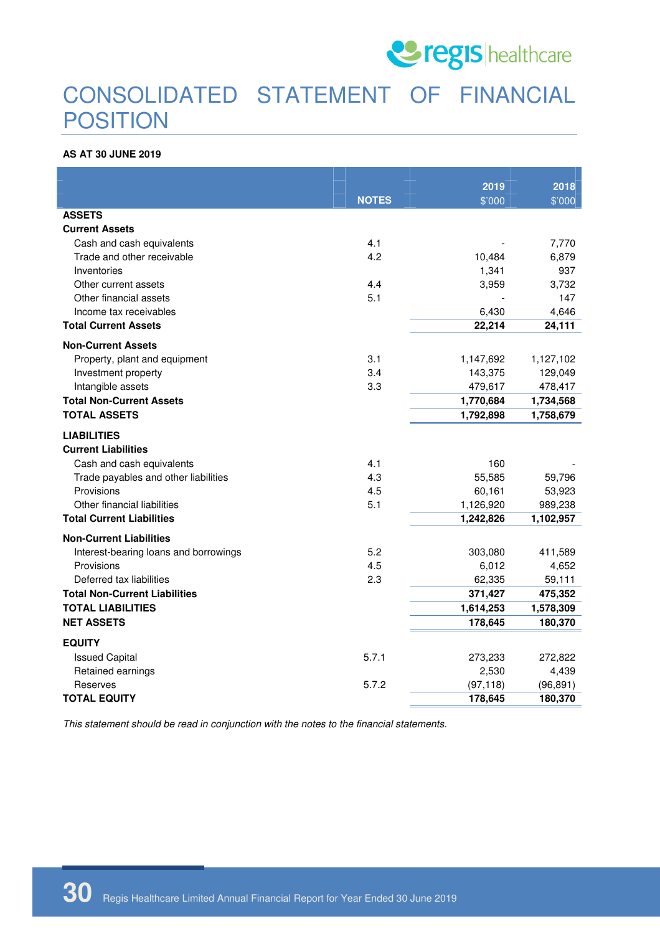

# CONSOLIDATED STATEMENT OF FINANCIAL **POSITION**

# **AS AT 30 JUNE 2019**

|                                       |              | 2019      | 2018      |
|---------------------------------------|--------------|-----------|-----------|
|                                       | <b>NOTES</b> | \$'000    | \$'000    |
| <b>ASSETS</b>                         |              |           |           |
| <b>Current Assets</b>                 |              |           |           |
| Cash and cash equivalents             | 4.1          |           | 7,770     |
| Trade and other receivable            | 4.2          | 10,484    | 6,879     |
| Inventories                           |              | 1,341     | 937       |
| Other current assets                  | 4.4          | 3,959     | 3,732     |
| Other financial assets                | 5.1          |           | 147       |
| Income tax receivables                |              | 6,430     | 4,646     |
| <b>Total Current Assets</b>           |              | 22,214    | 24,111    |
| <b>Non-Current Assets</b>             |              |           |           |
| Property, plant and equipment         | 3.1          | 1,147,692 | 1,127,102 |
| Investment property                   | 3.4          | 143,375   | 129,049   |
| Intangible assets                     | 3.3          | 479,617   | 478,417   |
| <b>Total Non-Current Assets</b>       |              | 1,770,684 | 1,734,568 |
| <b>TOTAL ASSETS</b>                   |              | 1,792,898 | 1,758,679 |
| <b>LIABILITIES</b>                    |              |           |           |
| <b>Current Liabilities</b>            |              |           |           |
| Cash and cash equivalents             | 4.1          | 160       |           |
| Trade payables and other liabilities  | 4.3          | 55,585    | 59,796    |
| Provisions                            | 4.5          | 60,161    | 53,923    |
| Other financial liabilities           | 5.1          | 1,126,920 | 989,238   |
| <b>Total Current Liabilities</b>      |              | 1,242,826 | 1,102,957 |
| <b>Non-Current Liabilities</b>        |              |           |           |
| Interest-bearing loans and borrowings | 5.2          | 303,080   | 411,589   |
| Provisions                            | 4.5          | 6,012     | 4,652     |
| Deferred tax liabilities              | 2.3          | 62,335    | 59,111    |
| <b>Total Non-Current Liabilities</b>  |              | 371,427   | 475,352   |
| <b>TOTAL LIABILITIES</b>              |              | 1,614,253 | 1,578,309 |
| <b>NET ASSETS</b>                     |              | 178,645   | 180,370   |
| <b>EQUITY</b>                         |              |           |           |
| <b>Issued Capital</b>                 | 5.7.1        | 273,233   | 272,822   |
| Retained earnings                     |              | 2,530     | 4,439     |
| Reserves                              | 5.7.2        | (97, 118) | (96, 891) |
| <b>TOTAL EQUITY</b>                   |              | 178,645   | 180,370   |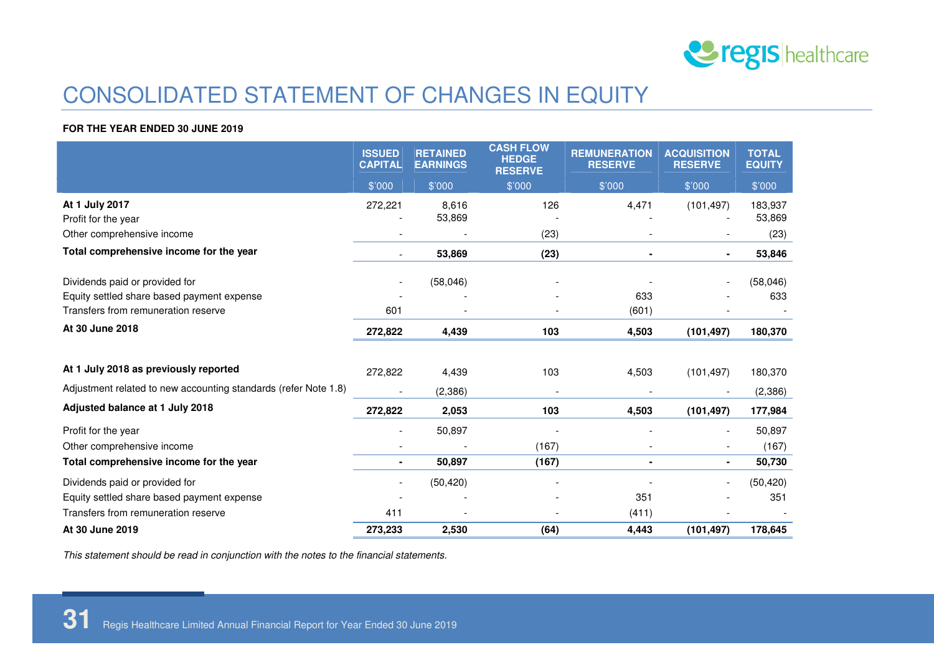

# CONSOLIDATED STATEMENT OF CHANGES IN EQUITY

# **FOR THE YEAR ENDED 30 JUNE 2019**

|                                                                 | <b>ISSUED</b><br><b>CAPITAL</b> | <b>RETAINED</b><br><b>EARNINGS</b> | <b>CASH FLOW</b><br><b>HEDGE</b><br><b>RESERVE</b> | <b>REMUNERATION</b><br><b>RESERVE</b> | <b>ACQUISITION</b><br><b>RESERVE</b> | <b>TOTAL</b><br><b>EQUITY</b> |
|-----------------------------------------------------------------|---------------------------------|------------------------------------|----------------------------------------------------|---------------------------------------|--------------------------------------|-------------------------------|
|                                                                 | \$'000                          | \$'000                             | \$'000                                             | \$'000                                | \$'000                               | \$'000                        |
| At 1 July 2017<br>Profit for the year                           | 272,221                         | 8,616<br>53,869                    | 126                                                | 4,471                                 | (101, 497)                           | 183,937<br>53,869             |
| Other comprehensive income                                      |                                 |                                    | (23)                                               |                                       |                                      | (23)                          |
| Total comprehensive income for the year                         |                                 | 53,869                             | (23)                                               | $\blacksquare$                        | $\blacksquare$                       | 53,846                        |
| Dividends paid or provided for                                  |                                 | (58,046)                           |                                                    |                                       |                                      | (58,046)                      |
| Equity settled share based payment expense                      |                                 |                                    |                                                    | 633                                   |                                      | 633                           |
| Transfers from remuneration reserve                             | 601                             |                                    |                                                    | (601)                                 |                                      |                               |
| At 30 June 2018                                                 | 272,822                         | 4,439                              | 103                                                | 4,503                                 | (101, 497)                           | 180,370                       |
|                                                                 |                                 |                                    |                                                    |                                       |                                      |                               |
| At 1 July 2018 as previously reported                           | 272,822                         | 4,439                              | 103                                                | 4,503                                 | (101, 497)                           | 180,370                       |
| Adjustment related to new accounting standards (refer Note 1.8) |                                 | (2,386)                            |                                                    |                                       |                                      | (2,386)                       |
| Adjusted balance at 1 July 2018                                 | 272,822                         | 2,053                              | 103                                                | 4,503                                 | (101, 497)                           | 177,984                       |
| Profit for the year                                             |                                 | 50,897                             |                                                    |                                       |                                      | 50,897                        |
| Other comprehensive income                                      |                                 |                                    | (167)                                              |                                       |                                      | (167)                         |
| Total comprehensive income for the year                         | $\blacksquare$                  | 50,897                             | (167)                                              | $\blacksquare$                        | $\blacksquare$                       | 50,730                        |
| Dividends paid or provided for                                  | $\overline{\phantom{a}}$        | (50, 420)                          |                                                    |                                       |                                      | (50, 420)                     |
| Equity settled share based payment expense                      |                                 |                                    |                                                    | 351                                   |                                      | 351                           |
| Transfers from remuneration reserve                             | 411                             |                                    |                                                    | (411)                                 |                                      |                               |
| At 30 June 2019                                                 | 273,233                         | 2,530                              | (64)                                               | 4,443                                 | (101, 497)                           | 178,645                       |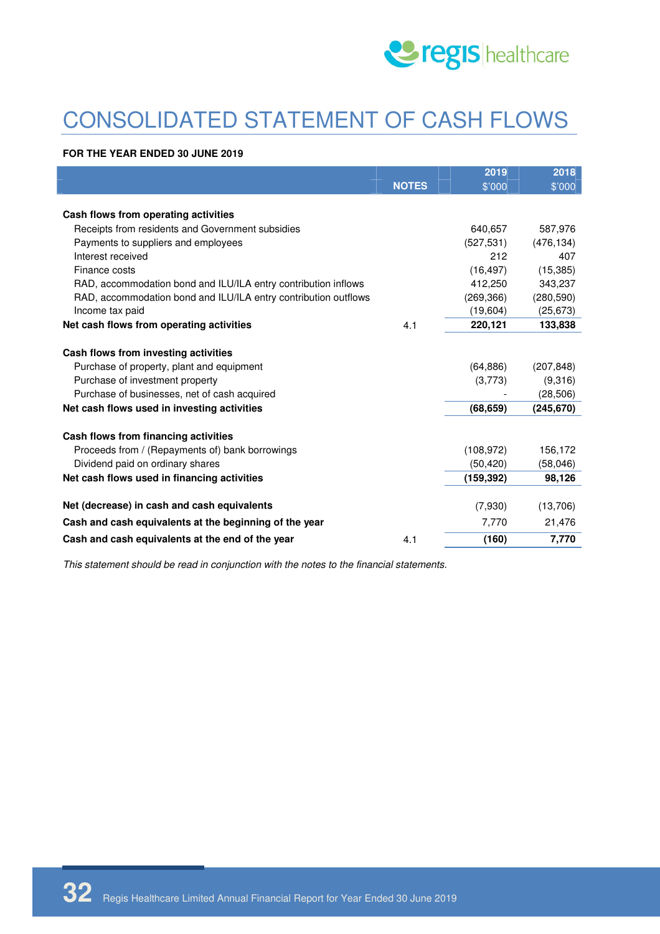

# CONSOLIDATED STATEMENT OF CASH FLOWS

# **FOR THE YEAR ENDED 30 JUNE 2019**

|                                                                 |              | 2019       | 2018       |
|-----------------------------------------------------------------|--------------|------------|------------|
|                                                                 | <b>NOTES</b> | \$'000     | \$'000     |
|                                                                 |              |            |            |
| Cash flows from operating activities                            |              |            |            |
| Receipts from residents and Government subsidies                |              | 640,657    | 587,976    |
| Payments to suppliers and employees                             |              | (527, 531) | (476, 134) |
| Interest received                                               |              | 212        | 407        |
| Finance costs                                                   |              | (16, 497)  | (15, 385)  |
| RAD, accommodation bond and ILU/ILA entry contribution inflows  |              | 412,250    | 343,237    |
| RAD, accommodation bond and ILU/ILA entry contribution outflows |              | (269, 366) | (280, 590) |
| Income tax paid                                                 |              | (19,604)   | (25, 673)  |
| Net cash flows from operating activities                        | 4.1          | 220,121    | 133,838    |
|                                                                 |              |            |            |
| Cash flows from investing activities                            |              |            |            |
| Purchase of property, plant and equipment                       |              | (64, 886)  | (207, 848) |
| Purchase of investment property                                 |              | (3,773)    | (9,316)    |
| Purchase of businesses, net of cash acquired                    |              |            | (28, 506)  |
| Net cash flows used in investing activities                     |              | (68, 659)  | (245, 670) |
| Cash flows from financing activities                            |              |            |            |
| Proceeds from / (Repayments of) bank borrowings                 |              | (108, 972) | 156,172    |
| Dividend paid on ordinary shares                                |              | (50, 420)  | (58,046)   |
| Net cash flows used in financing activities                     |              | (159, 392) | 98,126     |
|                                                                 |              |            |            |
| Net (decrease) in cash and cash equivalents                     |              | (7,930)    | (13,706)   |
| Cash and cash equivalents at the beginning of the year          |              | 7,770      | 21,476     |
| Cash and cash equivalents at the end of the year                | 4.1          | (160)      | 7,770      |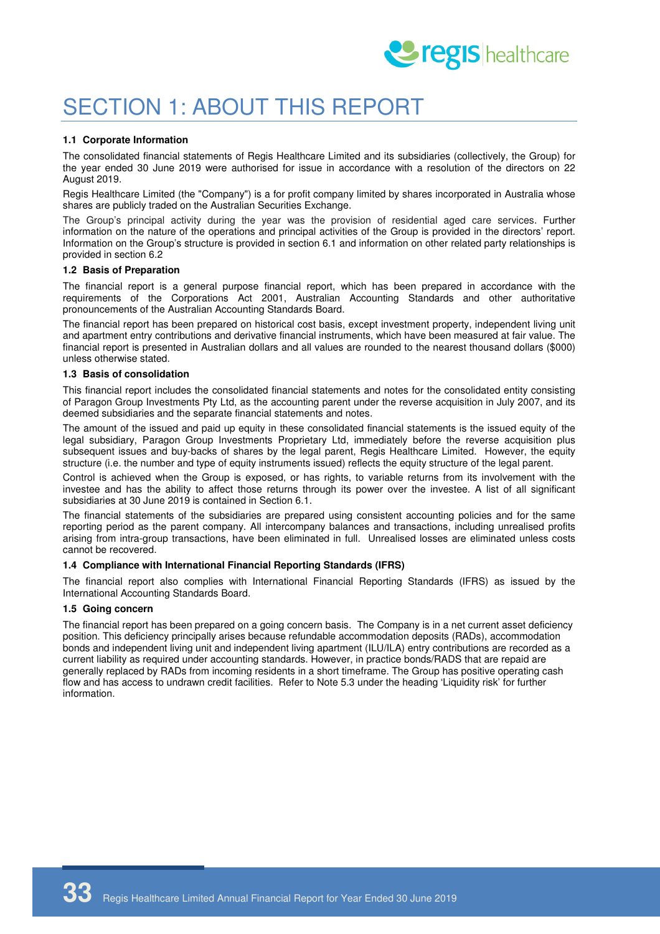

# SECTION 1: ABOUT THIS REPORT

#### **1.1 Corporate Information**

The consolidated financial statements of Regis Healthcare Limited and its subsidiaries (collectively, the Group) for the year ended 30 June 2019 were authorised for issue in accordance with a resolution of the directors on 22 August 2019.

Regis Healthcare Limited (the "Company") is a for profit company limited by shares incorporated in Australia whose shares are publicly traded on the Australian Securities Exchange.

The Group's principal activity during the year was the provision of residential aged care services. Further information on the nature of the operations and principal activities of the Group is provided in the directors' report. Information on the Group's structure is provided in section 6.1 and information on other related party relationships is provided in section 6.2

# **1.2 Basis of Preparation**

The financial report is a general purpose financial report, which has been prepared in accordance with the requirements of the Corporations Act 2001, Australian Accounting Standards and other authoritative pronouncements of the Australian Accounting Standards Board.

The financial report has been prepared on historical cost basis, except investment property, independent living unit and apartment entry contributions and derivative financial instruments, which have been measured at fair value. The financial report is presented in Australian dollars and all values are rounded to the nearest thousand dollars (\$000) unless otherwise stated.

# **1.3 Basis of consolidation**

This financial report includes the consolidated financial statements and notes for the consolidated entity consisting of Paragon Group Investments Pty Ltd, as the accounting parent under the reverse acquisition in July 2007, and its deemed subsidiaries and the separate financial statements and notes.

The amount of the issued and paid up equity in these consolidated financial statements is the issued equity of the legal subsidiary, Paragon Group Investments Proprietary Ltd, immediately before the reverse acquisition plus subsequent issues and buy-backs of shares by the legal parent, Regis Healthcare Limited. However, the equity structure (i.e. the number and type of equity instruments issued) reflects the equity structure of the legal parent.

Control is achieved when the Group is exposed, or has rights, to variable returns from its involvement with the investee and has the ability to affect those returns through its power over the investee. A list of all significant subsidiaries at 30 June 2019 is contained in Section 6.1.

The financial statements of the subsidiaries are prepared using consistent accounting policies and for the same reporting period as the parent company. All intercompany balances and transactions, including unrealised profits arising from intra-group transactions, have been eliminated in full. Unrealised losses are eliminated unless costs cannot be recovered.

# **1.4 Compliance with International Financial Reporting Standards (IFRS)**

The financial report also complies with International Financial Reporting Standards (IFRS) as issued by the International Accounting Standards Board.

# **1.5 Going concern**

The financial report has been prepared on a going concern basis. The Company is in a net current asset deficiency position. This deficiency principally arises because refundable accommodation deposits (RADs), accommodation bonds and independent living unit and independent living apartment (ILU/ILA) entry contributions are recorded as a current liability as required under accounting standards. However, in practice bonds/RADS that are repaid are generally replaced by RADs from incoming residents in a short timeframe. The Group has positive operating cash flow and has access to undrawn credit facilities. Refer to Note 5.3 under the heading 'Liquidity risk' for further information.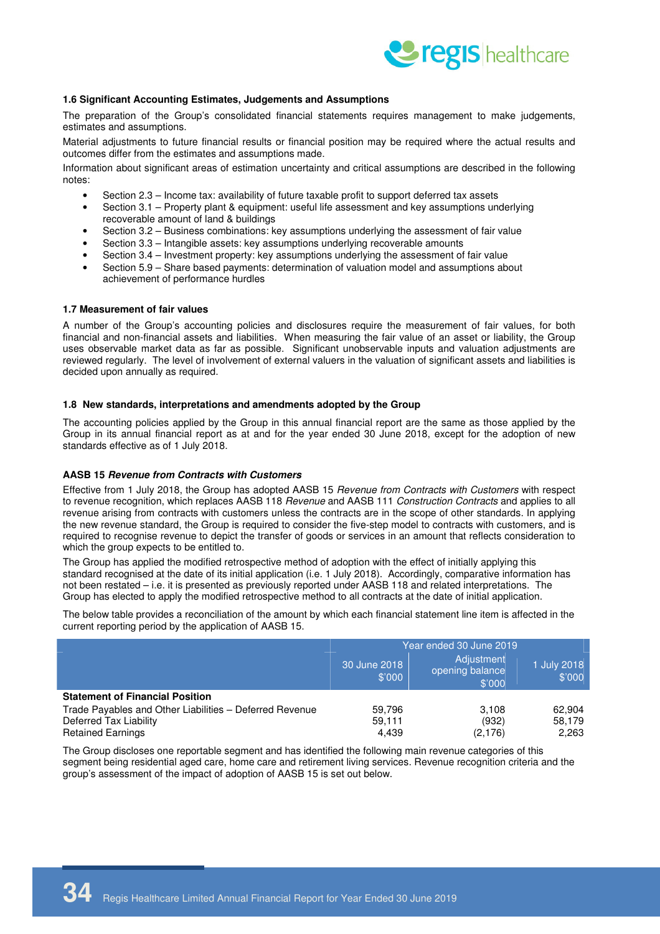

# **1.6 Significant Accounting Estimates, Judgements and Assumptions**

The preparation of the Group's consolidated financial statements requires management to make judgements, estimates and assumptions.

Material adjustments to future financial results or financial position may be required where the actual results and outcomes differ from the estimates and assumptions made.

Information about significant areas of estimation uncertainty and critical assumptions are described in the following notes:

- Section 2.3 Income tax: availability of future taxable profit to support deferred tax assets
- Section 3.1 Property plant & equipment: useful life assessment and key assumptions underlying recoverable amount of land & buildings
- Section 3.2 Business combinations: key assumptions underlying the assessment of fair value
- Section 3.3 Intangible assets: key assumptions underlying recoverable amounts
- Section 3.4 Investment property: key assumptions underlying the assessment of fair value
- Section 5.9 Share based payments: determination of valuation model and assumptions about achievement of performance hurdles

#### **1.7 Measurement of fair values**

A number of the Group's accounting policies and disclosures require the measurement of fair values, for both financial and non-financial assets and liabilities. When measuring the fair value of an asset or liability, the Group uses observable market data as far as possible. Significant unobservable inputs and valuation adjustments are reviewed regularly. The level of involvement of external valuers in the valuation of significant assets and liabilities is decided upon annually as required.

#### **1.8 New standards, interpretations and amendments adopted by the Group**

The accounting policies applied by the Group in this annual financial report are the same as those applied by the Group in its annual financial report as at and for the year ended 30 June 2018, except for the adoption of new standards effective as of 1 July 2018.

#### **AASB 15 Revenue from Contracts with Customers**

Effective from 1 July 2018, the Group has adopted AASB 15 *Revenue from Contracts with Customers* with respect to revenue recognition, which replaces AASB 118 *Revenue* and AASB 111 *Construction Contracts* and applies to all revenue arising from contracts with customers unless the contracts are in the scope of other standards. In applying the new revenue standard, the Group is required to consider the five-step model to contracts with customers, and is required to recognise revenue to depict the transfer of goods or services in an amount that reflects consideration to which the group expects to be entitled to.

The Group has applied the modified retrospective method of adoption with the effect of initially applying this standard recognised at the date of its initial application (i.e. 1 July 2018). Accordingly, comparative information has not been restated – i.e. it is presented as previously reported under AASB 118 and related interpretations. The Group has elected to apply the modified retrospective method to all contracts at the date of initial application.

The below table provides a reconciliation of the amount by which each financial statement line item is affected in the current reporting period by the application of AASB 15.

|                                                         | Year ended 30 June 2019 |                                         |                       |
|---------------------------------------------------------|-------------------------|-----------------------------------------|-----------------------|
|                                                         | 30 June 2018<br>\$'000  | Adjustment<br>opening balance<br>\$'000 | 1 July 2018<br>\$'000 |
| <b>Statement of Financial Position</b>                  |                         |                                         |                       |
| Trade Payables and Other Liabilities - Deferred Revenue | 59.796                  | 3.108                                   | 62.904                |
| Deferred Tax Liability                                  | 59.111                  | (932)                                   | 58,179                |
| <b>Retained Earnings</b>                                | 4,439                   | (2,176)                                 | 2,263                 |

The Group discloses one reportable segment and has identified the following main revenue categories of this segment being residential aged care, home care and retirement living services. Revenue recognition criteria and the group's assessment of the impact of adoption of AASB 15 is set out below.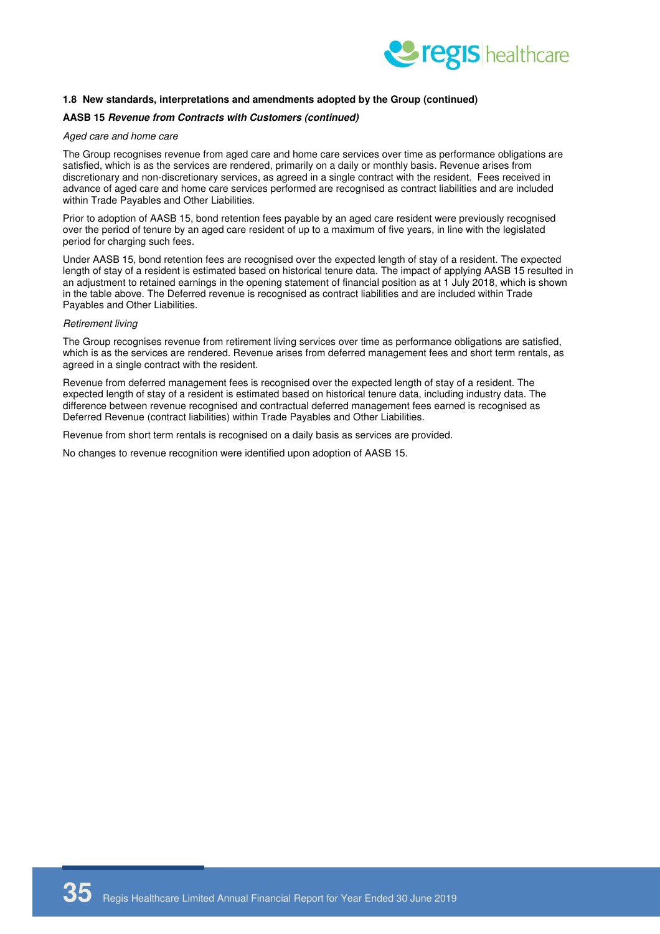

#### **AASB 15 Revenue from Contracts with Customers (continued)**

#### *Aged care and home care*

The Group recognises revenue from aged care and home care services over time as performance obligations are satisfied, which is as the services are rendered, primarily on a daily or monthly basis. Revenue arises from discretionary and non-discretionary services, as agreed in a single contract with the resident. Fees received in advance of aged care and home care services performed are recognised as contract liabilities and are included within Trade Payables and Other Liabilities.

Prior to adoption of AASB 15, bond retention fees payable by an aged care resident were previously recognised over the period of tenure by an aged care resident of up to a maximum of five years, in line with the legislated period for charging such fees.

Under AASB 15, bond retention fees are recognised over the expected length of stay of a resident. The expected length of stay of a resident is estimated based on historical tenure data. The impact of applying AASB 15 resulted in an adjustment to retained earnings in the opening statement of financial position as at 1 July 2018, which is shown in the table above. The Deferred revenue is recognised as contract liabilities and are included within Trade Payables and Other Liabilities.

#### *Retirement living*

The Group recognises revenue from retirement living services over time as performance obligations are satisfied, which is as the services are rendered. Revenue arises from deferred management fees and short term rentals, as agreed in a single contract with the resident.

Revenue from deferred management fees is recognised over the expected length of stay of a resident. The expected length of stay of a resident is estimated based on historical tenure data, including industry data. The difference between revenue recognised and contractual deferred management fees earned is recognised as Deferred Revenue (contract liabilities) within Trade Payables and Other Liabilities.

Revenue from short term rentals is recognised on a daily basis as services are provided.

No changes to revenue recognition were identified upon adoption of AASB 15.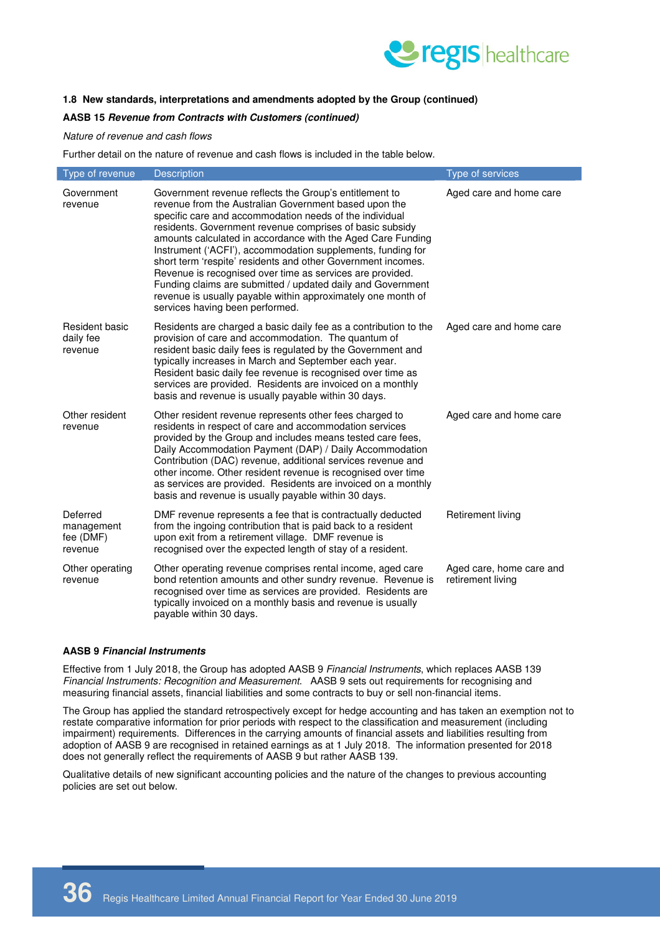

#### **AASB 15 Revenue from Contracts with Customers (continued)**

#### *Nature of revenue and cash flows*

Further detail on the nature of revenue and cash flows is included in the table below.

| Type of revenue                                | <b>Description</b>                                                                                                                                                                                                                                                                                                                                                                                                                                                                                                                                                                                                                                                  | Type of services                              |
|------------------------------------------------|---------------------------------------------------------------------------------------------------------------------------------------------------------------------------------------------------------------------------------------------------------------------------------------------------------------------------------------------------------------------------------------------------------------------------------------------------------------------------------------------------------------------------------------------------------------------------------------------------------------------------------------------------------------------|-----------------------------------------------|
| Government<br>revenue                          | Government revenue reflects the Group's entitlement to<br>revenue from the Australian Government based upon the<br>specific care and accommodation needs of the individual<br>residents. Government revenue comprises of basic subsidy<br>amounts calculated in accordance with the Aged Care Funding<br>Instrument ('ACFI'), accommodation supplements, funding for<br>short term 'respite' residents and other Government incomes.<br>Revenue is recognised over time as services are provided.<br>Funding claims are submitted / updated daily and Government<br>revenue is usually payable within approximately one month of<br>services having been performed. | Aged care and home care                       |
| Resident basic<br>daily fee<br>revenue         | Residents are charged a basic daily fee as a contribution to the<br>provision of care and accommodation. The quantum of<br>resident basic daily fees is regulated by the Government and<br>typically increases in March and September each year.<br>Resident basic daily fee revenue is recognised over time as<br>services are provided. Residents are invoiced on a monthly<br>basis and revenue is usually payable within 30 days.                                                                                                                                                                                                                               | Aged care and home care                       |
| Other resident<br>revenue                      | Other resident revenue represents other fees charged to<br>residents in respect of care and accommodation services<br>provided by the Group and includes means tested care fees,<br>Daily Accommodation Payment (DAP) / Daily Accommodation<br>Contribution (DAC) revenue, additional services revenue and<br>other income. Other resident revenue is recognised over time<br>as services are provided. Residents are invoiced on a monthly<br>basis and revenue is usually payable within 30 days.                                                                                                                                                                 | Aged care and home care                       |
| Deferred<br>management<br>fee (DMF)<br>revenue | DMF revenue represents a fee that is contractually deducted<br>from the ingoing contribution that is paid back to a resident<br>upon exit from a retirement village. DMF revenue is<br>recognised over the expected length of stay of a resident.                                                                                                                                                                                                                                                                                                                                                                                                                   | <b>Retirement living</b>                      |
| Other operating<br>revenue                     | Other operating revenue comprises rental income, aged care<br>bond retention amounts and other sundry revenue. Revenue is<br>recognised over time as services are provided. Residents are<br>typically invoiced on a monthly basis and revenue is usually<br>payable within 30 days.                                                                                                                                                                                                                                                                                                                                                                                | Aged care, home care and<br>retirement living |

#### **AASB 9 Financial Instruments**

Effective from 1 July 2018, the Group has adopted AASB 9 *Financial Instruments*, which replaces AASB 139 *Financial Instruments: Recognition and Measurement*. AASB 9 sets out requirements for recognising and measuring financial assets, financial liabilities and some contracts to buy or sell non-financial items.

The Group has applied the standard retrospectively except for hedge accounting and has taken an exemption not to restate comparative information for prior periods with respect to the classification and measurement (including impairment) requirements. Differences in the carrying amounts of financial assets and liabilities resulting from adoption of AASB 9 are recognised in retained earnings as at 1 July 2018. The information presented for 2018 does not generally reflect the requirements of AASB 9 but rather AASB 139.

Qualitative details of new significant accounting policies and the nature of the changes to previous accounting policies are set out below.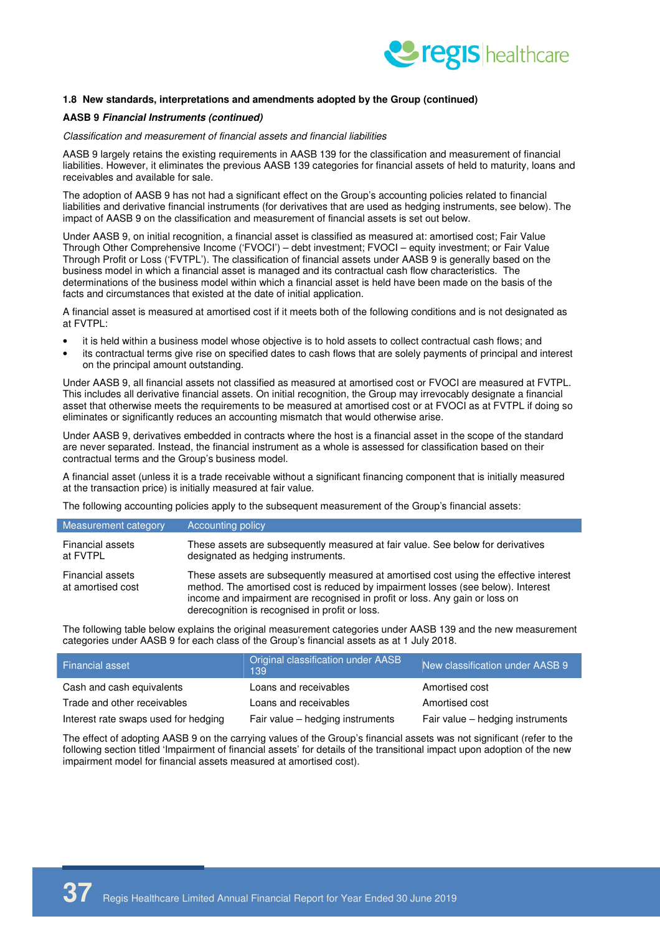

#### **AASB 9 Financial Instruments (continued)**

*Classification and measurement of financial assets and financial liabilities* 

AASB 9 largely retains the existing requirements in AASB 139 for the classification and measurement of financial liabilities. However, it eliminates the previous AASB 139 categories for financial assets of held to maturity, loans and receivables and available for sale.

The adoption of AASB 9 has not had a significant effect on the Group's accounting policies related to financial liabilities and derivative financial instruments (for derivatives that are used as hedging instruments, see below). The impact of AASB 9 on the classification and measurement of financial assets is set out below.

Under AASB 9, on initial recognition, a financial asset is classified as measured at: amortised cost; Fair Value Through Other Comprehensive Income ('FVOCI') – debt investment; FVOCI – equity investment; or Fair Value Through Profit or Loss ('FVTPL'). The classification of financial assets under AASB 9 is generally based on the business model in which a financial asset is managed and its contractual cash flow characteristics. The determinations of the business model within which a financial asset is held have been made on the basis of the facts and circumstances that existed at the date of initial application.

A financial asset is measured at amortised cost if it meets both of the following conditions and is not designated as at FVTPL:

- it is held within a business model whose objective is to hold assets to collect contractual cash flows; and
- its contractual terms give rise on specified dates to cash flows that are solely payments of principal and interest on the principal amount outstanding.

Under AASB 9, all financial assets not classified as measured at amortised cost or FVOCI are measured at FVTPL. This includes all derivative financial assets. On initial recognition, the Group may irrevocably designate a financial asset that otherwise meets the requirements to be measured at amortised cost or at FVOCI as at FVTPL if doing so eliminates or significantly reduces an accounting mismatch that would otherwise arise.

Under AASB 9, derivatives embedded in contracts where the host is a financial asset in the scope of the standard are never separated. Instead, the financial instrument as a whole is assessed for classification based on their contractual terms and the Group's business model.

A financial asset (unless it is a trade receivable without a significant financing component that is initially measured at the transaction price) is initially measured at fair value.

The following accounting policies apply to the subsequent measurement of the Group's financial assets:

| Measurement category                  | Accounting policy                                                                                                                                                                                                                                                                                          |
|---------------------------------------|------------------------------------------------------------------------------------------------------------------------------------------------------------------------------------------------------------------------------------------------------------------------------------------------------------|
| <b>Financial assets</b><br>at FVTPL   | These assets are subsequently measured at fair value. See below for derivatives<br>designated as hedging instruments.                                                                                                                                                                                      |
| Financial assets<br>at amortised cost | These assets are subsequently measured at amortised cost using the effective interest<br>method. The amortised cost is reduced by impairment losses (see below). Interest<br>income and impairment are recognised in profit or loss. Any gain or loss on<br>derecognition is recognised in profit or loss. |

The following table below explains the original measurement categories under AASB 139 and the new measurement categories under AASB 9 for each class of the Group's financial assets as at 1 July 2018.

| <b>Financial asset</b>               | Original classification under AASB<br>139 | New classification under AASB 9  |
|--------------------------------------|-------------------------------------------|----------------------------------|
| Cash and cash equivalents            | Loans and receivables                     | Amortised cost                   |
| Trade and other receivables          | Loans and receivables                     | Amortised cost                   |
| Interest rate swaps used for hedging | Fair value – hedging instruments          | Fair value – hedging instruments |

The effect of adopting AASB 9 on the carrying values of the Group's financial assets was not significant (refer to the following section titled 'Impairment of financial assets' for details of the transitional impact upon adoption of the new impairment model for financial assets measured at amortised cost).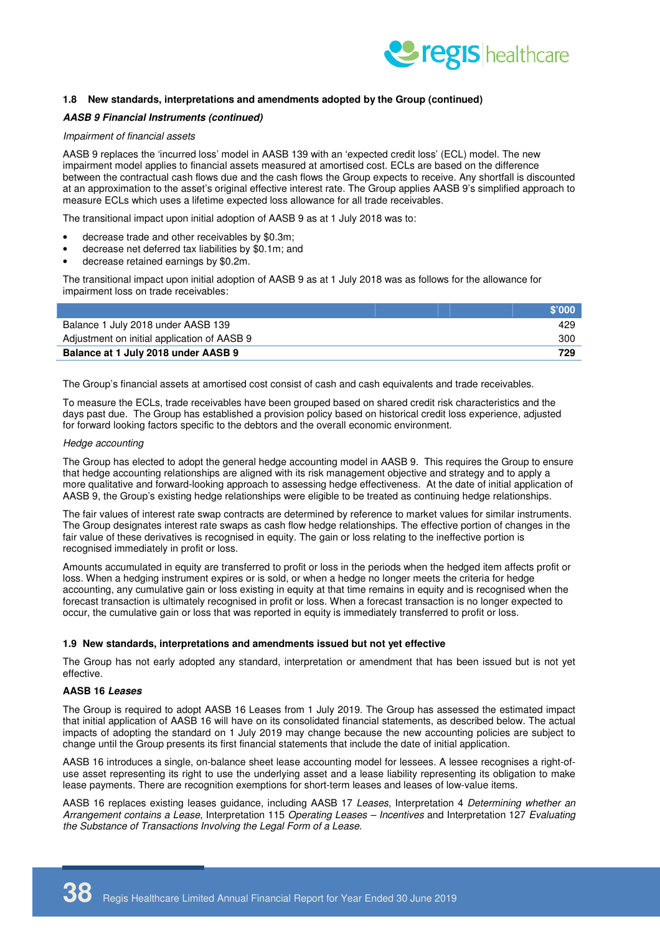

#### **AASB 9 Financial Instruments (continued)**

#### *Impairment of financial assets*

AASB 9 replaces the 'incurred loss' model in AASB 139 with an 'expected credit loss' (ECL) model. The new impairment model applies to financial assets measured at amortised cost. ECLs are based on the difference between the contractual cash flows due and the cash flows the Group expects to receive. Any shortfall is discounted at an approximation to the asset's original effective interest rate. The Group applies AASB 9's simplified approach to measure ECLs which uses a lifetime expected loss allowance for all trade receivables.

The transitional impact upon initial adoption of AASB 9 as at 1 July 2018 was to:

- decrease trade and other receivables by \$0.3m;
- decrease net deferred tax liabilities by \$0.1m; and
- decrease retained earnings by \$0.2m.

The transitional impact upon initial adoption of AASB 9 as at 1 July 2018 was as follows for the allowance for impairment loss on trade receivables:

|                                             | $$^{\prime}000$ |
|---------------------------------------------|-----------------|
| Balance 1 July 2018 under AASB 139          | 429             |
| Adjustment on initial application of AASB 9 | 300             |
| Balance at 1 July 2018 under AASB 9         | 729             |

The Group's financial assets at amortised cost consist of cash and cash equivalents and trade receivables.

To measure the ECLs, trade receivables have been grouped based on shared credit risk characteristics and the days past due. The Group has established a provision policy based on historical credit loss experience, adjusted for forward looking factors specific to the debtors and the overall economic environment.

#### *Hedge accounting*

The Group has elected to adopt the general hedge accounting model in AASB 9. This requires the Group to ensure that hedge accounting relationships are aligned with its risk management objective and strategy and to apply a more qualitative and forward-looking approach to assessing hedge effectiveness. At the date of initial application of AASB 9, the Group's existing hedge relationships were eligible to be treated as continuing hedge relationships.

The fair values of interest rate swap contracts are determined by reference to market values for similar instruments. The Group designates interest rate swaps as cash flow hedge relationships. The effective portion of changes in the fair value of these derivatives is recognised in equity. The gain or loss relating to the ineffective portion is recognised immediately in profit or loss.

Amounts accumulated in equity are transferred to profit or loss in the periods when the hedged item affects profit or loss. When a hedging instrument expires or is sold, or when a hedge no longer meets the criteria for hedge accounting, any cumulative gain or loss existing in equity at that time remains in equity and is recognised when the forecast transaction is ultimately recognised in profit or loss. When a forecast transaction is no longer expected to occur, the cumulative gain or loss that was reported in equity is immediately transferred to profit or loss.

#### **1.9 New standards, interpretations and amendments issued but not yet effective**

The Group has not early adopted any standard, interpretation or amendment that has been issued but is not yet effective.

#### **AASB 16 Leases**

The Group is required to adopt AASB 16 Leases from 1 July 2019. The Group has assessed the estimated impact that initial application of AASB 16 will have on its consolidated financial statements, as described below. The actual impacts of adopting the standard on 1 July 2019 may change because the new accounting policies are subject to change until the Group presents its first financial statements that include the date of initial application.

AASB 16 introduces a single, on-balance sheet lease accounting model for lessees. A lessee recognises a right-ofuse asset representing its right to use the underlying asset and a lease liability representing its obligation to make lease payments. There are recognition exemptions for short-term leases and leases of low-value items.

AASB 16 replaces existing leases guidance, including AASB 17 *Leases*, Interpretation 4 *Determining whether an Arrangement contains a Lease*, Interpretation 115 *Operating Leases – Incentives* and Interpretation 127 *Evaluating the Substance of Transactions Involving the Legal Form of a Lease*.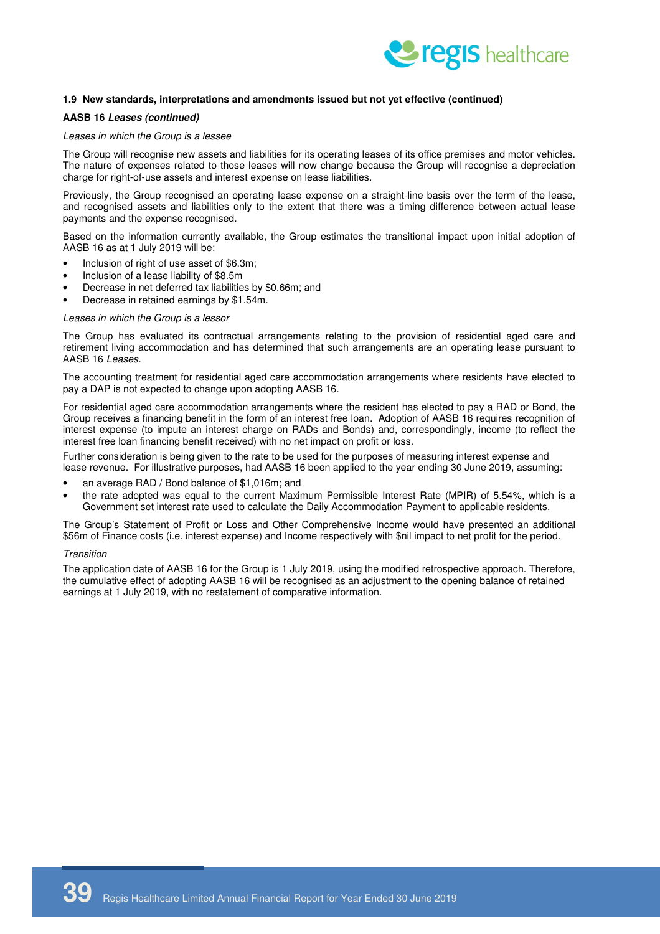

#### **1.9 New standards, interpretations and amendments issued but not yet effective (continued)**

#### **AASB 16 Leases (continued)**

#### *Leases in which the Group is a lessee*

The Group will recognise new assets and liabilities for its operating leases of its office premises and motor vehicles. The nature of expenses related to those leases will now change because the Group will recognise a depreciation charge for right-of-use assets and interest expense on lease liabilities.

Previously, the Group recognised an operating lease expense on a straight-line basis over the term of the lease, and recognised assets and liabilities only to the extent that there was a timing difference between actual lease payments and the expense recognised.

Based on the information currently available, the Group estimates the transitional impact upon initial adoption of AASB 16 as at 1 July 2019 will be:

- Inclusion of right of use asset of \$6.3m;
- Inclusion of a lease liability of \$8.5m
- Decrease in net deferred tax liabilities by \$0.66m; and
- Decrease in retained earnings by \$1.54m.

#### *Leases in which the Group is a lessor*

The Group has evaluated its contractual arrangements relating to the provision of residential aged care and retirement living accommodation and has determined that such arrangements are an operating lease pursuant to AASB 16 *Leases*.

The accounting treatment for residential aged care accommodation arrangements where residents have elected to pay a DAP is not expected to change upon adopting AASB 16.

For residential aged care accommodation arrangements where the resident has elected to pay a RAD or Bond, the Group receives a financing benefit in the form of an interest free loan. Adoption of AASB 16 requires recognition of interest expense (to impute an interest charge on RADs and Bonds) and, correspondingly, income (to reflect the interest free loan financing benefit received) with no net impact on profit or loss.

Further consideration is being given to the rate to be used for the purposes of measuring interest expense and lease revenue. For illustrative purposes, had AASB 16 been applied to the year ending 30 June 2019, assuming:

- an average RAD / Bond balance of \$1,016m; and
- the rate adopted was equal to the current Maximum Permissible Interest Rate (MPIR) of 5.54%, which is a Government set interest rate used to calculate the Daily Accommodation Payment to applicable residents.

The Group's Statement of Profit or Loss and Other Comprehensive Income would have presented an additional \$56m of Finance costs (i.e. interest expense) and Income respectively with \$nil impact to net profit for the period.

#### *Transition*

The application date of AASB 16 for the Group is 1 July 2019, using the modified retrospective approach. Therefore, the cumulative effect of adopting AASB 16 will be recognised as an adjustment to the opening balance of retained earnings at 1 July 2019, with no restatement of comparative information.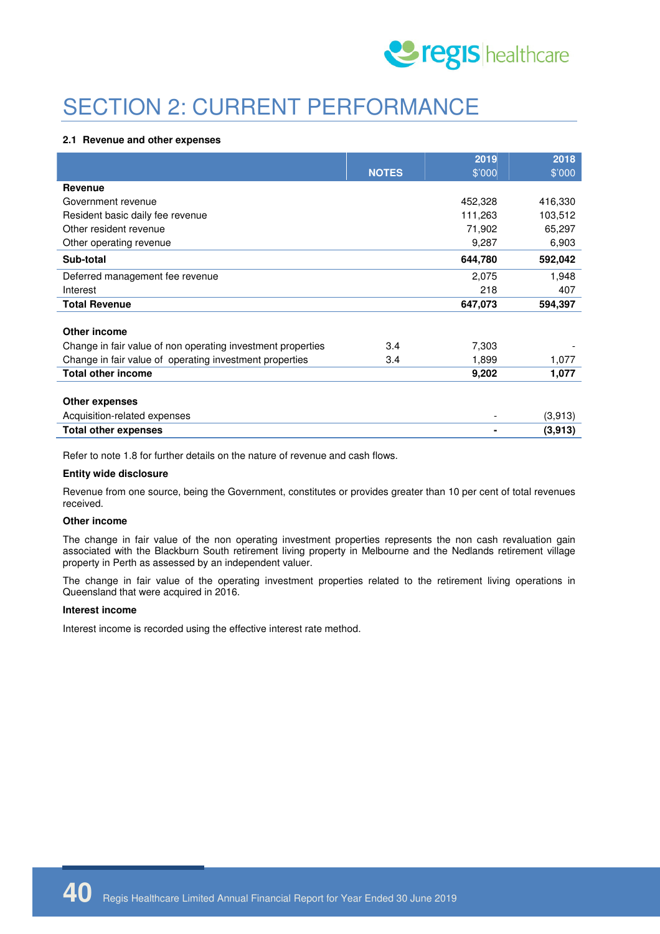

# SECTION 2: CURRENT PERFORMANCE

#### **2.1 Revenue and other expenses**

|                                                             |              | 2019    | 2018    |
|-------------------------------------------------------------|--------------|---------|---------|
|                                                             | <b>NOTES</b> | \$'000  | \$'000  |
| <b>Revenue</b>                                              |              |         |         |
| Government revenue                                          |              | 452,328 | 416,330 |
| Resident basic daily fee revenue                            |              | 111,263 | 103,512 |
| Other resident revenue                                      |              | 71,902  | 65,297  |
| Other operating revenue                                     |              | 9,287   | 6,903   |
| Sub-total                                                   |              | 644,780 | 592,042 |
| Deferred management fee revenue                             |              | 2,075   | 1,948   |
| Interest                                                    |              | 218     | 407     |
| <b>Total Revenue</b>                                        |              | 647,073 | 594,397 |
| <b>Other income</b>                                         |              |         |         |
| Change in fair value of non operating investment properties | 3.4          | 7,303   |         |
| Change in fair value of operating investment properties     | 3.4          | 1,899   | 1,077   |
| <b>Total other income</b>                                   |              | 9,202   | 1,077   |
|                                                             |              |         |         |
| <b>Other expenses</b>                                       |              |         |         |
| Acquisition-related expenses                                |              |         | (3,913) |
| <b>Total other expenses</b>                                 |              |         | (3,913) |

Refer to note 1.8 for further details on the nature of revenue and cash flows.

#### **Entity wide disclosure**

Revenue from one source, being the Government, constitutes or provides greater than 10 per cent of total revenues received.

#### **Other income**

The change in fair value of the non operating investment properties represents the non cash revaluation gain associated with the Blackburn South retirement living property in Melbourne and the Nedlands retirement village property in Perth as assessed by an independent valuer.

The change in fair value of the operating investment properties related to the retirement living operations in Queensland that were acquired in 2016.

#### **Interest income**

Interest income is recorded using the effective interest rate method.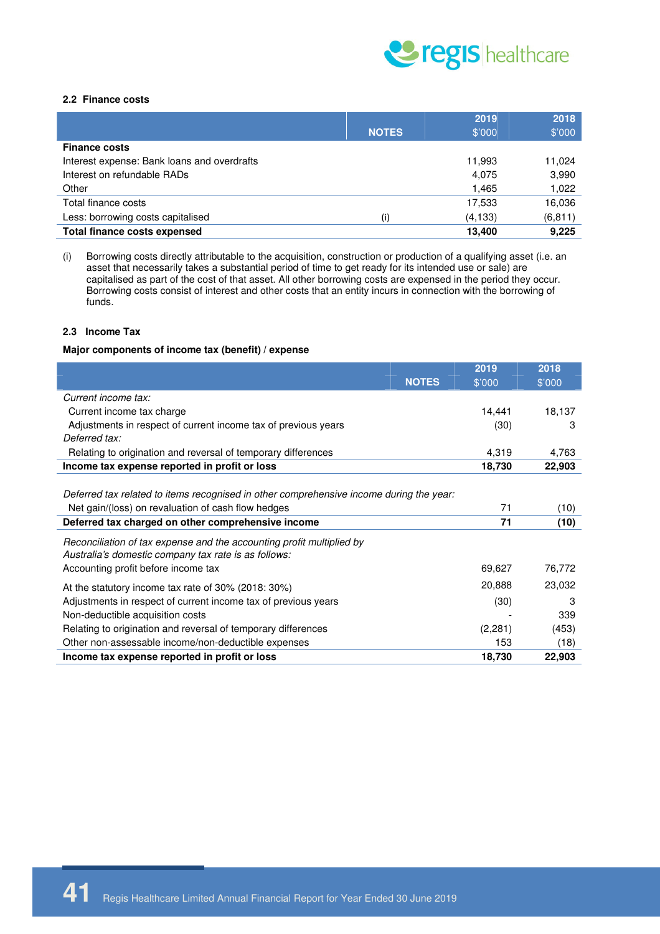

#### **2.2 Finance costs**

|                                             |              | 2019     | 2018     |
|---------------------------------------------|--------------|----------|----------|
|                                             | <b>NOTES</b> | \$'000   | \$'000   |
| <b>Finance costs</b>                        |              |          |          |
| Interest expense: Bank loans and overdrafts |              | 11.993   | 11,024   |
| Interest on refundable RADs                 |              | 4,075    | 3,990    |
| Other                                       |              | 1,465    | 1,022    |
| Total finance costs                         |              | 17,533   | 16,036   |
| Less: borrowing costs capitalised           | (i)          | (4, 133) | (6, 811) |
| <b>Total finance costs expensed</b>         |              | 13.400   | 9.225    |

(i) Borrowing costs directly attributable to the acquisition, construction or production of a qualifying asset (i.e. an asset that necessarily takes a substantial period of time to get ready for its intended use or sale) are capitalised as part of the cost of that asset. All other borrowing costs are expensed in the period they occur. Borrowing costs consist of interest and other costs that an entity incurs in connection with the borrowing of funds.

#### **2.3 Income Tax**

#### **Major components of income tax (benefit) / expense**

|                                                                                         | 2019     | 2018   |
|-----------------------------------------------------------------------------------------|----------|--------|
| <b>NOTES</b>                                                                            | \$'000   | \$'000 |
| Current income tax:                                                                     |          |        |
| Current income tax charge                                                               | 14,441   | 18,137 |
| Adjustments in respect of current income tax of previous years                          | (30)     | 3      |
| Deferred tax:                                                                           |          |        |
| Relating to origination and reversal of temporary differences                           | 4,319    | 4,763  |
| Income tax expense reported in profit or loss                                           | 18,730   | 22,903 |
|                                                                                         |          |        |
| Deferred tax related to items recognised in other comprehensive income during the year: |          |        |
| Net gain/(loss) on revaluation of cash flow hedges                                      | 71       | (10)   |
| Deferred tax charged on other comprehensive income                                      | 71       | (10)   |
| Reconciliation of tax expense and the accounting profit multiplied by                   |          |        |
| Australia's domestic company tax rate is as follows:                                    |          |        |
| Accounting profit before income tax                                                     | 69,627   | 76,772 |
| At the statutory income tax rate of 30% (2018: 30%)                                     | 20,888   | 23,032 |
| Adjustments in respect of current income tax of previous years                          | (30)     | 3      |
| Non-deductible acquisition costs                                                        |          | 339    |
| Relating to origination and reversal of temporary differences                           | (2, 281) | (453)  |
| Other non-assessable income/non-deductible expenses                                     | 153      | (18)   |
| Income tax expense reported in profit or loss                                           | 18,730   | 22,903 |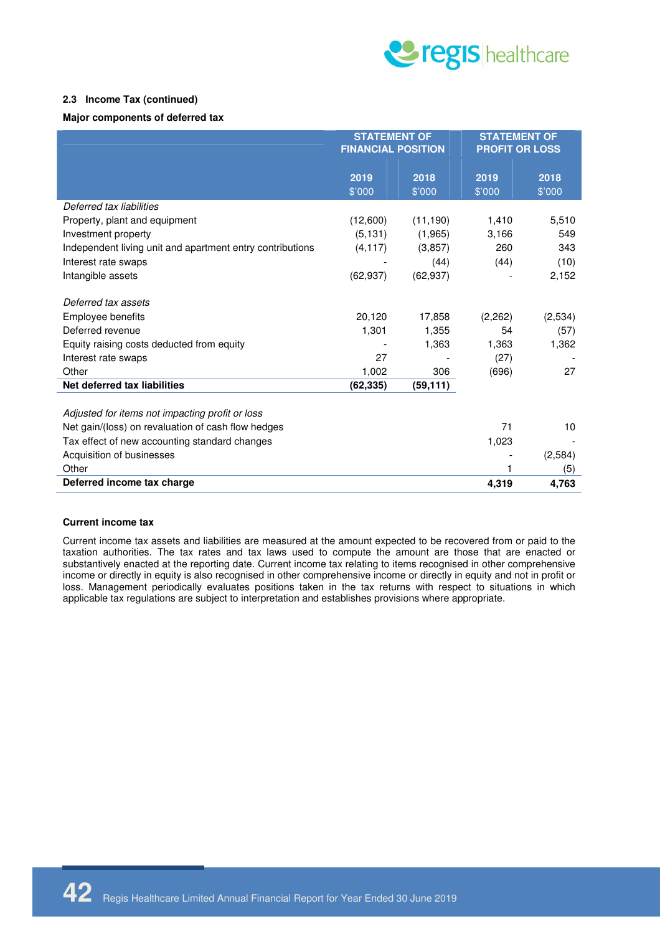

#### **2.3 Income Tax (continued)**

#### **Major components of deferred tax**

|                                                           | <b>STATEMENT OF</b><br><b>FINANCIAL POSITION</b> |           | <b>STATEMENT OF</b><br><b>PROFIT OR LOSS</b> |         |
|-----------------------------------------------------------|--------------------------------------------------|-----------|----------------------------------------------|---------|
|                                                           | 2019                                             | 2018      | 2019                                         | 2018    |
|                                                           | \$'000                                           | \$'000    | \$'000                                       | \$'000  |
| Deferred tax liabilities                                  |                                                  |           |                                              |         |
| Property, plant and equipment                             | (12,600)                                         | (11, 190) | 1,410                                        | 5,510   |
| Investment property                                       | (5, 131)                                         | (1,965)   | 3,166                                        | 549     |
| Independent living unit and apartment entry contributions | (4, 117)                                         | (3,857)   | 260                                          | 343     |
| Interest rate swaps                                       |                                                  | (44)      | (44)                                         | (10)    |
| Intangible assets                                         | (62, 937)                                        | (62, 937) |                                              | 2,152   |
| Deferred tax assets                                       |                                                  |           |                                              |         |
| Employee benefits                                         | 20,120                                           | 17,858    | (2,262)                                      | (2,534) |
| Deferred revenue                                          | 1,301                                            | 1,355     | 54                                           | (57)    |
| Equity raising costs deducted from equity                 |                                                  | 1,363     | 1,363                                        | 1,362   |
| Interest rate swaps                                       | 27                                               |           | (27)                                         |         |
| Other                                                     | 1,002                                            | 306       | (696)                                        | 27      |
| Net deferred tax liabilities                              | (62, 335)                                        | (59, 111) |                                              |         |
| Adjusted for items not impacting profit or loss           |                                                  |           |                                              |         |
| Net gain/(loss) on revaluation of cash flow hedges        |                                                  |           | 71                                           | 10      |
| Tax effect of new accounting standard changes             |                                                  |           | 1,023                                        |         |
| Acquisition of businesses                                 |                                                  |           |                                              | (2,584) |
| Other                                                     |                                                  |           | 1                                            | (5)     |
| Deferred income tax charge                                |                                                  |           | 4,319                                        | 4,763   |

#### **Current income tax**

Current income tax assets and liabilities are measured at the amount expected to be recovered from or paid to the taxation authorities. The tax rates and tax laws used to compute the amount are those that are enacted or substantively enacted at the reporting date. Current income tax relating to items recognised in other comprehensive income or directly in equity is also recognised in other comprehensive income or directly in equity and not in profit or loss. Management periodically evaluates positions taken in the tax returns with respect to situations in which applicable tax regulations are subject to interpretation and establishes provisions where appropriate.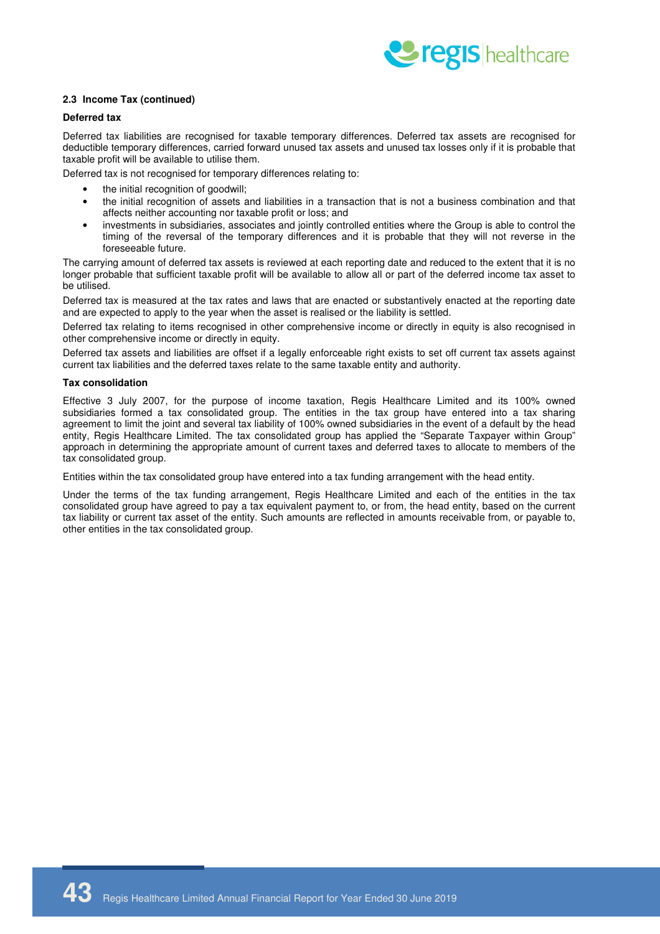

#### **2.3 Income Tax (continued)**

#### **Deferred tax**

Deferred tax liabilities are recognised for taxable temporary differences. Deferred tax assets are recognised for deductible temporary differences, carried forward unused tax assets and unused tax losses only if it is probable that taxable profit will be available to utilise them.

Deferred tax is not recognised for temporary differences relating to:

- the initial recognition of goodwill;
- the initial recognition of assets and liabilities in a transaction that is not a business combination and that affects neither accounting nor taxable profit or loss; and
- investments in subsidiaries, associates and jointly controlled entities where the Group is able to control the timing of the reversal of the temporary differences and it is probable that they will not reverse in the foreseeable future.

The carrying amount of deferred tax assets is reviewed at each reporting date and reduced to the extent that it is no longer probable that sufficient taxable profit will be available to allow all or part of the deferred income tax asset to be utilised.

Deferred tax is measured at the tax rates and laws that are enacted or substantively enacted at the reporting date and are expected to apply to the year when the asset is realised or the liability is settled.

Deferred tax relating to items recognised in other comprehensive income or directly in equity is also recognised in other comprehensive income or directly in equity.

Deferred tax assets and liabilities are offset if a legally enforceable right exists to set off current tax assets against current tax liabilities and the deferred taxes relate to the same taxable entity and authority.

#### **Tax consolidation**

Effective 3 July 2007, for the purpose of income taxation, Regis Healthcare Limited and its 100% owned subsidiaries formed a tax consolidated group. The entities in the tax group have entered into a tax sharing agreement to limit the joint and several tax liability of 100% owned subsidiaries in the event of a default by the head entity, Regis Healthcare Limited. The tax consolidated group has applied the "Separate Taxpayer within Group" approach in determining the appropriate amount of current taxes and deferred taxes to allocate to members of the tax consolidated group.

Entities within the tax consolidated group have entered into a tax funding arrangement with the head entity.

Under the terms of the tax funding arrangement, Regis Healthcare Limited and each of the entities in the tax consolidated group have agreed to pay a tax equivalent payment to, or from, the head entity, based on the current tax liability or current tax asset of the entity. Such amounts are reflected in amounts receivable from, or payable to, other entities in the tax consolidated group.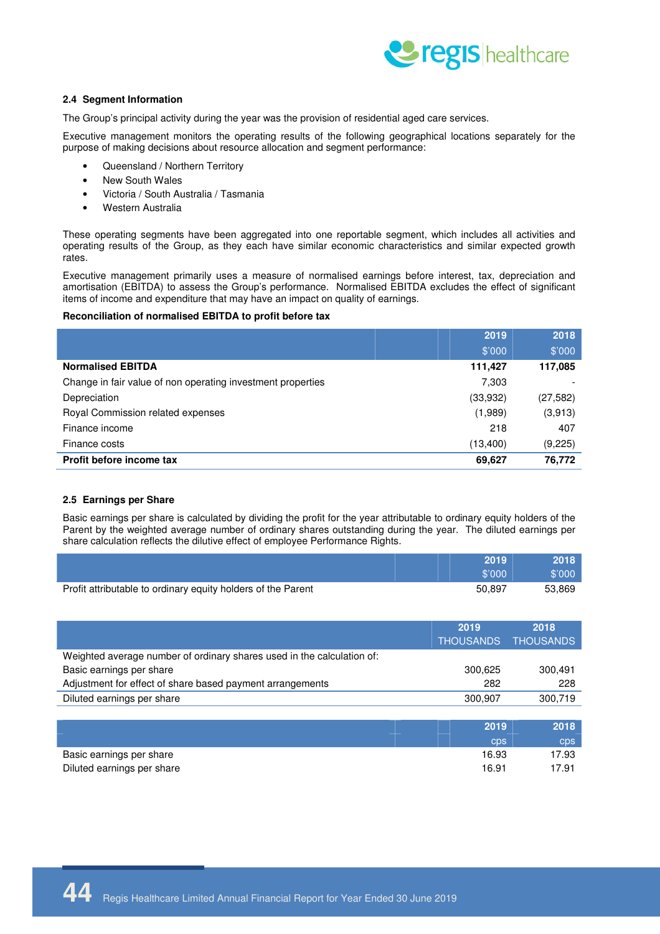

#### **2.4 Segment Information**

The Group's principal activity during the year was the provision of residential aged care services.

Executive management monitors the operating results of the following geographical locations separately for the purpose of making decisions about resource allocation and segment performance:

- Queensland / Northern Territory
- New South Wales
- Victoria / South Australia / Tasmania
- Western Australia

These operating segments have been aggregated into one reportable segment, which includes all activities and operating results of the Group, as they each have similar economic characteristics and similar expected growth rates.

Executive management primarily uses a measure of normalised earnings before interest, tax, depreciation and amortisation (EBITDA) to assess the Group's performance. Normalised EBITDA excludes the effect of significant items of income and expenditure that may have an impact on quality of earnings.

#### **Reconciliation of normalised EBITDA to profit before tax**

|                                                             | 2019     | 2018     |
|-------------------------------------------------------------|----------|----------|
|                                                             | \$'000   | \$'000   |
| <b>Normalised EBITDA</b>                                    | 111,427  | 117,085  |
| Change in fair value of non operating investment properties | 7,303    |          |
| Depreciation                                                | (33,932) | (27,582) |
| Royal Commission related expenses                           | (1,989)  | (3,913)  |
| Finance income                                              | 218      | 407      |
| Finance costs                                               | (13,400) | (9,225)  |
| Profit before income tax                                    | 69,627   | 76,772   |

#### **2.5 Earnings per Share**

Basic earnings per share is calculated by dividing the profit for the year attributable to ordinary equity holders of the Parent by the weighted average number of ordinary shares outstanding during the year. The diluted earnings per share calculation reflects the dilutive effect of employee Performance Rights.

|                                                              | 2019   | 2018   |
|--------------------------------------------------------------|--------|--------|
|                                                              | \$'000 | \$'000 |
| Profit attributable to ordinary equity holders of the Parent | 50.897 | 53.869 |

|                                                                        | 2019             | 2018             |
|------------------------------------------------------------------------|------------------|------------------|
|                                                                        | <b>THOUSANDS</b> | <b>THOUSANDS</b> |
| Weighted average number of ordinary shares used in the calculation of: |                  |                  |
| Basic earnings per share                                               | 300,625          | 300,491          |
| Adjustment for effect of share based payment arrangements              | 282              | 228              |
| Diluted earnings per share                                             | 300,907          | 300,719          |
|                                                                        |                  |                  |
|                                                                        | 2019             | 2018             |
|                                                                        | <b>CDS</b>       | <b>CDS</b>       |
| Basic earnings per share                                               | 16.93            | 17.93            |
| Diluted earnings per share                                             | 16.91            | 17.91            |

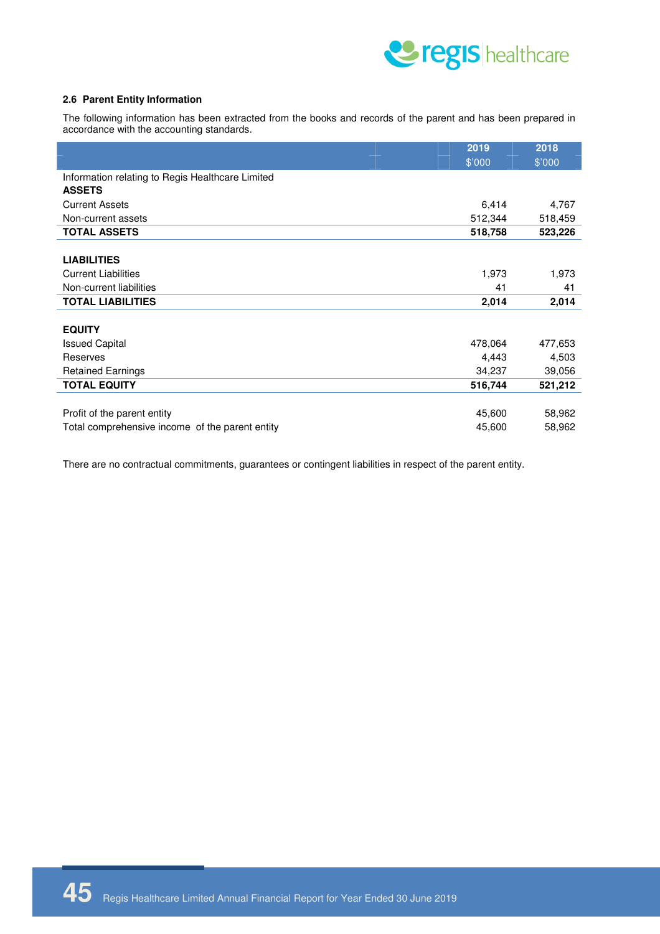

#### **2.6 Parent Entity Information**

The following information has been extracted from the books and records of the parent and has been prepared in accordance with the accounting standards.

|                                                  | 2019    | 2018    |
|--------------------------------------------------|---------|---------|
|                                                  | \$'000  | \$'000  |
| Information relating to Regis Healthcare Limited |         |         |
| <b>ASSETS</b>                                    |         |         |
| <b>Current Assets</b>                            | 6,414   | 4,767   |
| Non-current assets                               | 512,344 | 518,459 |
| <b>TOTAL ASSETS</b>                              | 518,758 | 523,226 |
|                                                  |         |         |
| <b>LIABILITIES</b>                               |         |         |
| <b>Current Liabilities</b>                       | 1,973   | 1,973   |
| Non-current liabilities                          | 41      | 41      |
| <b>TOTAL LIABILITIES</b>                         | 2,014   | 2,014   |
|                                                  |         |         |
| <b>EQUITY</b>                                    |         |         |
| <b>Issued Capital</b>                            | 478,064 | 477,653 |
| Reserves                                         | 4,443   | 4,503   |
| <b>Retained Earnings</b>                         | 34,237  | 39,056  |
| <b>TOTAL EQUITY</b>                              | 516,744 | 521,212 |
|                                                  |         |         |
| Profit of the parent entity                      | 45,600  | 58,962  |
| Total comprehensive income of the parent entity  | 45,600  | 58,962  |

There are no contractual commitments, guarantees or contingent liabilities in respect of the parent entity.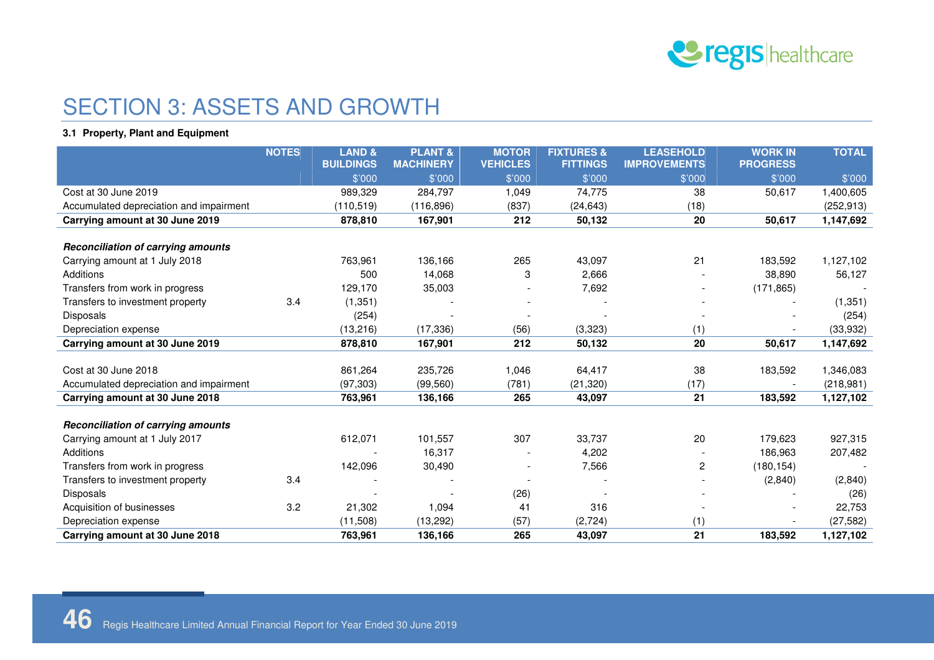

# SECTION 3: ASSETS AND GROWTH

#### **3.1 Property, Plant and Equipment**

|                                           | <b>NOTES</b> | <b>LAND &amp;</b><br><b>BUILDINGS</b> | <b>PLANT &amp;</b><br><b>MACHINERY</b> | <b>MOTOR</b><br><b>VEHICLES</b> | <b>FIXTURES &amp;</b><br><b>FITTINGS</b> | <b>LEASEHOLD</b><br><b>IMPROVEMENTS</b> | <b>WORK IN</b><br><b>PROGRESS</b> | <b>TOTAL</b> |
|-------------------------------------------|--------------|---------------------------------------|----------------------------------------|---------------------------------|------------------------------------------|-----------------------------------------|-----------------------------------|--------------|
|                                           |              | \$'000                                | \$'000                                 | \$'000                          | \$'000                                   | \$'000                                  | \$'000                            | \$'000       |
| Cost at 30 June 2019                      |              | 989,329                               | 284,797                                | 1,049                           | 74,775                                   | 38                                      | 50,617                            | 1,400,605    |
| Accumulated depreciation and impairment   |              | (110, 519)                            | (116, 896)                             | (837)                           | (24, 643)                                | (18)                                    |                                   | (252, 913)   |
| Carrying amount at 30 June 2019           |              | 878,810                               | 167,901                                | 212                             | 50,132                                   | 20                                      | 50,617                            | 1,147,692    |
|                                           |              |                                       |                                        |                                 |                                          |                                         |                                   |              |
| <b>Reconciliation of carrying amounts</b> |              |                                       |                                        |                                 |                                          |                                         |                                   |              |
| Carrying amount at 1 July 2018            |              | 763,961                               | 136,166                                | 265                             | 43,097                                   | 21                                      | 183,592                           | 1,127,102    |
| Additions                                 |              | 500                                   | 14,068                                 | 3                               | 2,666                                    |                                         | 38,890                            | 56,127       |
| Transfers from work in progress           |              | 129,170                               | 35,003                                 |                                 | 7,692                                    |                                         | (171, 865)                        |              |
| Transfers to investment property          | 3.4          | (1, 351)                              |                                        |                                 |                                          |                                         |                                   | (1, 351)     |
| Disposals                                 |              | (254)                                 |                                        |                                 |                                          |                                         |                                   | (254)        |
| Depreciation expense                      |              | (13, 216)                             | (17, 336)                              | (56)                            | (3,323)                                  | (1)                                     |                                   | (33,932)     |
| Carrying amount at 30 June 2019           |              | 878,810                               | 167,901                                | 212                             | 50,132                                   | 20                                      | 50,617                            | 1,147,692    |
|                                           |              |                                       |                                        |                                 |                                          |                                         |                                   |              |
| Cost at 30 June 2018                      |              | 861,264                               | 235,726                                | 1,046                           | 64,417                                   | 38                                      | 183,592                           | 1,346,083    |
| Accumulated depreciation and impairment   |              | (97, 303)                             | (99, 560)                              | (781)                           | (21, 320)                                | (17)                                    |                                   | (218,981)    |
| Carrying amount at 30 June 2018           |              | 763,961                               | 136,166                                | 265                             | 43,097                                   | 21                                      | 183,592                           | 1,127,102    |
| <b>Reconciliation of carrying amounts</b> |              |                                       |                                        |                                 |                                          |                                         |                                   |              |
| Carrying amount at 1 July 2017            |              | 612,071                               | 101,557                                | 307                             | 33,737                                   | 20                                      | 179,623                           | 927,315      |
| <b>Additions</b>                          |              |                                       | 16,317                                 |                                 | 4,202                                    |                                         | 186,963                           | 207,482      |
| Transfers from work in progress           |              | 142,096                               | 30,490                                 |                                 | 7,566                                    | $\overline{c}$                          | (180, 154)                        |              |
| Transfers to investment property          | 3.4          |                                       |                                        |                                 |                                          |                                         | (2,840)                           | (2,840)      |
| Disposals                                 |              |                                       |                                        | (26)                            |                                          |                                         |                                   | (26)         |
| Acquisition of businesses                 | 3.2          | 21,302                                | 1,094                                  | 41                              | 316                                      |                                         |                                   | 22,753       |
| Depreciation expense                      |              | (11,508)                              | (13, 292)                              | (57)                            | (2,724)                                  | (1)                                     |                                   | (27, 582)    |
| Carrying amount at 30 June 2018           |              | 763,961                               | 136,166                                | 265                             | 43,097                                   | 21                                      | 183,592                           | 1,127,102    |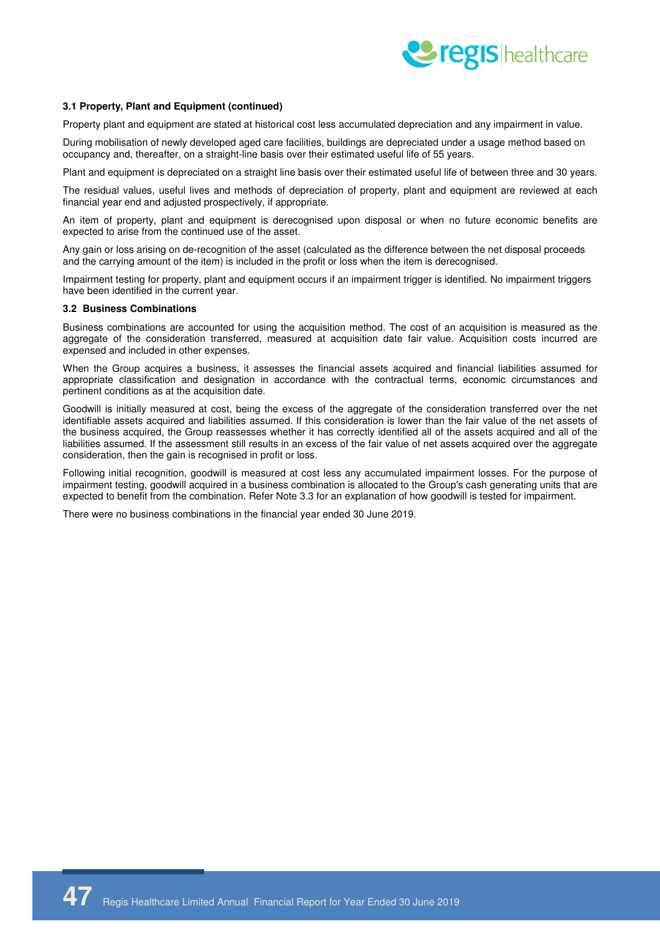

#### **3.1 Property, Plant and Equipment (continued)**

Property plant and equipment are stated at historical cost less accumulated depreciation and any impairment in value.

During mobilisation of newly developed aged care facilities, buildings are depreciated under a usage method based on occupancy and, thereafter, on a straight-line basis over their estimated useful life of 55 years.

Plant and equipment is depreciated on a straight line basis over their estimated useful life of between three and 30 years.

The residual values, useful lives and methods of depreciation of property, plant and equipment are reviewed at each financial year end and adjusted prospectively, if appropriate.

An item of property, plant and equipment is derecognised upon disposal or when no future economic benefits are expected to arise from the continued use of the asset.

Any gain or loss arising on de-recognition of the asset (calculated as the difference between the net disposal proceeds and the carrying amount of the item) is included in the profit or loss when the item is derecognised.

Impairment testing for property, plant and equipment occurs if an impairment trigger is identified. No impairment triggers have been identified in the current year.

#### **3.2 Business Combinations**

Business combinations are accounted for using the acquisition method. The cost of an acquisition is measured as the aggregate of the consideration transferred, measured at acquisition date fair value. Acquisition costs incurred are expensed and included in other expenses.

When the Group acquires a business, it assesses the financial assets acquired and financial liabilities assumed for appropriate classification and designation in accordance with the contractual terms, economic circumstances and pertinent conditions as at the acquisition date.

Goodwill is initially measured at cost, being the excess of the aggregate of the consideration transferred over the net identifiable assets acquired and liabilities assumed. If this consideration is lower than the fair value of the net assets of the business acquired, the Group reassesses whether it has correctly identified all of the assets acquired and all of the liabilities assumed. If the assessment still results in an excess of the fair value of net assets acquired over the aggregate consideration, then the gain is recognised in profit or loss.

Following initial recognition, goodwill is measured at cost less any accumulated impairment losses. For the purpose of impairment testing, goodwill acquired in a business combination is allocated to the Group's cash generating units that are expected to benefit from the combination. Refer Note 3.3 for an explanation of how goodwill is tested for impairment.

There were no business combinations in the financial year ended 30 June 2019.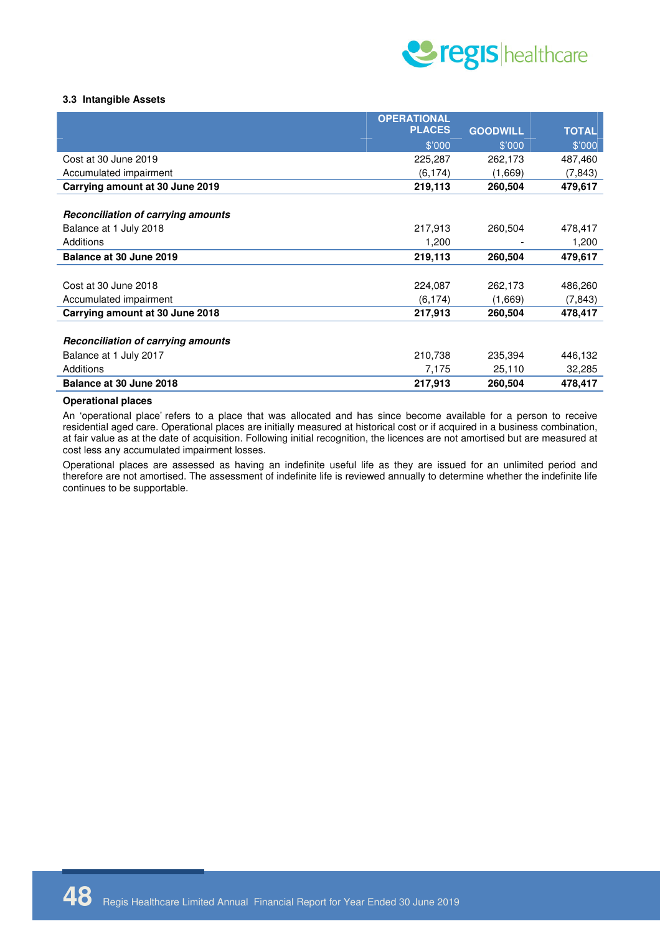

#### **3.3 Intangible Assets**

| <b>OPERATIONAL</b> |                         |                           |
|--------------------|-------------------------|---------------------------|
|                    |                         | <b>TOTAL</b>              |
|                    |                         | \$'000                    |
| 225,287            | 262,173                 | 487,460                   |
| (6, 174)           | (1.669)                 | (7, 843)                  |
| 219,113            | 260,504                 | 479,617                   |
|                    |                         |                           |
|                    |                         |                           |
| 217,913            | 260,504                 | 478,417                   |
| 1,200              |                         | 1,200                     |
| 219,113            | 260,504                 | 479,617                   |
|                    |                         |                           |
| 224,087            | 262,173                 | 486,260                   |
| (6, 174)           | (1,669)                 | (7, 843)                  |
| 217,913            | 260,504                 | 478,417                   |
|                    |                         |                           |
|                    |                         |                           |
| 210,738            | 235,394                 | 446,132                   |
| 7,175              | 25,110                  | 32,285                    |
| 217,913            | 260,504                 | 478,417                   |
|                    | <b>PLACES</b><br>\$'000 | <b>GOODWILL</b><br>\$'000 |

#### **Operational places**

An 'operational place' refers to a place that was allocated and has since become available for a person to receive residential aged care. Operational places are initially measured at historical cost or if acquired in a business combination, at fair value as at the date of acquisition. Following initial recognition, the licences are not amortised but are measured at cost less any accumulated impairment losses.

Operational places are assessed as having an indefinite useful life as they are issued for an unlimited period and therefore are not amortised. The assessment of indefinite life is reviewed annually to determine whether the indefinite life continues to be supportable.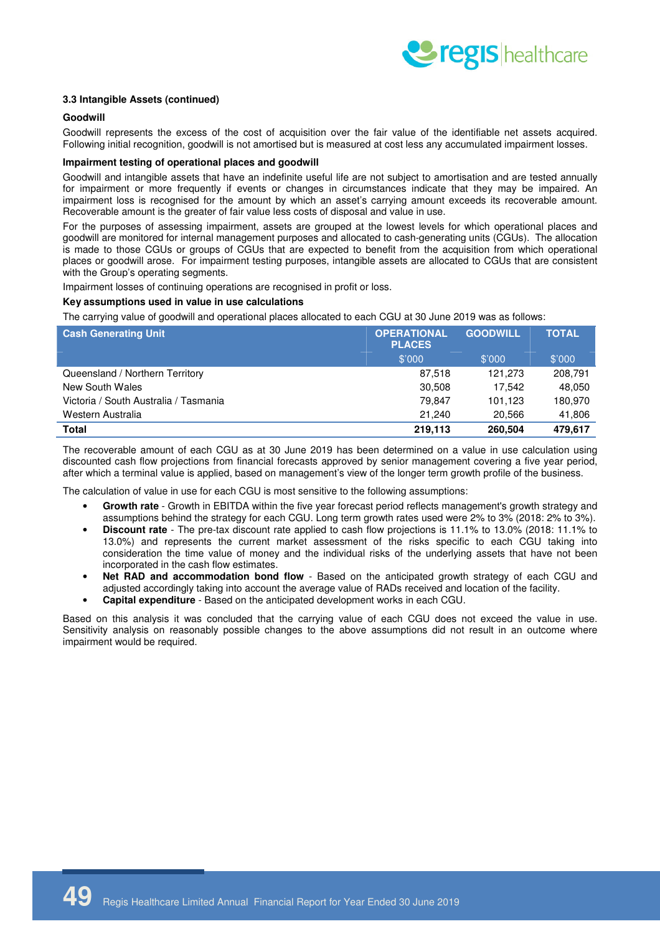

#### **3.3 Intangible Assets (continued)**

#### **Goodwill**

Goodwill represents the excess of the cost of acquisition over the fair value of the identifiable net assets acquired. Following initial recognition, goodwill is not amortised but is measured at cost less any accumulated impairment losses.

#### **Impairment testing of operational places and goodwill**

Goodwill and intangible assets that have an indefinite useful life are not subject to amortisation and are tested annually for impairment or more frequently if events or changes in circumstances indicate that they may be impaired. An impairment loss is recognised for the amount by which an asset's carrying amount exceeds its recoverable amount. Recoverable amount is the greater of fair value less costs of disposal and value in use.

For the purposes of assessing impairment, assets are grouped at the lowest levels for which operational places and goodwill are monitored for internal management purposes and allocated to cash-generating units (CGUs). The allocation is made to those CGUs or groups of CGUs that are expected to benefit from the acquisition from which operational places or goodwill arose. For impairment testing purposes, intangible assets are allocated to CGUs that are consistent with the Group's operating segments.

Impairment losses of continuing operations are recognised in profit or loss.

#### **Key assumptions used in value in use calculations**

The carrying value of goodwill and operational places allocated to each CGU at 30 June 2019 was as follows:

| <b>Cash Generating Unit</b>           | <b>OPERATIONAL</b><br><b>PLACES</b> | <b>GOODWILL</b> | <b>TOTAL</b> |
|---------------------------------------|-------------------------------------|-----------------|--------------|
|                                       | \$'000                              | \$'000          | \$'000       |
| Queensland / Northern Territory       | 87.518                              | 121.273         | 208,791      |
| New South Wales                       | 30,508                              | 17.542          | 48,050       |
| Victoria / South Australia / Tasmania | 79.847                              | 101,123         | 180,970      |
| Western Australia                     | 21.240                              | 20.566          | 41,806       |
| <b>Total</b>                          | 219,113                             | 260.504         | 479.617      |

The recoverable amount of each CGU as at 30 June 2019 has been determined on a value in use calculation using discounted cash flow projections from financial forecasts approved by senior management covering a five year period, after which a terminal value is applied, based on management's view of the longer term growth profile of the business.

The calculation of value in use for each CGU is most sensitive to the following assumptions:

- **Growth rate** Growth in EBITDA within the five year forecast period reflects management's growth strategy and assumptions behind the strategy for each CGU. Long term growth rates used were 2% to 3% (2018: 2% to 3%).
- **Discount rate** The pre-tax discount rate applied to cash flow projections is 11.1% to 13.0% (2018: 11.1% to 13.0%) and represents the current market assessment of the risks specific to each CGU taking into consideration the time value of money and the individual risks of the underlying assets that have not been incorporated in the cash flow estimates.
- **Net RAD and accommodation bond flow** Based on the anticipated growth strategy of each CGU and adjusted accordingly taking into account the average value of RADs received and location of the facility.
- **Capital expenditure** Based on the anticipated development works in each CGU.

Based on this analysis it was concluded that the carrying value of each CGU does not exceed the value in use. Sensitivity analysis on reasonably possible changes to the above assumptions did not result in an outcome where impairment would be required.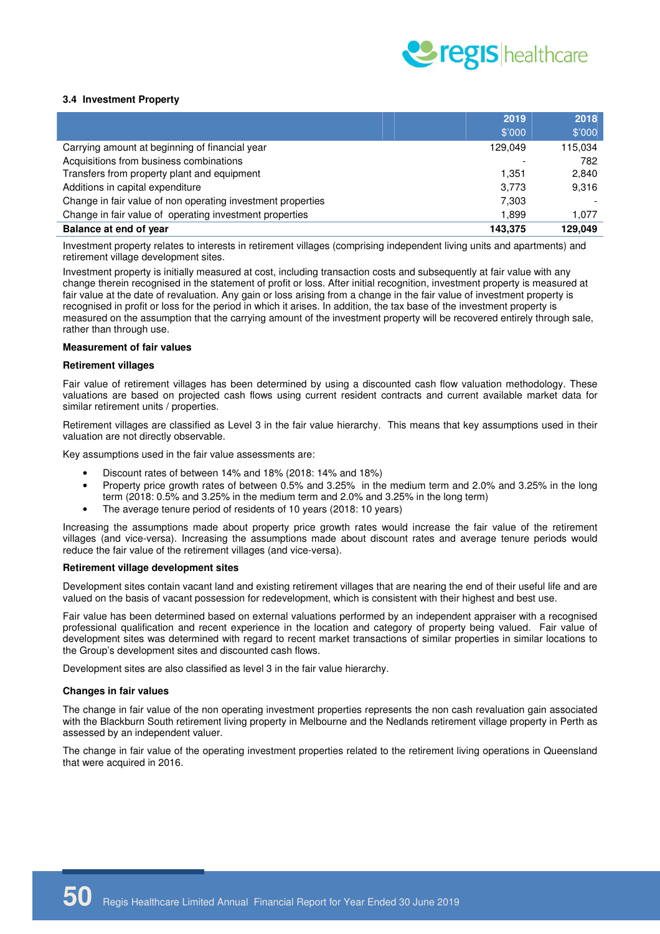

#### **3.4 Investment Property**

|                                                             | 2019    | 2018    |
|-------------------------------------------------------------|---------|---------|
|                                                             | \$'000  | \$'000  |
| Carrying amount at beginning of financial year              | 129.049 | 115,034 |
| Acquisitions from business combinations                     |         | 782     |
| Transfers from property plant and equipment                 | 1.351   | 2,840   |
| Additions in capital expenditure                            | 3.773   | 9.316   |
| Change in fair value of non operating investment properties | 7.303   |         |
| Change in fair value of operating investment properties     | 1.899   | 1.077   |
| Balance at end of year                                      | 143.375 | 129.049 |

Investment property relates to interests in retirement villages (comprising independent living units and apartments) and retirement village development sites.

Investment property is initially measured at cost, including transaction costs and subsequently at fair value with any change therein recognised in the statement of profit or loss. After initial recognition, investment property is measured at fair value at the date of revaluation. Any gain or loss arising from a change in the fair value of investment property is recognised in profit or loss for the period in which it arises. In addition, the tax base of the investment property is measured on the assumption that the carrying amount of the investment property will be recovered entirely through sale, rather than through use.

#### **Measurement of fair values**

#### **Retirement villages**

Fair value of retirement villages has been determined by using a discounted cash flow valuation methodology. These valuations are based on projected cash flows using current resident contracts and current available market data for similar retirement units / properties.

Retirement villages are classified as Level 3 in the fair value hierarchy. This means that key assumptions used in their valuation are not directly observable.

Key assumptions used in the fair value assessments are:

- Discount rates of between 14% and 18% (2018: 14% and 18%)
- Property price growth rates of between 0.5% and 3.25% in the medium term and 2.0% and 3.25% in the long term (2018: 0.5% and 3.25% in the medium term and 2.0% and 3.25% in the long term)
- The average tenure period of residents of 10 years (2018: 10 years)

Increasing the assumptions made about property price growth rates would increase the fair value of the retirement villages (and vice-versa). Increasing the assumptions made about discount rates and average tenure periods would reduce the fair value of the retirement villages (and vice-versa).

#### **Retirement village development sites**

Development sites contain vacant land and existing retirement villages that are nearing the end of their useful life and are valued on the basis of vacant possession for redevelopment, which is consistent with their highest and best use.

Fair value has been determined based on external valuations performed by an independent appraiser with a recognised professional qualification and recent experience in the location and category of property being valued. Fair value of development sites was determined with regard to recent market transactions of similar properties in similar locations to the Group's development sites and discounted cash flows.

Development sites are also classified as level 3 in the fair value hierarchy.

#### **Changes in fair values**

The change in fair value of the non operating investment properties represents the non cash revaluation gain associated with the Blackburn South retirement living property in Melbourne and the Nedlands retirement village property in Perth as assessed by an independent valuer.

The change in fair value of the operating investment properties related to the retirement living operations in Queensland that were acquired in 2016.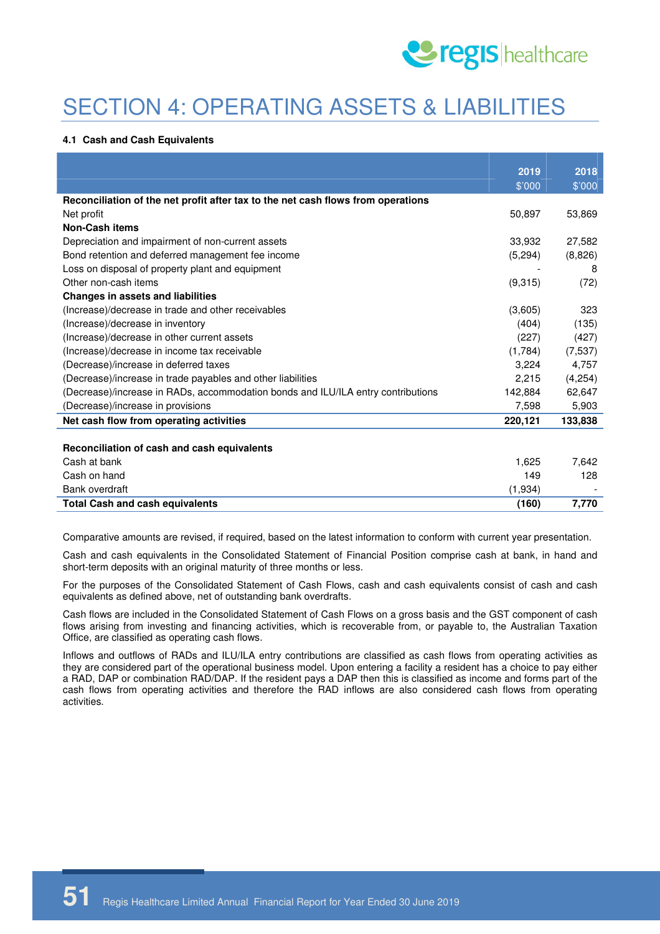

# SECTION 4: OPERATING ASSETS & LIABILITIES

#### **4.1 Cash and Cash Equivalents**

|                                                                                  | 2019    | 2018    |
|----------------------------------------------------------------------------------|---------|---------|
|                                                                                  | \$'000  | \$'000  |
| Reconciliation of the net profit after tax to the net cash flows from operations |         |         |
| Net profit                                                                       | 50,897  | 53,869  |
| <b>Non-Cash items</b>                                                            |         |         |
| Depreciation and impairment of non-current assets                                | 33,932  | 27,582  |
| Bond retention and deferred management fee income                                | (5,294) | (8,826) |
| Loss on disposal of property plant and equipment                                 |         | 8       |
| Other non-cash items                                                             | (9,315) | (72)    |
| <b>Changes in assets and liabilities</b>                                         |         |         |
| (Increase)/decrease in trade and other receivables                               | (3,605) | 323     |
| (Increase)/decrease in inventory                                                 | (404)   | (135)   |
| (Increase)/decrease in other current assets                                      | (227)   | (427)   |
| (Increase)/decrease in income tax receivable                                     | (1,784) | (7,537) |
| (Decrease)/increase in deferred taxes                                            | 3,224   | 4,757   |
| (Decrease)/increase in trade payables and other liabilities                      | 2,215   | (4,254) |
| (Decrease)/increase in RADs, accommodation bonds and ILU/ILA entry contributions | 142,884 | 62,647  |
| (Decrease)/increase in provisions                                                | 7,598   | 5,903   |
| Net cash flow from operating activities                                          | 220,121 | 133,838 |
|                                                                                  |         |         |
| Reconciliation of cash and cash equivalents                                      |         |         |
| Cash at bank                                                                     | 1,625   | 7.642   |
| Cash on hand                                                                     | 149     | 128     |
| Bank overdraft                                                                   | (1,934) |         |
| <b>Total Cash and cash equivalents</b>                                           | (160)   | 7,770   |

Comparative amounts are revised, if required, based on the latest information to conform with current year presentation.

Cash and cash equivalents in the Consolidated Statement of Financial Position comprise cash at bank, in hand and short-term deposits with an original maturity of three months or less.

For the purposes of the Consolidated Statement of Cash Flows, cash and cash equivalents consist of cash and cash equivalents as defined above, net of outstanding bank overdrafts.

Cash flows are included in the Consolidated Statement of Cash Flows on a gross basis and the GST component of cash flows arising from investing and financing activities, which is recoverable from, or payable to, the Australian Taxation Office, are classified as operating cash flows.

Inflows and outflows of RADs and ILU/ILA entry contributions are classified as cash flows from operating activities as they are considered part of the operational business model. Upon entering a facility a resident has a choice to pay either a RAD, DAP or combination RAD/DAP. If the resident pays a DAP then this is classified as income and forms part of the cash flows from operating activities and therefore the RAD inflows are also considered cash flows from operating activities.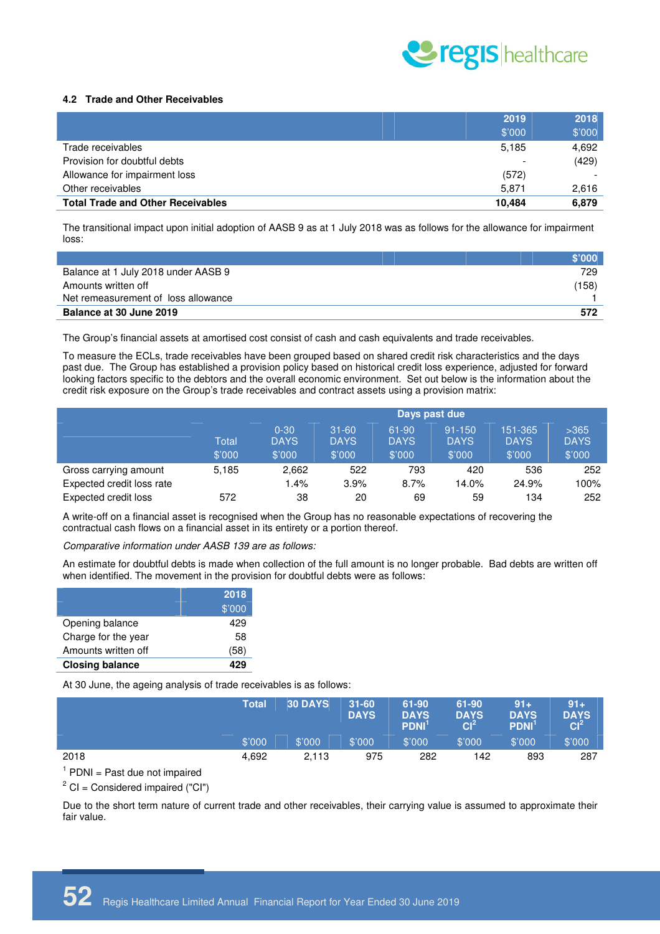

#### **4.2 Trade and Other Receivables**

|                                          | 2019   | 2018   |
|------------------------------------------|--------|--------|
|                                          | \$'000 | \$'000 |
| Trade receivables                        | 5.185  | 4,692  |
| Provision for doubtful debts             |        | (429)  |
| Allowance for impairment loss            | (572)  |        |
| Other receivables                        | 5.871  | 2,616  |
| <b>Total Trade and Other Receivables</b> | 10.484 | 6,879  |

The transitional impact upon initial adoption of AASB 9 as at 1 July 2018 was as follows for the allowance for impairment loss:

|                                     | \$'000 |
|-------------------------------------|--------|
| Balance at 1 July 2018 under AASB 9 | 729    |
| Amounts written off                 | (158)  |
| Net remeasurement of loss allowance |        |
| Balance at 30 June 2019             | 572    |

The Group's financial assets at amortised cost consist of cash and cash equivalents and trade receivables.

To measure the ECLs, trade receivables have been grouped based on shared credit risk characteristics and the days past due. The Group has established a provision policy based on historical credit loss experience, adjusted for forward looking factors specific to the debtors and the overall economic environment. Set out below is the information about the credit risk exposure on the Group's trade receivables and contract assets using a provision matrix:

|                           |        | Days past due           |                          |                      |                           |                        |                     |  |  |
|---------------------------|--------|-------------------------|--------------------------|----------------------|---------------------------|------------------------|---------------------|--|--|
|                           | Total  | $0 - 30$<br><b>DAYS</b> | $31 - 60$<br><b>DAYS</b> | 61-90<br><b>DAYS</b> | $91 - 150$<br><b>DAYS</b> | 151-365<br><b>DAYS</b> | >365<br><b>DAYS</b> |  |  |
|                           | \$'000 | \$'000                  | \$'000                   | \$'000               | \$'000                    | \$'000                 | \$'000              |  |  |
| Gross carrying amount     | 5.185  | 2,662                   | 522                      | 793                  | 420                       | 536                    | 252                 |  |  |
| Expected credit loss rate |        | 1.4%                    | 3.9%                     | 8.7%                 | 14.0%                     | 24.9%                  | 100%                |  |  |
| Expected credit loss      | 572    | 38                      | 20                       | 69                   | 59                        | 134                    | 252                 |  |  |

A write-off on a financial asset is recognised when the Group has no reasonable expectations of recovering the contractual cash flows on a financial asset in its entirety or a portion thereof.

*Comparative information under AASB 139 are as follows:* 

An estimate for doubtful debts is made when collection of the full amount is no longer probable. Bad debts are written off when identified. The movement in the provision for doubtful debts were as follows:

|                        | 2018   |
|------------------------|--------|
|                        | \$'000 |
| Opening balance        | 429    |
| Charge for the year    | 58     |
| Amounts written off    | (58)   |
| <b>Closing balance</b> |        |

At 30 June, the ageing analysis of trade receivables is as follows:

|      | <b>Total</b> | <b>30 DAYS</b> | $31 - 60$<br><b>DAYS</b> | 61-90<br><b>DAYS</b><br>PDNI <sup>1</sup> | 61-90<br><b>DAYS</b><br>Cl <sup>2</sup> | $91+$<br><b>DAYS</b><br><b>PDNI</b> | $91+$<br><b>DAYS</b><br>Cl <sup>2</sup> |
|------|--------------|----------------|--------------------------|-------------------------------------------|-----------------------------------------|-------------------------------------|-----------------------------------------|
|      | \$'000       | \$'000         | \$'000                   | \$'000                                    | \$'000                                  | \$'000                              | \$'000                                  |
| 2018 | 4,692        | 2,113          | 975                      | 282                                       | 142                                     | 893                                 | 287                                     |

 $<sup>1</sup>$  PDNI = Past due not impaired</sup>

 $2^2$  CI = Considered impaired ("CI")

Due to the short term nature of current trade and other receivables, their carrying value is assumed to approximate their fair value.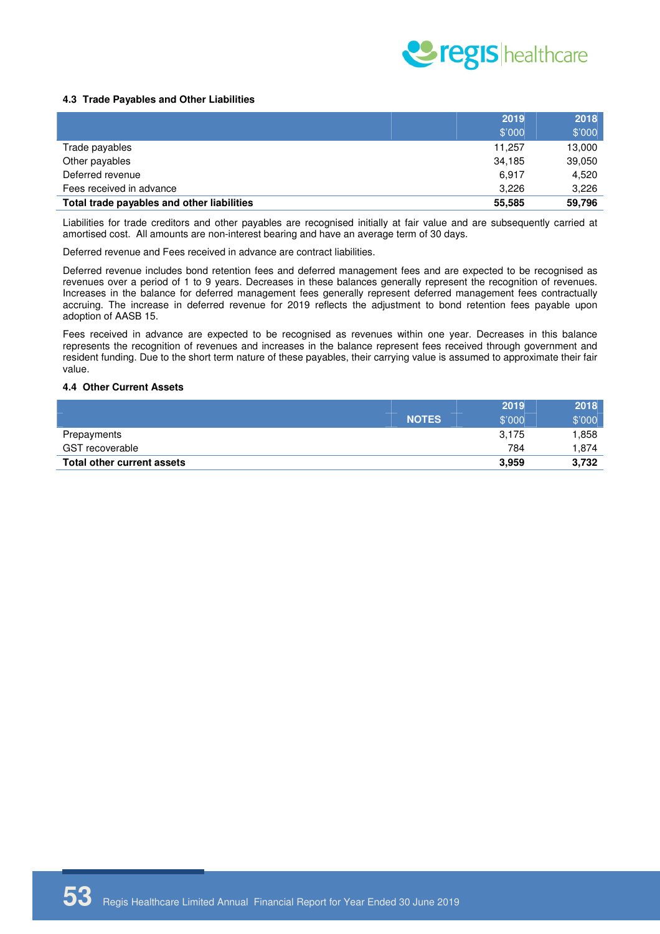

#### **4.3 Trade Payables and Other Liabilities**

|                                            | 2019   | 2018   |
|--------------------------------------------|--------|--------|
|                                            | \$'000 | \$'000 |
| Trade payables                             | 11.257 | 13,000 |
| Other payables                             | 34,185 | 39,050 |
| Deferred revenue                           | 6.917  | 4,520  |
| Fees received in advance                   | 3.226  | 3,226  |
| Total trade payables and other liabilities | 55,585 | 59,796 |

Liabilities for trade creditors and other payables are recognised initially at fair value and are subsequently carried at amortised cost. All amounts are non-interest bearing and have an average term of 30 days.

Deferred revenue and Fees received in advance are contract liabilities.

Deferred revenue includes bond retention fees and deferred management fees and are expected to be recognised as revenues over a period of 1 to 9 years. Decreases in these balances generally represent the recognition of revenues. Increases in the balance for deferred management fees generally represent deferred management fees contractually accruing. The increase in deferred revenue for 2019 reflects the adjustment to bond retention fees payable upon adoption of AASB 15.

Fees received in advance are expected to be recognised as revenues within one year. Decreases in this balance represents the recognition of revenues and increases in the balance represent fees received through government and resident funding. Due to the short term nature of these payables, their carrying value is assumed to approximate their fair value.

#### **4.4 Other Current Assets**

|                            | $-$<br>___   | 2019   | 2018   |
|----------------------------|--------------|--------|--------|
|                            | <b>NOTES</b> | \$'000 | \$'000 |
| Prepayments                |              | 3,175  | 1,858  |
| <b>GST</b> recoverable     |              | 784    | 1.874  |
| Total other current assets |              | 3,959  | 3,732  |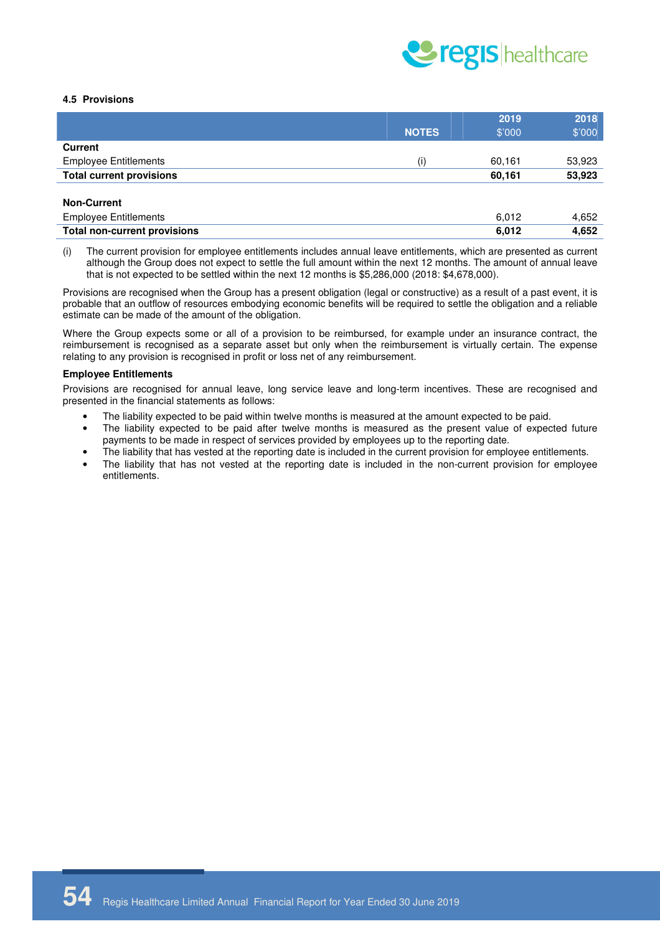

#### **4.5 Provisions**

|                                     |              | 2019   | 2018   |
|-------------------------------------|--------------|--------|--------|
|                                     | <b>NOTES</b> | \$'000 | \$'000 |
| <b>Current</b>                      |              |        |        |
| <b>Employee Entitlements</b>        | (i)          | 60,161 | 53,923 |
| <b>Total current provisions</b>     |              | 60,161 | 53,923 |
|                                     |              |        |        |
| <b>Non-Current</b>                  |              |        |        |
| <b>Employee Entitlements</b>        |              | 6.012  | 4,652  |
| <b>Total non-current provisions</b> |              | 6,012  | 4.652  |

(i) The current provision for employee entitlements includes annual leave entitlements, which are presented as current although the Group does not expect to settle the full amount within the next 12 months. The amount of annual leave that is not expected to be settled within the next 12 months is \$5,286,000 (2018: \$4,678,000).

Provisions are recognised when the Group has a present obligation (legal or constructive) as a result of a past event, it is probable that an outflow of resources embodying economic benefits will be required to settle the obligation and a reliable estimate can be made of the amount of the obligation.

Where the Group expects some or all of a provision to be reimbursed, for example under an insurance contract, the reimbursement is recognised as a separate asset but only when the reimbursement is virtually certain. The expense relating to any provision is recognised in profit or loss net of any reimbursement.

#### **Employee Entitlements**

Provisions are recognised for annual leave, long service leave and long-term incentives. These are recognised and presented in the financial statements as follows:

- The liability expected to be paid within twelve months is measured at the amount expected to be paid.
- The liability expected to be paid after twelve months is measured as the present value of expected future payments to be made in respect of services provided by employees up to the reporting date.
- The liability that has vested at the reporting date is included in the current provision for employee entitlements.
- The liability that has not vested at the reporting date is included in the non-current provision for employee entitlements.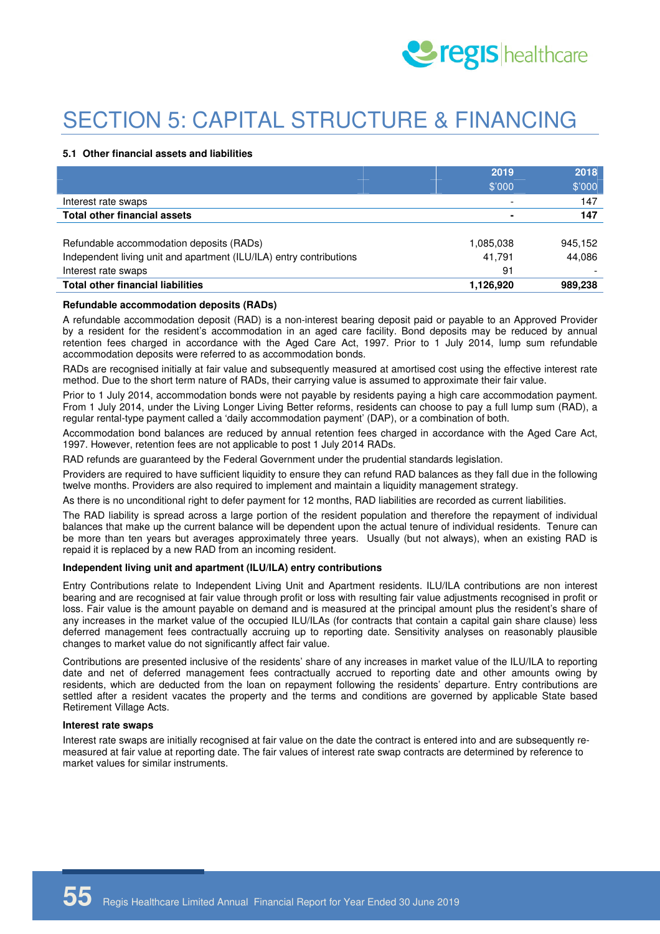

# SECTION 5: CAPITAL STRUCTURE & FINANCING

#### **5.1 Other financial assets and liabilities**

|                                                                     | 2019      | 2018    |
|---------------------------------------------------------------------|-----------|---------|
|                                                                     | \$'000    | \$'000  |
| Interest rate swaps                                                 |           | 147     |
| <b>Total other financial assets</b>                                 |           | 147     |
|                                                                     |           |         |
| Refundable accommodation deposits (RADs)                            | 1,085,038 | 945.152 |
| Independent living unit and apartment (ILU/ILA) entry contributions | 41.791    | 44.086  |
| Interest rate swaps                                                 | 91        |         |
| <b>Total other financial liabilities</b>                            | 1,126,920 | 989,238 |

#### **Refundable accommodation deposits (RADs)**

A refundable accommodation deposit (RAD) is a non-interest bearing deposit paid or payable to an Approved Provider by a resident for the resident's accommodation in an aged care facility. Bond deposits may be reduced by annual retention fees charged in accordance with the Aged Care Act, 1997. Prior to 1 July 2014, lump sum refundable accommodation deposits were referred to as accommodation bonds.

RADs are recognised initially at fair value and subsequently measured at amortised cost using the effective interest rate method. Due to the short term nature of RADs, their carrying value is assumed to approximate their fair value.

Prior to 1 July 2014, accommodation bonds were not payable by residents paying a high care accommodation payment. From 1 July 2014, under the Living Longer Living Better reforms, residents can choose to pay a full lump sum (RAD), a regular rental-type payment called a 'daily accommodation payment' (DAP), or a combination of both.

Accommodation bond balances are reduced by annual retention fees charged in accordance with the Aged Care Act, 1997. However, retention fees are not applicable to post 1 July 2014 RADs.

RAD refunds are guaranteed by the Federal Government under the prudential standards legislation.

Providers are required to have sufficient liquidity to ensure they can refund RAD balances as they fall due in the following twelve months. Providers are also required to implement and maintain a liquidity management strategy.

As there is no unconditional right to defer payment for 12 months, RAD liabilities are recorded as current liabilities.

The RAD liability is spread across a large portion of the resident population and therefore the repayment of individual balances that make up the current balance will be dependent upon the actual tenure of individual residents. Tenure can be more than ten years but averages approximately three years. Usually (but not always), when an existing RAD is repaid it is replaced by a new RAD from an incoming resident.

#### **Independent living unit and apartment (ILU/ILA) entry contributions**

Entry Contributions relate to Independent Living Unit and Apartment residents. ILU/ILA contributions are non interest bearing and are recognised at fair value through profit or loss with resulting fair value adjustments recognised in profit or loss. Fair value is the amount payable on demand and is measured at the principal amount plus the resident's share of any increases in the market value of the occupied ILU/ILAs (for contracts that contain a capital gain share clause) less deferred management fees contractually accruing up to reporting date. Sensitivity analyses on reasonably plausible changes to market value do not significantly affect fair value.

Contributions are presented inclusive of the residents' share of any increases in market value of the ILU/ILA to reporting date and net of deferred management fees contractually accrued to reporting date and other amounts owing by residents, which are deducted from the loan on repayment following the residents' departure. Entry contributions are settled after a resident vacates the property and the terms and conditions are governed by applicable State based Retirement Village Acts.

#### **Interest rate swaps**

Interest rate swaps are initially recognised at fair value on the date the contract is entered into and are subsequently remeasured at fair value at reporting date. The fair values of interest rate swap contracts are determined by reference to market values for similar instruments.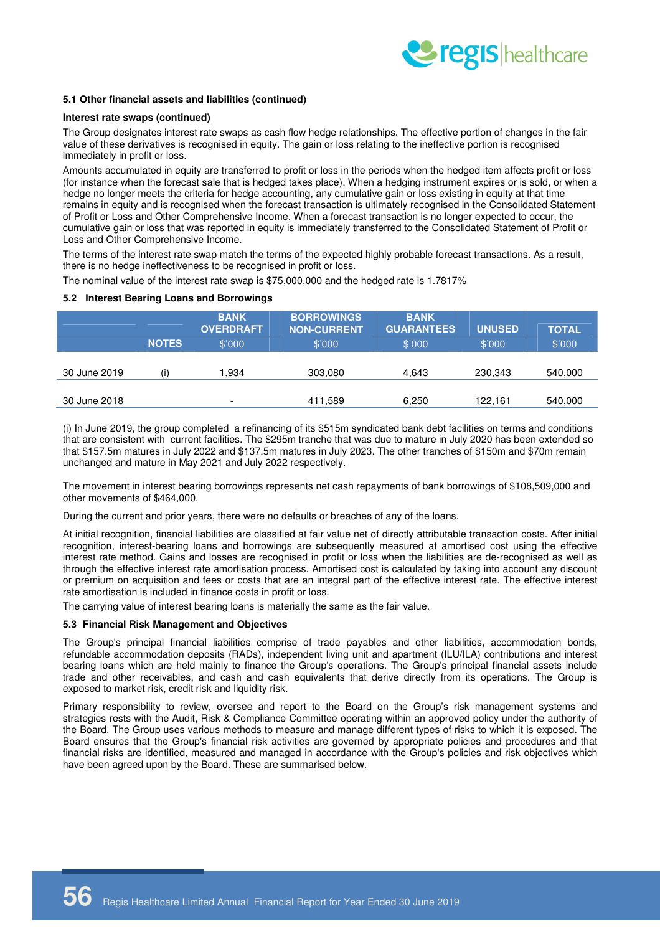

#### **5.1 Other financial assets and liabilities (continued)**

#### **Interest rate swaps (continued)**

The Group designates interest rate swaps as cash flow hedge relationships. The effective portion of changes in the fair value of these derivatives is recognised in equity. The gain or loss relating to the ineffective portion is recognised immediately in profit or loss.

Amounts accumulated in equity are transferred to profit or loss in the periods when the hedged item affects profit or loss (for instance when the forecast sale that is hedged takes place). When a hedging instrument expires or is sold, or when a hedge no longer meets the criteria for hedge accounting, any cumulative gain or loss existing in equity at that time remains in equity and is recognised when the forecast transaction is ultimately recognised in the Consolidated Statement of Profit or Loss and Other Comprehensive Income. When a forecast transaction is no longer expected to occur, the cumulative gain or loss that was reported in equity is immediately transferred to the Consolidated Statement of Profit or Loss and Other Comprehensive Income.

The terms of the interest rate swap match the terms of the expected highly probable forecast transactions. As a result, there is no hedge ineffectiveness to be recognised in profit or loss.

The nominal value of the interest rate swap is \$75,000,000 and the hedged rate is 1.7817%

#### **5.2 Interest Bearing Loans and Borrowings**

|              | <b>NOTES</b> | <b>BANK</b><br><b>OVERDRAFT</b><br>\$'000 | <b>BORROWINGS</b><br><b>NON-CURRENT</b><br>\$'000 | <b>BANK</b><br><b>GUARANTEES</b><br>\$'000 | <b>UNUSED</b><br>\$'000 | <b>TOTAL</b><br>\$'000 |
|--------------|--------------|-------------------------------------------|---------------------------------------------------|--------------------------------------------|-------------------------|------------------------|
| 30 June 2019 | (i           | .934                                      | 303,080                                           | 4.643                                      | 230,343                 | 540,000                |
| 30 June 2018 |              | -                                         | 411,589                                           | 6,250                                      | 122.161                 | 540,000                |

(i) In June 2019, the group completed a refinancing of its \$515m syndicated bank debt facilities on terms and conditions that are consistent with current facilities. The \$295m tranche that was due to mature in July 2020 has been extended so that \$157.5m matures in July 2022 and \$137.5m matures in July 2023. The other tranches of \$150m and \$70m remain unchanged and mature in May 2021 and July 2022 respectively.

The movement in interest bearing borrowings represents net cash repayments of bank borrowings of \$108,509,000 and other movements of \$464,000.

During the current and prior years, there were no defaults or breaches of any of the loans.

At initial recognition, financial liabilities are classified at fair value net of directly attributable transaction costs. After initial recognition, interest-bearing loans and borrowings are subsequently measured at amortised cost using the effective interest rate method. Gains and losses are recognised in profit or loss when the liabilities are de-recognised as well as through the effective interest rate amortisation process. Amortised cost is calculated by taking into account any discount or premium on acquisition and fees or costs that are an integral part of the effective interest rate. The effective interest rate amortisation is included in finance costs in profit or loss.

The carrying value of interest bearing loans is materially the same as the fair value.

#### **5.3 Financial Risk Management and Objectives**

The Group's principal financial liabilities comprise of trade payables and other liabilities, accommodation bonds, refundable accommodation deposits (RADs), independent living unit and apartment (ILU/ILA) contributions and interest bearing loans which are held mainly to finance the Group's operations. The Group's principal financial assets include trade and other receivables, and cash and cash equivalents that derive directly from its operations. The Group is exposed to market risk, credit risk and liquidity risk.

Primary responsibility to review, oversee and report to the Board on the Group's risk management systems and strategies rests with the Audit, Risk & Compliance Committee operating within an approved policy under the authority of the Board. The Group uses various methods to measure and manage different types of risks to which it is exposed. The Board ensures that the Group's financial risk activities are governed by appropriate policies and procedures and that financial risks are identified, measured and managed in accordance with the Group's policies and risk objectives which have been agreed upon by the Board. These are summarised below.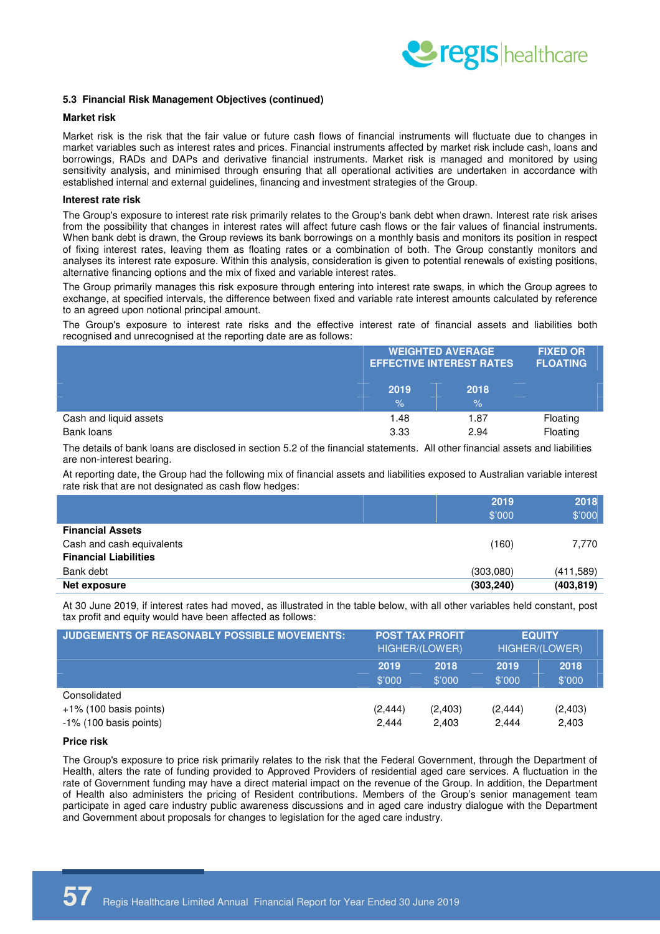

#### **5.3 Financial Risk Management Objectives (continued)**

#### **Market risk**

Market risk is the risk that the fair value or future cash flows of financial instruments will fluctuate due to changes in market variables such as interest rates and prices. Financial instruments affected by market risk include cash, loans and borrowings, RADs and DAPs and derivative financial instruments. Market risk is managed and monitored by using sensitivity analysis, and minimised through ensuring that all operational activities are undertaken in accordance with established internal and external guidelines, financing and investment strategies of the Group.

#### **Interest rate risk**

The Group's exposure to interest rate risk primarily relates to the Group's bank debt when drawn. Interest rate risk arises from the possibility that changes in interest rates will affect future cash flows or the fair values of financial instruments. When bank debt is drawn, the Group reviews its bank borrowings on a monthly basis and monitors its position in respect of fixing interest rates, leaving them as floating rates or a combination of both. The Group constantly monitors and analyses its interest rate exposure. Within this analysis, consideration is given to potential renewals of existing positions, alternative financing options and the mix of fixed and variable interest rates.

The Group primarily manages this risk exposure through entering into interest rate swaps, in which the Group agrees to exchange, at specified intervals, the difference between fixed and variable rate interest amounts calculated by reference to an agreed upon notional principal amount.

The Group's exposure to interest rate risks and the effective interest rate of financial assets and liabilities both recognised and unrecognised at the reporting date are as follows:

|                        |               | <b>WEIGHTED AVERAGE</b><br><b>EFFECTIVE INTEREST RATES</b> | <b>FIXED OR</b><br><b>FLOATING</b> |
|------------------------|---------------|------------------------------------------------------------|------------------------------------|
|                        | 2019<br>2018  |                                                            |                                    |
|                        | $\frac{9}{6}$ | $\sqrt{2}$                                                 |                                    |
| Cash and liquid assets | 1.48          | 1.87                                                       | Floating                           |
| Bank loans             | 3.33          | 2.94                                                       | Floating                           |

The details of bank loans are disclosed in section 5.2 of the financial statements. All other financial assets and liabilities are non-interest bearing.

At reporting date, the Group had the following mix of financial assets and liabilities exposed to Australian variable interest rate risk that are not designated as cash flow hedges:

|                              | 2019       | 2018       |
|------------------------------|------------|------------|
|                              | \$'000     | \$'000     |
| <b>Financial Assets</b>      |            |            |
| Cash and cash equivalents    | (160)      | 7.770      |
| <b>Financial Liabilities</b> |            |            |
| Bank debt                    | (303,080)  | (411,589)  |
| Net exposure                 | (303, 240) | (403, 819) |

At 30 June 2019, if interest rates had moved, as illustrated in the table below, with all other variables held constant, post tax profit and equity would have been affected as follows:

| <b>JUDGEMENTS OF REASONABLY POSSIBLE MOVEMENTS:</b>                    | <b>POST TAX PROFIT</b><br>HIGHER/(LOWER) |                  | <b>EQUITY</b><br>HIGHER/(LOWER) |                  |
|------------------------------------------------------------------------|------------------------------------------|------------------|---------------------------------|------------------|
|                                                                        | 2019<br>\$'000                           | 2018<br>\$'000   | 2019<br>\$'000                  | 2018<br>\$'000   |
| Consolidated<br>$+1\%$ (100 basis points)<br>$-1\%$ (100 basis points) | (2, 444)<br>2.444                        | (2,403)<br>2.403 | (2, 444)<br>2.444               | (2,403)<br>2,403 |

#### **Price risk**

The Group's exposure to price risk primarily relates to the risk that the Federal Government, through the Department of Health, alters the rate of funding provided to Approved Providers of residential aged care services. A fluctuation in the rate of Government funding may have a direct material impact on the revenue of the Group. In addition, the Department of Health also administers the pricing of Resident contributions. Members of the Group's senior management team participate in aged care industry public awareness discussions and in aged care industry dialogue with the Department and Government about proposals for changes to legislation for the aged care industry.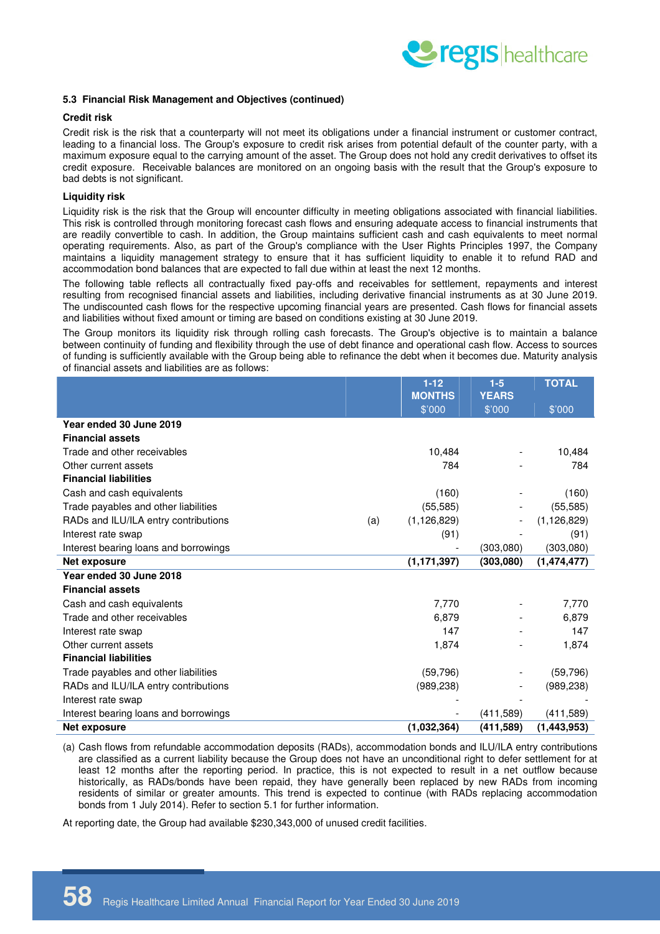

#### **5.3 Financial Risk Management and Objectives (continued)**

#### **Credit risk**

Credit risk is the risk that a counterparty will not meet its obligations under a financial instrument or customer contract, leading to a financial loss. The Group's exposure to credit risk arises from potential default of the counter party, with a maximum exposure equal to the carrying amount of the asset. The Group does not hold any credit derivatives to offset its credit exposure. Receivable balances are monitored on an ongoing basis with the result that the Group's exposure to bad debts is not significant.

#### **Liquidity risk**

Liquidity risk is the risk that the Group will encounter difficulty in meeting obligations associated with financial liabilities. This risk is controlled through monitoring forecast cash flows and ensuring adequate access to financial instruments that are readily convertible to cash. In addition, the Group maintains sufficient cash and cash equivalents to meet normal operating requirements. Also, as part of the Group's compliance with the User Rights Principles 1997, the Company maintains a liquidity management strategy to ensure that it has sufficient liquidity to enable it to refund RAD and accommodation bond balances that are expected to fall due within at least the next 12 months.

The following table reflects all contractually fixed pay-offs and receivables for settlement, repayments and interest resulting from recognised financial assets and liabilities, including derivative financial instruments as at 30 June 2019. The undiscounted cash flows for the respective upcoming financial years are presented. Cash flows for financial assets and liabilities without fixed amount or timing are based on conditions existing at 30 June 2019.

The Group monitors its liquidity risk through rolling cash forecasts. The Group's objective is to maintain a balance between continuity of funding and flexibility through the use of debt finance and operational cash flow. Access to sources of funding is sufficiently available with the Group being able to refinance the debt when it becomes due. Maturity analysis of financial assets and liabilities are as follows:

|                                       |     | $1 - 12$<br><b>MONTHS</b> | $1-5$<br><b>YEARS</b> | <b>TOTAL</b>  |
|---------------------------------------|-----|---------------------------|-----------------------|---------------|
|                                       |     | \$'000                    | \$'000                | \$'000        |
| Year ended 30 June 2019               |     |                           |                       |               |
| <b>Financial assets</b>               |     |                           |                       |               |
| Trade and other receivables           |     | 10,484                    |                       | 10,484        |
| Other current assets                  |     | 784                       |                       | 784           |
| <b>Financial liabilities</b>          |     |                           |                       |               |
| Cash and cash equivalents             |     | (160)                     |                       | (160)         |
| Trade payables and other liabilities  |     | (55, 585)                 |                       | (55, 585)     |
| RADs and ILU/ILA entry contributions  | (a) | (1, 126, 829)             |                       | (1, 126, 829) |
| Interest rate swap                    |     | (91)                      |                       | (91)          |
| Interest bearing loans and borrowings |     |                           | (303,080)             | (303,080)     |
| <b>Net exposure</b>                   |     | (1, 171, 397)             | (303,080)             | (1, 474, 477) |
| Year ended 30 June 2018               |     |                           |                       |               |
| <b>Financial assets</b>               |     |                           |                       |               |
| Cash and cash equivalents             |     | 7,770                     |                       | 7,770         |
| Trade and other receivables           |     | 6,879                     |                       | 6,879         |
| Interest rate swap                    |     | 147                       |                       | 147           |
| Other current assets                  |     | 1,874                     |                       | 1,874         |
| <b>Financial liabilities</b>          |     |                           |                       |               |
| Trade payables and other liabilities  |     | (59,796)                  |                       | (59, 796)     |
| RADs and ILU/ILA entry contributions  |     | (989, 238)                |                       | (989, 238)    |
| Interest rate swap                    |     |                           |                       |               |
| Interest bearing loans and borrowings |     |                           | (411,589)             | (411,589)     |
| Net exposure                          |     | (1,032,364)               | (411,589)             | (1,443,953)   |

(a) Cash flows from refundable accommodation deposits (RADs), accommodation bonds and ILU/ILA entry contributions are classified as a current liability because the Group does not have an unconditional right to defer settlement for at least 12 months after the reporting period. In practice, this is not expected to result in a net outflow because historically, as RADs/bonds have been repaid, they have generally been replaced by new RADs from incoming residents of similar or greater amounts. This trend is expected to continue (with RADs replacing accommodation bonds from 1 July 2014). Refer to section 5.1 for further information.

At reporting date, the Group had available \$230,343,000 of unused credit facilities.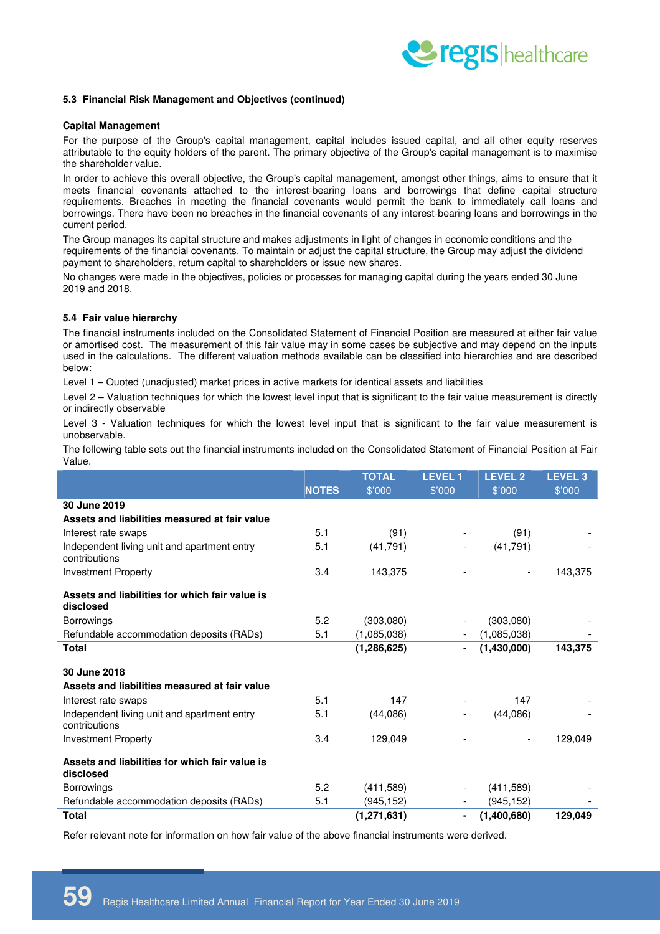

#### **5.3 Financial Risk Management and Objectives (continued)**

#### **Capital Management**

For the purpose of the Group's capital management, capital includes issued capital, and all other equity reserves attributable to the equity holders of the parent. The primary objective of the Group's capital management is to maximise the shareholder value.

In order to achieve this overall objective, the Group's capital management, amongst other things, aims to ensure that it meets financial covenants attached to the interest-bearing loans and borrowings that define capital structure requirements. Breaches in meeting the financial covenants would permit the bank to immediately call loans and borrowings. There have been no breaches in the financial covenants of any interest-bearing loans and borrowings in the current period.

The Group manages its capital structure and makes adjustments in light of changes in economic conditions and the requirements of the financial covenants. To maintain or adjust the capital structure, the Group may adjust the dividend payment to shareholders, return capital to shareholders or issue new shares.

No changes were made in the objectives, policies or processes for managing capital during the years ended 30 June 2019 and 2018.

#### **5.4 Fair value hierarchy**

The financial instruments included on the Consolidated Statement of Financial Position are measured at either fair value or amortised cost. The measurement of this fair value may in some cases be subjective and may depend on the inputs used in the calculations. The different valuation methods available can be classified into hierarchies and are described below:

Level 1 – Quoted (unadjusted) market prices in active markets for identical assets and liabilities

Level 2 – Valuation techniques for which the lowest level input that is significant to the fair value measurement is directly or indirectly observable

Level 3 - Valuation techniques for which the lowest level input that is significant to the fair value measurement is unobservable.

The following table sets out the financial instruments included on the Consolidated Statement of Financial Position at Fair Value.

|                                                              |              | <b>TOTAL</b>  | <b>LEVEL 1</b>           | <b>LEVEL 2</b> | <b>LEVEL 3</b> |
|--------------------------------------------------------------|--------------|---------------|--------------------------|----------------|----------------|
|                                                              | <b>NOTES</b> | \$'000        | \$'000                   | \$'000         | \$'000         |
| 30 June 2019                                                 |              |               |                          |                |                |
| Assets and liabilities measured at fair value                |              |               |                          |                |                |
| Interest rate swaps                                          | 5.1          | (91)          |                          | (91)           |                |
| Independent living unit and apartment entry<br>contributions | 5.1          | (41, 791)     |                          | (41, 791)      |                |
| <b>Investment Property</b>                                   | 3.4          | 143,375       |                          |                | 143,375        |
| Assets and liabilities for which fair value is<br>disclosed  |              |               |                          |                |                |
| <b>Borrowings</b>                                            | 5.2          | (303,080)     | $\overline{\phantom{a}}$ | (303,080)      |                |
| Refundable accommodation deposits (RADs)                     | 5.1          | (1,085,038)   |                          | (1,085,038)    |                |
| Total                                                        |              | (1, 286, 625) | $\blacksquare$           | (1,430,000)    | 143,375        |
| 30 June 2018                                                 |              |               |                          |                |                |
| Assets and liabilities measured at fair value                |              |               |                          |                |                |
| Interest rate swaps                                          | 5.1          | 147           |                          | 147            |                |
| Independent living unit and apartment entry<br>contributions | 5.1          | (44,086)      |                          | (44, 086)      |                |
| <b>Investment Property</b>                                   | 3.4          | 129,049       |                          |                | 129,049        |
| Assets and liabilities for which fair value is<br>disclosed  |              |               |                          |                |                |
| Borrowings                                                   | 5.2          | (411,589)     | -                        | (411,589)      |                |
| Refundable accommodation deposits (RADs)                     | 5.1          | (945, 152)    |                          | (945, 152)     |                |
| <b>Total</b>                                                 |              | (1, 271, 631) |                          | (1,400,680)    | 129,049        |

Refer relevant note for information on how fair value of the above financial instruments were derived.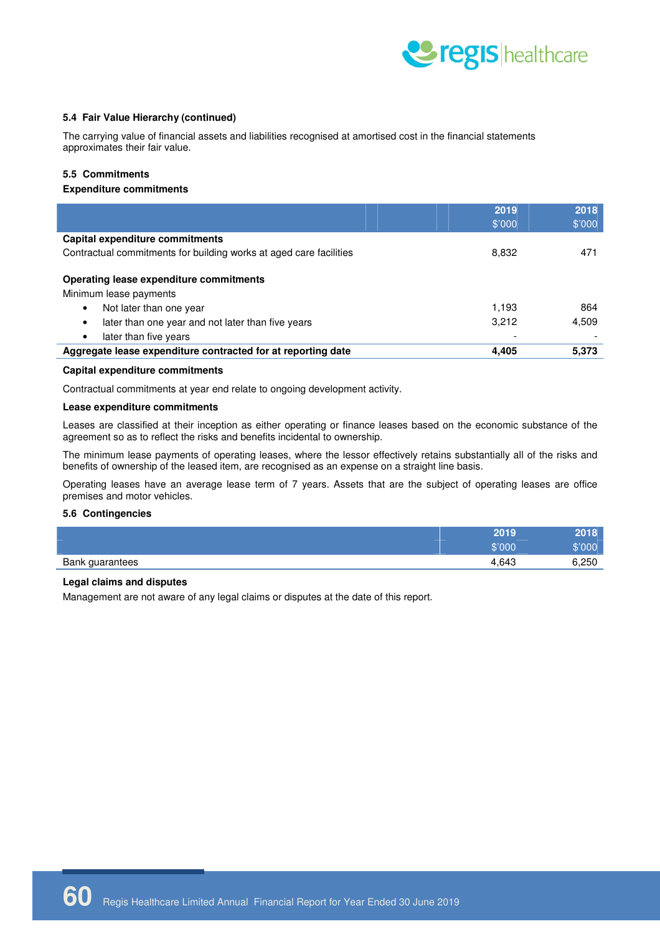

#### **5.4 Fair Value Hierarchy (continued)**

The carrying value of financial assets and liabilities recognised at amortised cost in the financial statements approximates their fair value.

#### **5.5 Commitments**

#### **Expenditure commitments**

| Aggregate lease expenditure contracted for at reporting date       | 4,405  | 5,373  |
|--------------------------------------------------------------------|--------|--------|
| later than five years<br>$\bullet$                                 |        |        |
| later than one year and not later than five years<br>$\bullet$     | 3.212  | 4.509  |
| Not later than one year<br>٠                                       | 1.193  | 864    |
| Minimum lease payments                                             |        |        |
| Operating lease expenditure commitments                            |        |        |
| Contractual commitments for building works at aged care facilities | 8,832  | 471    |
| Capital expenditure commitments                                    |        |        |
|                                                                    | \$'000 | \$'000 |
|                                                                    | 2019   | 2018   |
|                                                                    |        |        |

#### **Capital expenditure commitments**

Contractual commitments at year end relate to ongoing development activity.

#### **Lease expenditure commitments**

Leases are classified at their inception as either operating or finance leases based on the economic substance of the agreement so as to reflect the risks and benefits incidental to ownership.

The minimum lease payments of operating leases, where the lessor effectively retains substantially all of the risks and benefits of ownership of the leased item, are recognised as an expense on a straight line basis.

Operating leases have an average lease term of 7 years. Assets that are the subject of operating leases are office premises and motor vehicles.

#### **5.6 Contingencies**

|                 | 2019<br>___ | 2018   |
|-----------------|-------------|--------|
|                 | \$'00ር      | \$'000 |
| Bank guarantees | 4,643       | ა.250  |

#### **Legal claims and disputes**

Management are not aware of any legal claims or disputes at the date of this report.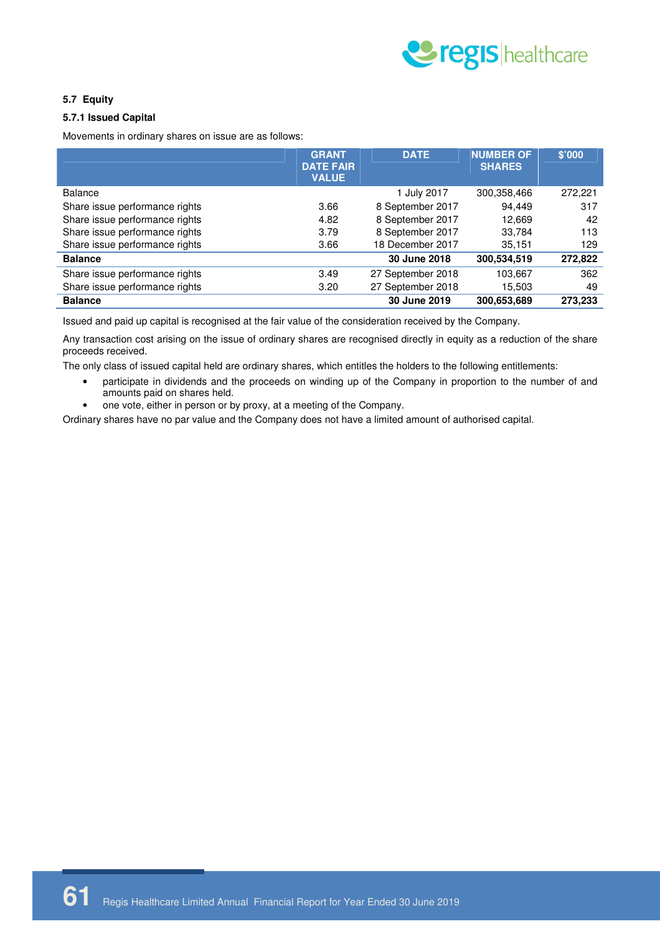

### **5.7 Equity**

#### **5.7.1 Issued Capital**

Movements in ordinary shares on issue are as follows:

|                                | <b>GRANT</b><br><b>DATE FAIR</b><br><b>VALUE</b> | <b>DATE</b>       | <b>NUMBER OF</b><br><b>SHARES</b> | \$'000  |
|--------------------------------|--------------------------------------------------|-------------------|-----------------------------------|---------|
| Balance                        |                                                  | 1 July 2017       | 300,358,466                       | 272,221 |
| Share issue performance rights | 3.66                                             | 8 September 2017  | 94.449                            | 317     |
| Share issue performance rights | 4.82                                             | 8 September 2017  | 12.669                            | 42      |
| Share issue performance rights | 3.79                                             | 8 September 2017  | 33,784                            | 113     |
| Share issue performance rights | 3.66                                             | 18 December 2017  | 35,151                            | 129     |
| <b>Balance</b>                 |                                                  | 30 June 2018      | 300.534,519                       | 272,822 |
| Share issue performance rights | 3.49                                             | 27 September 2018 | 103.667                           | 362     |
| Share issue performance rights | 3.20                                             | 27 September 2018 | 15,503                            | 49      |
| <b>Balance</b>                 |                                                  | 30 June 2019      | 300,653,689                       | 273,233 |

Issued and paid up capital is recognised at the fair value of the consideration received by the Company.

Any transaction cost arising on the issue of ordinary shares are recognised directly in equity as a reduction of the share proceeds received.

The only class of issued capital held are ordinary shares, which entitles the holders to the following entitlements:

- participate in dividends and the proceeds on winding up of the Company in proportion to the number of and amounts paid on shares held.
- one vote, either in person or by proxy, at a meeting of the Company.

Ordinary shares have no par value and the Company does not have a limited amount of authorised capital.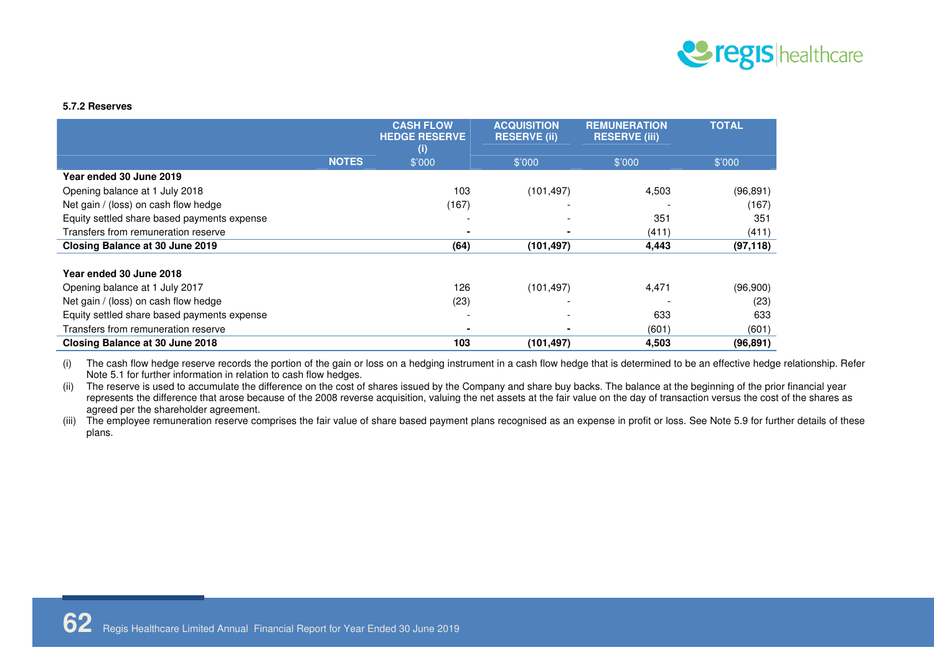

#### **5.7.2 Reserves**

|                                             |              | <b>CASH FLOW</b><br><b>HEDGE RESERVE</b> | <b>ACQUISITION</b><br><b>RESERVE (ii)</b> | <b>REMUNERATION</b><br><b>RESERVE (iii)</b> | <b>TOTAL</b> |
|---------------------------------------------|--------------|------------------------------------------|-------------------------------------------|---------------------------------------------|--------------|
|                                             | <b>NOTES</b> | $\left( i\right)$<br>\$'000              | \$'000                                    | \$'000                                      | \$'000       |
| Year ended 30 June 2019                     |              |                                          |                                           |                                             |              |
| Opening balance at 1 July 2018              |              | 103                                      | (101, 497)                                | 4,503                                       | (96, 891)    |
| Net gain / (loss) on cash flow hedge        |              | (167)                                    |                                           |                                             | (167)        |
| Equity settled share based payments expense |              | $\overline{\phantom{a}}$                 | $\overline{\phantom{a}}$                  | 351                                         | 351          |
| Transfers from remuneration reserve         |              | $\blacksquare$                           |                                           | (411)                                       | (411)        |
| Closing Balance at 30 June 2019             |              | (64)                                     | (101, 497)                                | 4,443                                       | (97, 118)    |
|                                             |              |                                          |                                           |                                             |              |
| Year ended 30 June 2018                     |              |                                          |                                           |                                             |              |
| Opening balance at 1 July 2017              |              | 126                                      | (101, 497)                                | 4,471                                       | (96,900)     |
| Net gain / (loss) on cash flow hedge        |              | (23)                                     |                                           |                                             | (23)         |
| Equity settled share based payments expense |              | $\overline{\phantom{a}}$                 |                                           | 633                                         | 633          |
| Transfers from remuneration reserve         |              |                                          |                                           | (601)                                       | (601)        |
| Closing Balance at 30 June 2018             |              | 103                                      | (101, 497)                                | 4,503                                       | (96, 891)    |

(i) The cash flow hedge reserve records the portion of the gain or loss on a hedging instrument in a cash flow hedge that is determined to be an effective hedge relationship. Refer Note 5.1 for further information in relation to cash flow hedges.

(ii) The reserve is used to accumulate the difference on the cost of shares issued by the Company and share buy backs. The balance at the beginning of the prior financial year represents the difference that arose because of the 2008 reverse acquisition, valuing the net assets at the fair value on the day of transaction versus the cost of the shares as agreed per the shareholder agreement.

(iii) The employee remuneration reserve comprises the fair value of share based payment plans recognised as an expense in profit or loss. See Note 5.9 for further details of these plans.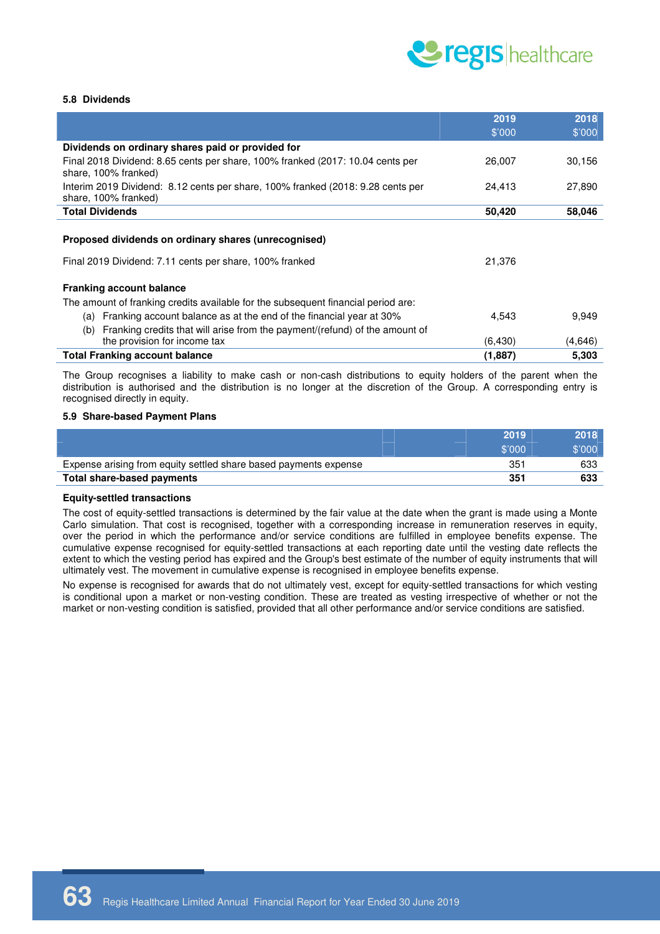

#### **5.8 Dividends**

|                                                                                                         | 2019     | 2018    |
|---------------------------------------------------------------------------------------------------------|----------|---------|
|                                                                                                         | \$'000   | \$'000  |
| Dividends on ordinary shares paid or provided for                                                       |          |         |
| Final 2018 Dividend: 8.65 cents per share, 100% franked (2017: 10.04 cents per<br>share, 100% franked)  | 26,007   | 30,156  |
| Interim 2019 Dividend: 8.12 cents per share, 100% franked (2018: 9.28 cents per<br>share, 100% franked) | 24,413   | 27,890  |
| <b>Total Dividends</b>                                                                                  | 50,420   | 58,046  |
|                                                                                                         |          |         |
| Proposed dividends on ordinary shares (unrecognised)                                                    |          |         |
| Final 2019 Dividend: 7.11 cents per share, 100% franked                                                 | 21,376   |         |
| <b>Franking account balance</b>                                                                         |          |         |
| The amount of franking credits available for the subsequent financial period are:                       |          |         |
| Franking account balance as at the end of the financial year at 30%<br>(a)                              | 4,543    | 9,949   |
| Franking credits that will arise from the payment/(refund) of the amount of<br>(b)                      |          |         |
| the provision for income tax                                                                            | (6, 430) | (4,646) |
| <b>Total Franking account balance</b>                                                                   | (1,887)  | 5.303   |

The Group recognises a liability to make cash or non-cash distributions to equity holders of the parent when the distribution is authorised and the distribution is no longer at the discretion of the Group. A corresponding entry is recognised directly in equity.

#### **5.9 Share-based Payment Plans**

|                                                                  | 2019    | 2018    |
|------------------------------------------------------------------|---------|---------|
|                                                                  | \$'000' | \$'000' |
| Expense arising from equity settled share based payments expense | 351     | 633     |
| Total share-based payments                                       | 351     | 633     |

#### **Equity-settled transactions**

The cost of equity-settled transactions is determined by the fair value at the date when the grant is made using a Monte Carlo simulation. That cost is recognised, together with a corresponding increase in remuneration reserves in equity, over the period in which the performance and/or service conditions are fulfilled in employee benefits expense. The cumulative expense recognised for equity-settled transactions at each reporting date until the vesting date reflects the extent to which the vesting period has expired and the Group's best estimate of the number of equity instruments that will ultimately vest. The movement in cumulative expense is recognised in employee benefits expense.

No expense is recognised for awards that do not ultimately vest, except for equity-settled transactions for which vesting is conditional upon a market or non-vesting condition. These are treated as vesting irrespective of whether or not the market or non-vesting condition is satisfied, provided that all other performance and/or service conditions are satisfied.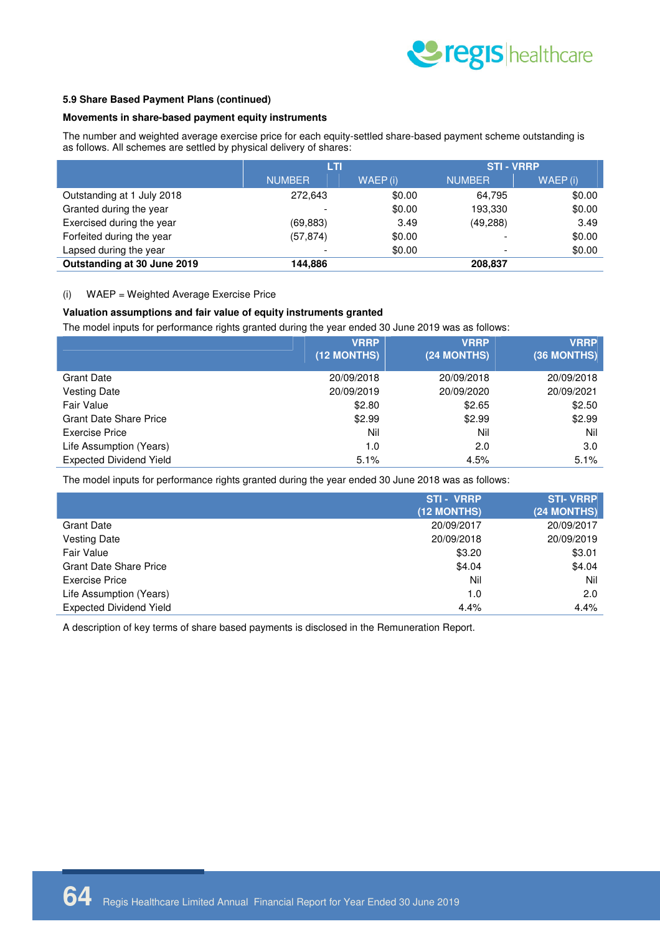

#### **5.9 Share Based Payment Plans (continued)**

#### **Movements in share-based payment equity instruments**

The number and weighted average exercise price for each equity-settled share-based payment scheme outstanding is as follows. All schemes are settled by physical delivery of shares:

|                             | LΤΙ                      |          | <b>STI-VRRP</b> |          |
|-----------------------------|--------------------------|----------|-----------------|----------|
|                             | <b>NUMBER</b>            | WAEP (i) | <b>NUMBER</b>   | WAEP (i) |
| Outstanding at 1 July 2018  | 272,643                  | \$0.00   | 64,795          | \$0.00   |
| Granted during the year     | $\overline{\phantom{0}}$ | \$0.00   | 193.330         | \$0.00   |
| Exercised during the year   | (69, 883)                | 3.49     | (49, 288)       | 3.49     |
| Forfeited during the year   | (57, 874)                | \$0.00   |                 | \$0.00   |
| Lapsed during the year      | $\overline{\phantom{0}}$ | \$0.00   | -               | \$0.00   |
| Outstanding at 30 June 2019 | 144,886                  |          | 208,837         |          |

#### (i) WAEP = Weighted Average Exercise Price

#### **Valuation assumptions and fair value of equity instruments granted**

The model inputs for performance rights granted during the year ended 30 June 2019 was as follows:

|                                | <b>VRRP</b> | <b>VRRP</b> | <b>VRRP</b> |
|--------------------------------|-------------|-------------|-------------|
|                                | (12 MONTHS) | (24 MONTHS) | (36 MONTHS) |
| <b>Grant Date</b>              | 20/09/2018  | 20/09/2018  | 20/09/2018  |
| <b>Vesting Date</b>            | 20/09/2019  | 20/09/2020  | 20/09/2021  |
| Fair Value                     | \$2.80      | \$2.65      | \$2.50      |
| <b>Grant Date Share Price</b>  | \$2.99      | \$2.99      | \$2.99      |
| Exercise Price                 | Nil         | Nil         | Nil         |
| Life Assumption (Years)        | 1.0         | 2.0         | 3.0         |
| <b>Expected Dividend Yield</b> | 5.1%        | 4.5%        | 5.1%        |

The model inputs for performance rights granted during the year ended 30 June 2018 was as follows:

|                                | <b>STI- VRRP</b> | <b>STI-VRRP</b> |
|--------------------------------|------------------|-----------------|
|                                | (12 MONTHS)      | (24 MONTHS)     |
| <b>Grant Date</b>              | 20/09/2017       | 20/09/2017      |
| <b>Vesting Date</b>            | 20/09/2018       | 20/09/2019      |
| Fair Value                     | \$3.20           | \$3.01          |
| <b>Grant Date Share Price</b>  | \$4.04           | \$4.04          |
| Exercise Price                 | Nil              | Nil             |
| Life Assumption (Years)        | 1.0              | 2.0             |
| <b>Expected Dividend Yield</b> | 4.4%             | 4.4%            |

A description of key terms of share based payments is disclosed in the Remuneration Report.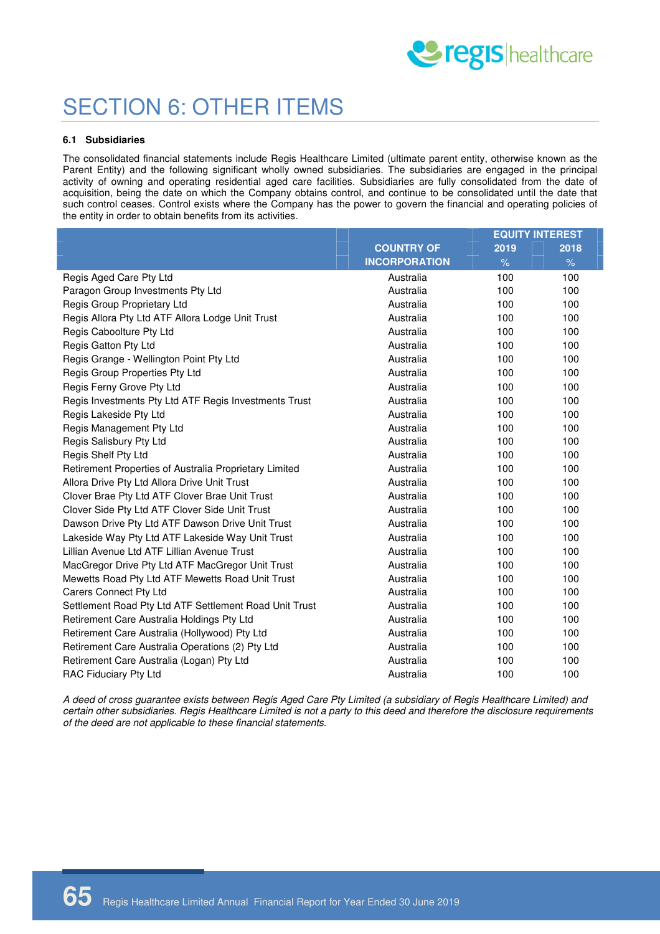

# SECTION 6: OTHER ITEMS

#### **6.1 Subsidiaries**

The consolidated financial statements include Regis Healthcare Limited (ultimate parent entity, otherwise known as the Parent Entity) and the following significant wholly owned subsidiaries. The subsidiaries are engaged in the principal activity of owning and operating residential aged care facilities. Subsidiaries are fully consolidated from the date of acquisition, being the date on which the Company obtains control, and continue to be consolidated until the date that such control ceases. Control exists where the Company has the power to govern the financial and operating policies of the entity in order to obtain benefits from its activities.

|                                                        |                      |      | <b>EQUITY INTEREST</b> |
|--------------------------------------------------------|----------------------|------|------------------------|
|                                                        | <b>COUNTRY OF</b>    | 2019 | 2018                   |
|                                                        | <b>INCORPORATION</b> | $\%$ | $\%$                   |
| Regis Aged Care Pty Ltd                                | Australia            | 100  | 100                    |
| Paragon Group Investments Pty Ltd                      | Australia            | 100  | 100                    |
| Regis Group Proprietary Ltd                            | Australia            | 100  | 100                    |
| Regis Allora Pty Ltd ATF Allora Lodge Unit Trust       | Australia            | 100  | 100                    |
| Regis Caboolture Pty Ltd                               | Australia            | 100  | 100                    |
| Regis Gatton Pty Ltd                                   | Australia            | 100  | 100                    |
| Regis Grange - Wellington Point Pty Ltd                | Australia            | 100  | 100                    |
| Regis Group Properties Pty Ltd                         | Australia            | 100  | 100                    |
| Regis Ferny Grove Pty Ltd                              | Australia            | 100  | 100                    |
| Regis Investments Pty Ltd ATF Regis Investments Trust  | Australia            | 100  | 100                    |
| Regis Lakeside Pty Ltd                                 | Australia            | 100  | 100                    |
| Regis Management Pty Ltd                               | Australia            | 100  | 100                    |
| Regis Salisbury Pty Ltd                                | Australia            | 100  | 100                    |
| Regis Shelf Pty Ltd                                    | Australia            | 100  | 100                    |
| Retirement Properties of Australia Proprietary Limited | Australia            | 100  | 100                    |
| Allora Drive Pty Ltd Allora Drive Unit Trust           | Australia            | 100  | 100                    |
| Clover Brae Pty Ltd ATF Clover Brae Unit Trust         | Australia            | 100  | 100                    |
| Clover Side Pty Ltd ATF Clover Side Unit Trust         | Australia            | 100  | 100                    |
| Dawson Drive Pty Ltd ATF Dawson Drive Unit Trust       | Australia            | 100  | 100                    |
| Lakeside Way Pty Ltd ATF Lakeside Way Unit Trust       | Australia            | 100  | 100                    |
| Lillian Avenue Ltd ATF Lillian Avenue Trust            | Australia            | 100  | 100                    |
| MacGregor Drive Pty Ltd ATF MacGregor Unit Trust       | Australia            | 100  | 100                    |
| Mewetts Road Pty Ltd ATF Mewetts Road Unit Trust       | Australia            | 100  | 100                    |
| <b>Carers Connect Pty Ltd</b>                          | Australia            | 100  | 100                    |
| Settlement Road Pty Ltd ATF Settlement Road Unit Trust | Australia            | 100  | 100                    |
| Retirement Care Australia Holdings Pty Ltd             | Australia            | 100  | 100                    |
| Retirement Care Australia (Hollywood) Pty Ltd          | Australia            | 100  | 100                    |
| Retirement Care Australia Operations (2) Pty Ltd       | Australia            | 100  | 100                    |
| Retirement Care Australia (Logan) Pty Ltd              | Australia            | 100  | 100                    |
| RAC Fiduciary Pty Ltd                                  | Australia            | 100  | 100                    |

*A deed of cross guarantee exists between Regis Aged Care Pty Limited (a subsidiary of Regis Healthcare Limited) and certain other subsidiaries. Regis Healthcare Limited is not a party to this deed and therefore the disclosure requirements of the deed are not applicable to these financial statements.*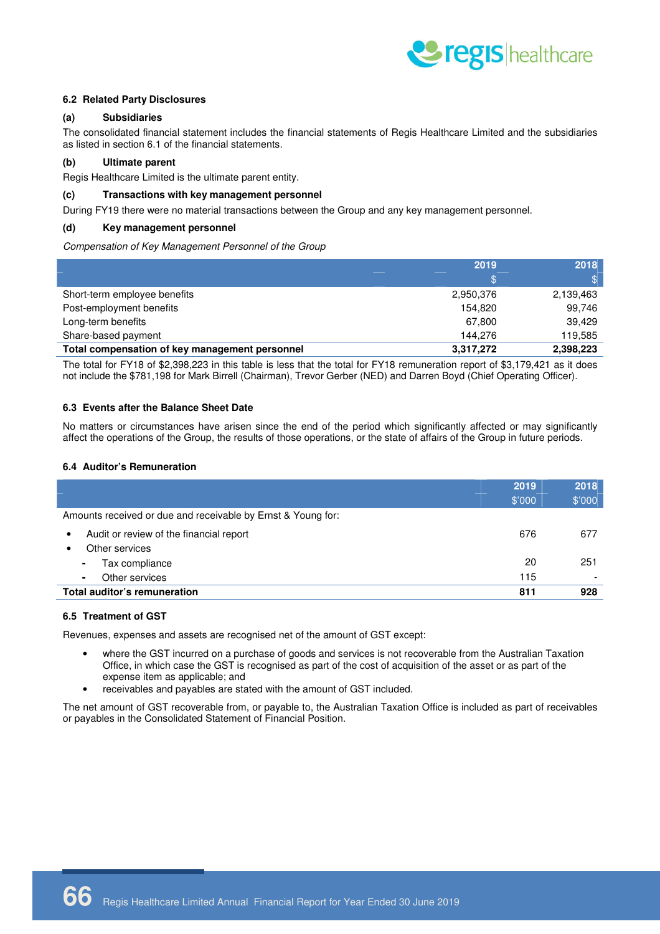

#### **6.2 Related Party Disclosures**

#### **(a) Subsidiaries**

The consolidated financial statement includes the financial statements of Regis Healthcare Limited and the subsidiaries as listed in section 6.1 of the financial statements.

#### **(b) Ultimate parent**

Regis Healthcare Limited is the ultimate parent entity.

#### **(c) Transactions with key management personnel**

During FY19 there were no material transactions between the Group and any key management personnel.

#### **(d) Key management personnel**

*Compensation of Key Management Personnel of the Group*

|                                                | 2019      | 2018      |
|------------------------------------------------|-----------|-----------|
|                                                |           | Ι\$,      |
| Short-term employee benefits                   | 2,950,376 | 2,139,463 |
| Post-employment benefits                       | 154.820   | 99.746    |
| Long-term benefits                             | 67.800    | 39.429    |
| Share-based payment                            | 144.276   | 119.585   |
| Total compensation of key management personnel | 3.317,272 | 2,398,223 |

The total for FY18 of \$2,398,223 in this table is less that the total for FY18 remuneration report of \$3,179,421 as it does not include the \$781,198 for Mark Birrell (Chairman), Trevor Gerber (NED) and Darren Boyd (Chief Operating Officer).

#### **6.3 Events after the Balance Sheet Date**

No matters or circumstances have arisen since the end of the period which significantly affected or may significantly affect the operations of the Group, the results of those operations, or the state of affairs of the Group in future periods.

#### **6.4 Auditor's Remuneration**

|                                                              | 2019   | 2018   |
|--------------------------------------------------------------|--------|--------|
|                                                              | \$'000 | \$'000 |
| Amounts received or due and receivable by Ernst & Young for: |        |        |
| Audit or review of the financial report                      | 676    | 677    |
| Other services                                               |        |        |
| Tax compliance<br>۰.                                         | 20     | 251    |
| Other services<br>$\blacksquare$                             | 115    |        |
| Total auditor's remuneration                                 | 811    | 928    |

#### **6.5 Treatment of GST**

Revenues, expenses and assets are recognised net of the amount of GST except:

- where the GST incurred on a purchase of goods and services is not recoverable from the Australian Taxation Office, in which case the GST is recognised as part of the cost of acquisition of the asset or as part of the expense item as applicable; and
- receivables and payables are stated with the amount of GST included.

The net amount of GST recoverable from, or payable to, the Australian Taxation Office is included as part of receivables or payables in the Consolidated Statement of Financial Position.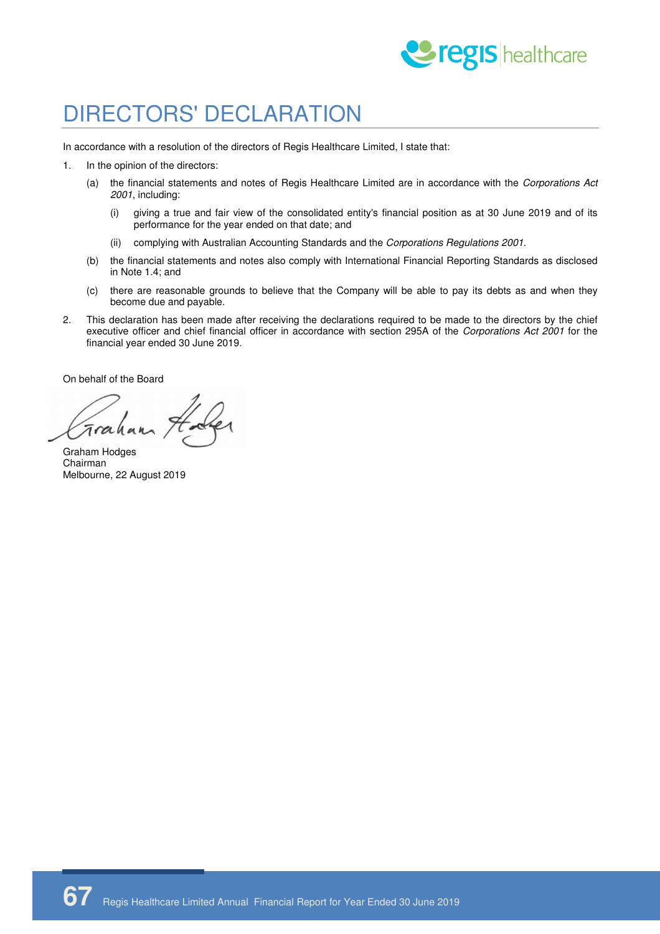

# DIRECTORS' DECLARATION

In accordance with a resolution of the directors of Regis Healthcare Limited, I state that:

- 1. In the opinion of the directors:
	- (a) the financial statements and notes of Regis Healthcare Limited are in accordance with the *Corporations Act 2001*, including:
		- (i) giving a true and fair view of the consolidated entity's financial position as at 30 June 2019 and of its performance for the year ended on that date; and
		- (ii) complying with Australian Accounting Standards and the *Corporations Regulations 2001*.
	- (b) the financial statements and notes also comply with International Financial Reporting Standards as disclosed in Note 1.4; and
	- (c) there are reasonable grounds to believe that the Company will be able to pay its debts as and when they become due and payable.
- 2. This declaration has been made after receiving the declarations required to be made to the directors by the chief executive officer and chief financial officer in accordance with section 295A of the *Corporations Act 2001* for the financial year ended 30 June 2019.

On behalf of the Board

Graham Hodges Chairman Melbourne, 22 August 2019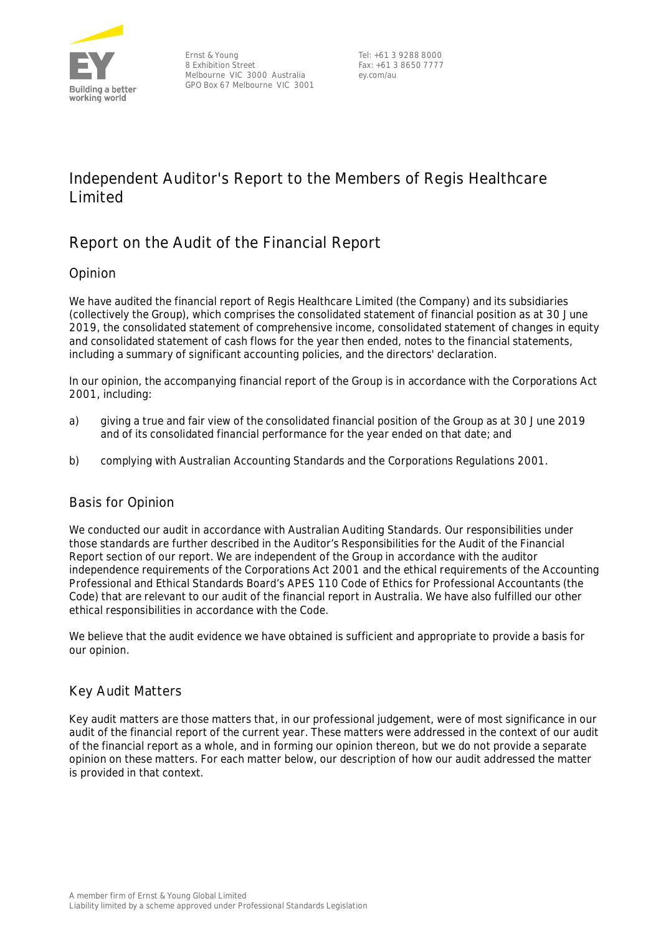

Ernst & Young 8 Exhibition Street Melbourne VIC 3000 Australia GPO Box 67 Melbourne VIC 3001

Tel: +61 3 9288 8000 Fax: +61 3 8650 7777 ey.com/au

# **Independent Auditor's Report to the Members of Regis Healthcare Limited**

# Report on the Audit of the Financial Report

### Opinion

We have audited the financial report of Regis Healthcare Limited (the Company) and its subsidiaries (collectively the Group), which comprises the consolidated statement of financial position as at 30 June 2019, the consolidated statement of comprehensive income, consolidated statement of changes in equity and consolidated statement of cash flows for the year then ended, notes to the financial statements, including a summary of significant accounting policies, and the directors' declaration.

In our opinion, the accompanying financial report of the Group is in accordance with the *Corporations Act 2001*, including:

- a) giving a true and fair view of the consolidated financial position of the Group as at 30 June 2019 and of its consolidated financial performance for the year ended on that date; and
- b) complying with Australian Accounting Standards and the *Corporations Regulations 2001*.

### Basis for Opinion

We conducted our audit in accordance with Australian Auditing Standards. Our responsibilities under those standards are further described in the *Auditor's Responsibilities for the Audit of the Financial Report* section of our report. We are independent of the Group in accordance with the auditor independence requirements of the *Corporations Act 2001* and the ethical requirements of the Accounting Professional and Ethical Standards Board's APES 110 *Code of Ethics for Professional Accountants* (the Code) that are relevant to our audit of the financial report in Australia. We have also fulfilled our other ethical responsibilities in accordance with the Code.

We believe that the audit evidence we have obtained is sufficient and appropriate to provide a basis for our opinion.

### Key Audit Matters

Key audit matters are those matters that, in our professional judgement, were of most significance in our audit of the financial report of the current year. These matters were addressed in the context of our audit of the financial report as a whole, and in forming our opinion thereon, but we do not provide a separate opinion on these matters. For each matter below, our description of how our audit addressed the matter is provided in that context.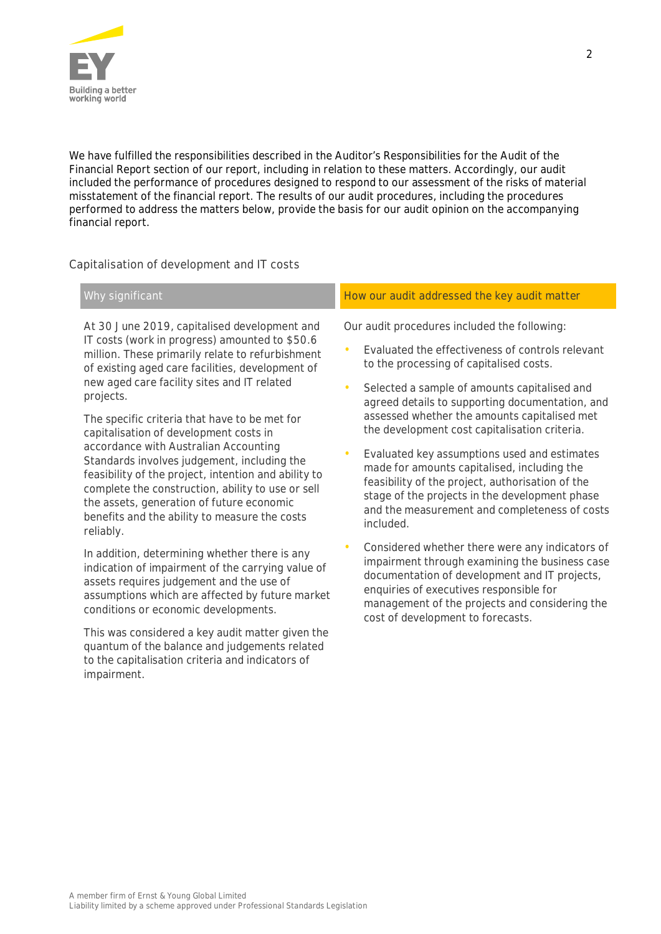

We have fulfilled the responsibilities described in the *Auditor's Responsibilities for the Audit of the Financial Repor*t section of our report, including in relation to these matters. Accordingly, our audit included the performance of procedures designed to respond to our assessment of the risks of material misstatement of the financial report. The results of our audit procedures, including the procedures performed to address the matters below, provide the basis for our audit opinion on the accompanying financial report.

### **Capitalisation of development and IT costs**

| Why significant                                                                                                                                                                              | How our audit addressed the key audit matter                                                                                                    |
|----------------------------------------------------------------------------------------------------------------------------------------------------------------------------------------------|-------------------------------------------------------------------------------------------------------------------------------------------------|
| At 30 June 2019, capitalised development and                                                                                                                                                 | Our audit procedures included the following:                                                                                                    |
| IT costs (work in progress) amounted to \$50.6<br>million. These primarily relate to refurbishment<br>of existing aged care facilities, development of                                       | Evaluated the effectiveness of controls relevant<br>to the processing of capitalised costs.                                                     |
| new aged care facility sites and IT related<br>projects.                                                                                                                                     | Selected a sample of amounts capitalised and<br>agreed details to supporting documentation, and                                                 |
| The specific criteria that have to be met for<br>capitalisation of development costs in                                                                                                      | assessed whether the amounts capitalised met<br>the development cost capitalisation criteria.                                                   |
| accordance with Australian Accounting<br>Standards involves judgement, including the<br>feasibility of the project, intention and ability to<br>against the construction oblitute use on oll | Evaluated key assumptions used and estimates<br>made for amounts capitalised, including the<br>feasibility of the project, authorisation of the |

stage of the projects in the development phase and the measurement and completeness of costs included.

> Considered whether there were any indicators of impairment through examining the business case documentation of development and IT projects, enquiries of executives responsible for management of the projects and considering the cost of development to forecasts.

complete the construction, ability to use or sell the assets, generation of future economic benefits and the ability to measure the costs reliably.

In addition, determining whether there is any indication of impairment of the carrying value of assets requires judgement and the use of assumptions which are affected by future market conditions or economic developments.

This was considered a key audit matter given the quantum of the balance and judgements related to the capitalisation criteria and indicators of impairment.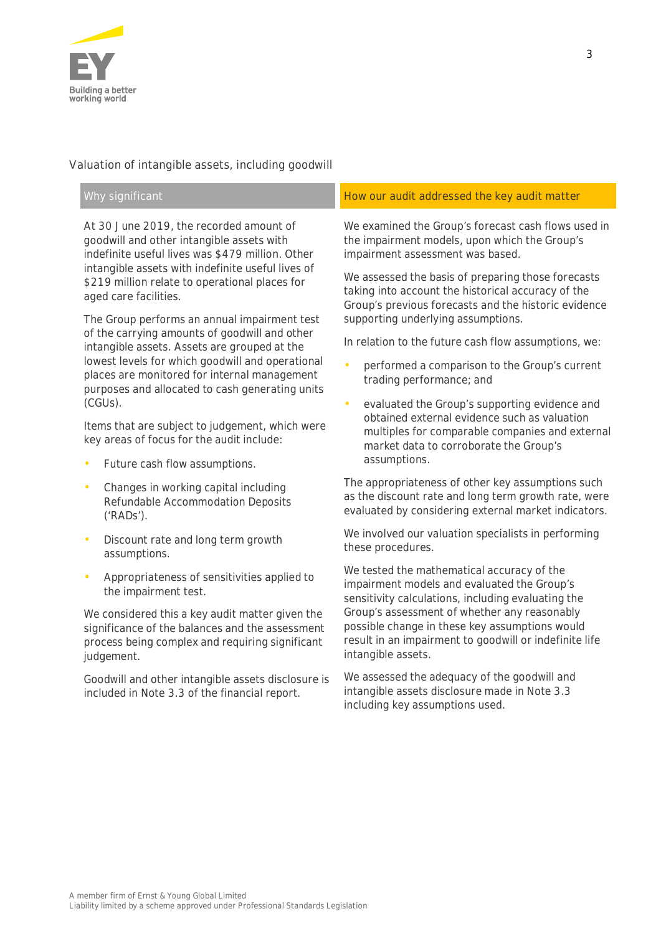

### **Valuation of intangible assets, including goodwill**

At 30 June 2019, the recorded amount of goodwill and other intangible assets with indefinite useful lives was \$479 million. Other intangible assets with indefinite useful lives of \$219 million relate to operational places for aged care facilities.

The Group performs an annual impairment test of the carrying amounts of goodwill and other intangible assets. Assets are grouped at the lowest levels for which goodwill and operational places are monitored for internal management purposes and allocated to cash generating units (CGUs).

Items that are subject to judgement, which were key areas of focus for the audit include:

- Future cash flow assumptions.
- Changes in working capital including Refundable Accommodation Deposits ('RADs').
- Discount rate and long term growth assumptions.
- Appropriateness of sensitivities applied to the impairment test.

We considered this a key audit matter given the significance of the balances and the assessment process being complex and requiring significant judgement.

Goodwill and other intangible assets disclosure is included in Note 3.3 of the financial report.

#### **Why significant How our audit addressed the key audit matter**

We examined the Group's forecast cash flows used in the impairment models, upon which the Group's impairment assessment was based.

We assessed the basis of preparing those forecasts taking into account the historical accuracy of the Group's previous forecasts and the historic evidence supporting underlying assumptions.

In relation to the future cash flow assumptions, we:

- performed a comparison to the Group's current trading performance; and
- evaluated the Group's supporting evidence and obtained external evidence such as valuation multiples for comparable companies and external market data to corroborate the Group's assumptions.

The appropriateness of other key assumptions such as the discount rate and long term growth rate, were evaluated by considering external market indicators.

We involved our valuation specialists in performing these procedures.

We tested the mathematical accuracy of the impairment models and evaluated the Group's sensitivity calculations, including evaluating the Group's assessment of whether any reasonably possible change in these key assumptions would result in an impairment to goodwill or indefinite life intangible assets.

We assessed the adequacy of the goodwill and intangible assets disclosure made in Note 3.3 including key assumptions used.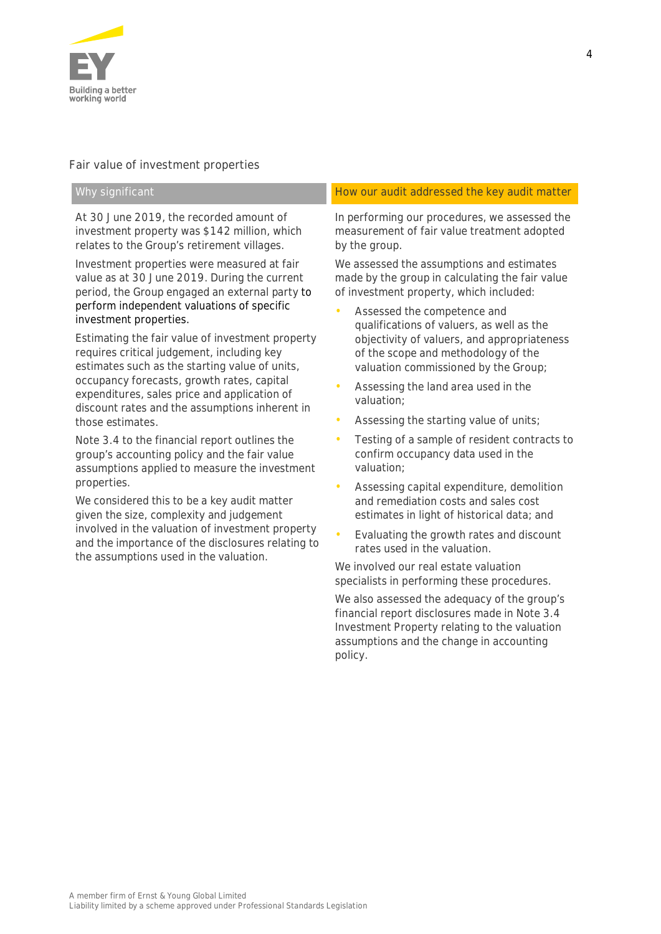

### **Fair value of investment properties**

At 30 June 2019, the recorded amount of investment property was \$142 million, which relates to the Group's retirement villages.

Investment properties were measured at fair value as at 30 June 2019. During the current period, the Group engaged an external party to perform independent valuations of specific investment properties.

Estimating the fair value of investment property requires critical judgement, including key estimates such as the starting value of units, occupancy forecasts, growth rates, capital expenditures, sales price and application of discount rates and the assumptions inherent in those estimates.

Note 3.4 to the financial report outlines the group's accounting policy and the fair value assumptions applied to measure the investment properties.

We considered this to be a key audit matter given the size, complexity and judgement involved in the valuation of investment property and the importance of the disclosures relating to the assumptions used in the valuation.

#### **Why significant How our audit addressed the key audit matter**

In performing our procedures, we assessed the measurement of fair value treatment adopted by the group.

We assessed the assumptions and estimates made by the group in calculating the fair value of investment property, which included:

- Assessed the competence and qualifications of valuers, as well as the objectivity of valuers, and appropriateness of the scope and methodology of the valuation commissioned by the Group;
- Assessing the land area used in the valuation;
- Assessing the starting value of units;
- Testing of a sample of resident contracts to confirm occupancy data used in the valuation;
- Assessing capital expenditure, demolition and remediation costs and sales cost estimates in light of historical data; and
- Evaluating the growth rates and discount rates used in the valuation.

We involved our real estate valuation specialists in performing these procedures.

We also assessed the adequacy of the group's financial report disclosures made in Note 3.4 *Investment Property* relating to the valuation assumptions and the change in accounting policy.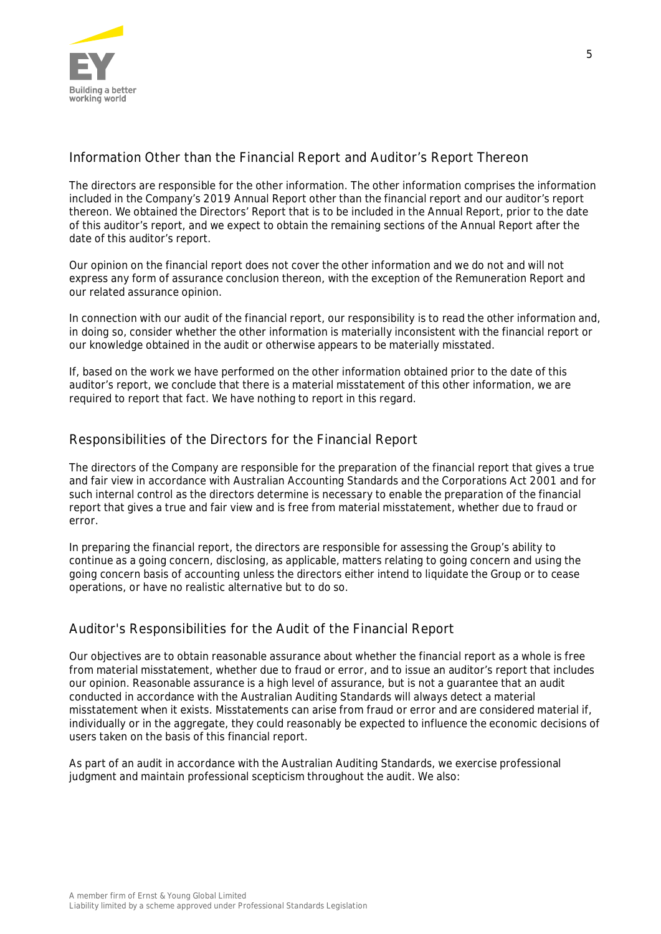

# Information Other than the Financial Report and Auditor's Report Thereon

The directors are responsible for the other information. The other information comprises the information included in the Company's 2019 Annual Report other than the financial report and our auditor's report thereon. We obtained the Directors' Report that is to be included in the Annual Report, prior to the date of this auditor's report, and we expect to obtain the remaining sections of the Annual Report after the date of this auditor's report.

Our opinion on the financial report does not cover the other information and we do not and will not express any form of assurance conclusion thereon, with the exception of the Remuneration Report and our related assurance opinion.

In connection with our audit of the financial report, our responsibility is to read the other information and, in doing so, consider whether the other information is materially inconsistent with the financial report or our knowledge obtained in the audit or otherwise appears to be materially misstated.

If, based on the work we have performed on the other information obtained prior to the date of this auditor's report, we conclude that there is a material misstatement of this other information, we are required to report that fact. We have nothing to report in this regard.

### Responsibilities of the Directors for the Financial Report

The directors of the Company are responsible for the preparation of the financial report that gives a true and fair view in accordance with Australian Accounting Standards and the *Corporations Act 2001* and for such internal control as the directors determine is necessary to enable the preparation of the financial report that gives a true and fair view and is free from material misstatement, whether due to fraud or error.

In preparing the financial report, the directors are responsible for assessing the Group's ability to continue as a going concern, disclosing, as applicable, matters relating to going concern and using the going concern basis of accounting unless the directors either intend to liquidate the Group or to cease operations, or have no realistic alternative but to do so.

# Auditor's Responsibilities for the Audit of the Financial Report

Our objectives are to obtain reasonable assurance about whether the financial report as a whole is free from material misstatement, whether due to fraud or error, and to issue an auditor's report that includes our opinion. Reasonable assurance is a high level of assurance, but is not a guarantee that an audit conducted in accordance with the Australian Auditing Standards will always detect a material misstatement when it exists. Misstatements can arise from fraud or error and are considered material if, individually or in the aggregate, they could reasonably be expected to influence the economic decisions of users taken on the basis of this financial report.

As part of an audit in accordance with the Australian Auditing Standards, we exercise professional judgment and maintain professional scepticism throughout the audit. We also: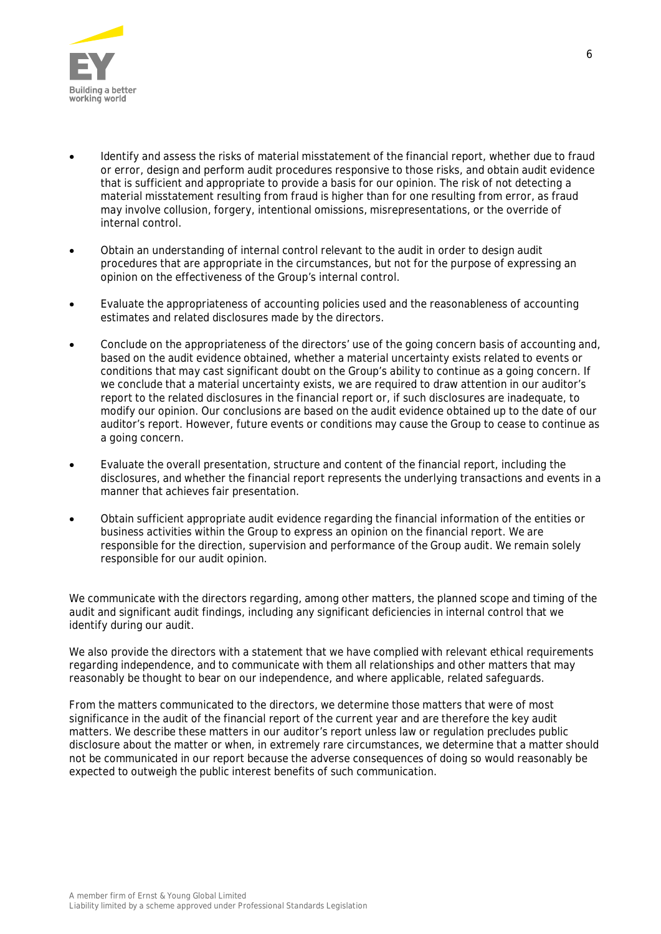

- Identify and assess the risks of material misstatement of the financial report, whether due to fraud or error, design and perform audit procedures responsive to those risks, and obtain audit evidence that is sufficient and appropriate to provide a basis for our opinion. The risk of not detecting a material misstatement resulting from fraud is higher than for one resulting from error, as fraud may involve collusion, forgery, intentional omissions, misrepresentations, or the override of internal control.
- · Obtain an understanding of internal control relevant to the audit in order to design audit procedures that are appropriate in the circumstances, but not for the purpose of expressing an opinion on the effectiveness of the Group's internal control.
- · Evaluate the appropriateness of accounting policies used and the reasonableness of accounting estimates and related disclosures made by the directors.
- · Conclude on the appropriateness of the directors' use of the going concern basis of accounting and, based on the audit evidence obtained, whether a material uncertainty exists related to events or conditions that may cast significant doubt on the Group's ability to continue as a going concern. If we conclude that a material uncertainty exists, we are required to draw attention in our auditor's report to the related disclosures in the financial report or, if such disclosures are inadequate, to modify our opinion. Our conclusions are based on the audit evidence obtained up to the date of our auditor's report. However, future events or conditions may cause the Group to cease to continue as a going concern.
- · Evaluate the overall presentation, structure and content of the financial report, including the disclosures, and whether the financial report represents the underlying transactions and events in a manner that achieves fair presentation.
- · Obtain sufficient appropriate audit evidence regarding the financial information of the entities or business activities within the Group to express an opinion on the financial report. We are responsible for the direction, supervision and performance of the Group audit. We remain solely responsible for our audit opinion.

We communicate with the directors regarding, among other matters, the planned scope and timing of the audit and significant audit findings, including any significant deficiencies in internal control that we identify during our audit.

We also provide the directors with a statement that we have complied with relevant ethical requirements regarding independence, and to communicate with them all relationships and other matters that may reasonably be thought to bear on our independence, and where applicable, related safeguards.

From the matters communicated to the directors, we determine those matters that were of most significance in the audit of the financial report of the current year and are therefore the key audit matters. We describe these matters in our auditor's report unless law or regulation precludes public disclosure about the matter or when, in extremely rare circumstances, we determine that a matter should not be communicated in our report because the adverse consequences of doing so would reasonably be expected to outweigh the public interest benefits of such communication.